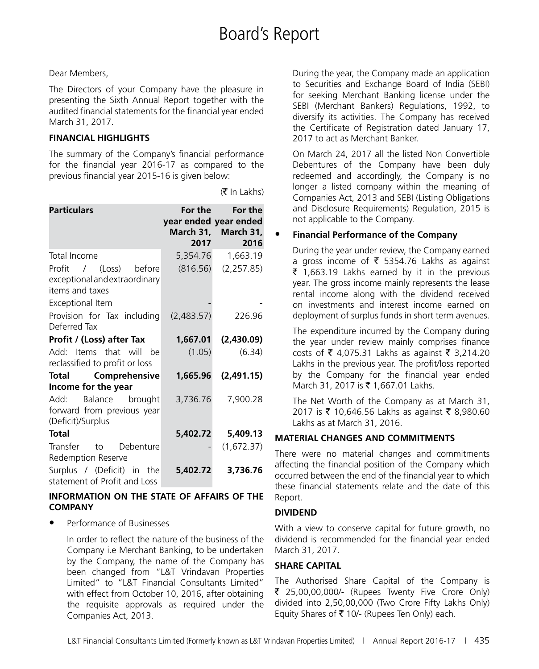$(\bar{\bar{\mathbf{x}}}$  In Lakhs)

#### Dear Members,

The Directors of your Company have the pleasure in presenting the Sixth Annual Report together with the audited financial statements for the financial year ended March 31, 2017.

#### **FINANCIAL HIGHLIGHTS**

The summary of the Company's financial performance for the financial year 2016-17 as compared to the previous financial year 2015-16 is given below:

| <b>Particulars</b>                                                         | 2017       | For the For the<br>year ended year ended<br>March 31, March 31,<br>2016 |
|----------------------------------------------------------------------------|------------|-------------------------------------------------------------------------|
| Total Income                                                               | 5,354.76   | 1,663.19                                                                |
| Profit / (Loss) before<br>exceptional and extraordinary<br>items and taxes |            | $(816.56)$ $(2,257.85)$                                                 |
| Exceptional Item                                                           |            |                                                                         |
| Provision for Tax including<br>Deferred Tax                                | (2,483.57) | 226.96                                                                  |
| Profit / (Loss) after Tax                                                  | 1,667.01   | (2,430.09)                                                              |
| Add: Items that will be<br>reclassified to profit or loss                  | (1.05)     | (6.34)                                                                  |
| Total Comprehensive                                                        | 1,665.96   | (2,491.15)                                                              |
| Income for the year                                                        |            |                                                                         |
| Add:<br>Balance brought<br>forward from previous year<br>(Deficit)/Surplus | 3,736.76   | 7,900.28                                                                |
| <b>Total</b>                                                               | 5,402.72   | 5,409.13                                                                |
| Transfer to Debenture<br>Redemption Reserve                                |            | (1,672.37)                                                              |
| Surplus / (Deficit) in the<br>statement of Profit and Loss                 | 5,402.72   | 3,736.76                                                                |

#### **INFORMATION ON THE STATE OF AFFAIRS OF THE COMPANY**

• Performance of Businesses

In order to reflect the nature of the business of the Company i.e Merchant Banking, to be undertaken by the Company, the name of the Company has been changed from "L&T Vrindavan Properties Limited" to "L&T Financial Consultants Limited" with effect from October 10, 2016, after obtaining the requisite approvals as required under the Companies Act, 2013.

During the year, the Company made an application to Securities and Exchange Board of India (SEBI) for seeking Merchant Banking license under the SEBI (Merchant Bankers) Regulations, 1992, to diversify its activities. The Company has received the Certificate of Registration dated January 17, 2017 to act as Merchant Banker.

On March 24, 2017 all the listed Non Convertible Debentures of the Company have been duly redeemed and accordingly, the Company is no longer a listed company within the meaning of Companies Act, 2013 and SEBI (Listing Obligations and Disclosure Requirements) Regulation, 2015 is not applicable to the Company.

#### • **Financial Performance of the Company**

During the year under review, the Company earned a gross income of  $\bar{\bar{\xi}}$  5354.76 Lakhs as against  $\bar{\tau}$  1,663.19 Lakhs earned by it in the previous year. The gross income mainly represents the lease rental income along with the dividend received on investments and interest income earned on deployment of surplus funds in short term avenues.

The expenditure incurred by the Company during the year under review mainly comprises finance costs of ₹ 4,075.31 Lakhs as against ₹ 3,214.20 Lakhs in the previous year. The profit/loss reported by the Company for the financial year ended March 31, 2017 is ₹ 1,667.01 Lakhs.

The Net Worth of the Company as at March 31, 2017 is ₹ 10,646.56 Lakhs as against ₹ 8,980.60 Lakhs as at March 31, 2016.

#### **MATERIAL CHANGES AND COMMITMENTS**

There were no material changes and commitments affecting the financial position of the Company which occurred between the end of the financial year to which these financial statements relate and the date of this Report.

#### **DIVIDEND**

With a view to conserve capital for future growth, no dividend is recommended for the financial year ended March 31, 2017.

#### **SHARE CAPITAL**

The Authorised Share Capital of the Company is  $\bar{\tau}$  25,00,00,000/- (Rupees Twenty Five Crore Only) divided into 2,50,00,000 (Two Crore Fifty Lakhs Only) Equity Shares of  $\bar{\tau}$  10/- (Rupees Ten Only) each.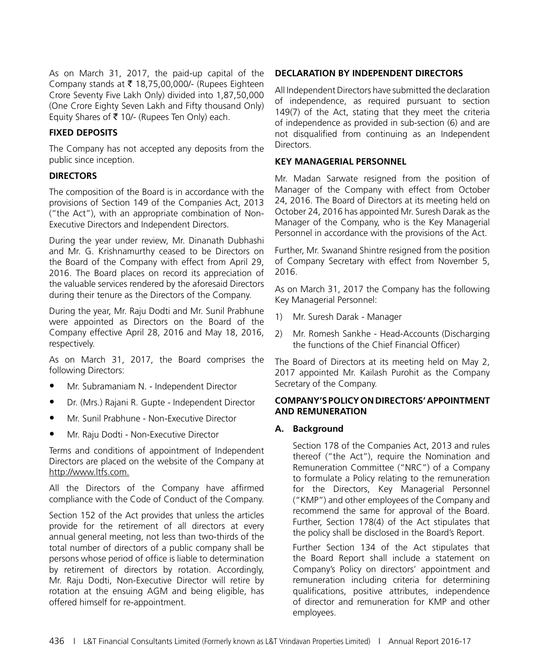As on March 31, 2017, the paid-up capital of the Company stands at  $\bar{\tau}$  18,75,00,000/- (Rupees Eighteen Crore Seventy Five Lakh Only) divided into 1,87,50,000 (One Crore Eighty Seven Lakh and Fifty thousand Only) Equity Shares of  $\bar{\tau}$  10/- (Rupees Ten Only) each.

#### **FIXED DEPOSITS**

The Company has not accepted any deposits from the public since inception.

#### **DIRECTORS**

The composition of the Board is in accordance with the provisions of Section 149 of the Companies Act, 2013 ("the Act"), with an appropriate combination of Non-Executive Directors and Independent Directors.

During the year under review, Mr. Dinanath Dubhashi and Mr. G. Krishnamurthy ceased to be Directors on the Board of the Company with effect from April 29, 2016. The Board places on record its appreciation of the valuable services rendered by the aforesaid Directors during their tenure as the Directors of the Company.

During the year, Mr. Raju Dodti and Mr. Sunil Prabhune were appointed as Directors on the Board of the Company effective April 28, 2016 and May 18, 2016, respectively.

As on March 31, 2017, the Board comprises the following Directors:

- Mr. Subramaniam N. Independent Director
- Dr. (Mrs.) Rajani R. Gupte Independent Director
- Mr. Sunil Prabhune Non-Executive Director
- Mr. Raju Dodti Non-Executive Director

Terms and conditions of appointment of Independent Directors are placed on the website of the Company at http://www.ltfs.com.

All the Directors of the Company have affirmed compliance with the Code of Conduct of the Company.

Section 152 of the Act provides that unless the articles provide for the retirement of all directors at every annual general meeting, not less than two-thirds of the total number of directors of a public company shall be persons whose period of office is liable to determination by retirement of directors by rotation. Accordingly, Mr. Raju Dodti, Non-Executive Director will retire by rotation at the ensuing AGM and being eligible, has offered himself for re-appointment.

#### **DECLARATION BY INDEPENDENT DIRECTORS**

All Independent Directors have submitted the declaration of independence, as required pursuant to section 149(7) of the Act, stating that they meet the criteria of independence as provided in sub-section (6) and are not disqualified from continuing as an Independent Directors.

#### **KEY MANAGERIAL PERSONNEL**

Mr. Madan Sarwate resigned from the position of Manager of the Company with effect from October 24, 2016. The Board of Directors at its meeting held on October 24, 2016 has appointed Mr. Suresh Darak as the Manager of the Company, who is the Key Managerial Personnel in accordance with the provisions of the Act.

Further, Mr. Swanand Shintre resigned from the position of Company Secretary with effect from November 5, 2016.

As on March 31, 2017 the Company has the following Key Managerial Personnel:

- 1) Mr. Suresh Darak Manager
- 2) Mr. Romesh Sankhe Head-Accounts (Discharging the functions of the Chief Financial Officer)

The Board of Directors at its meeting held on May 2, 2017 appointed Mr. Kailash Purohit as the Company Secretary of the Company.

#### **COMPANY'S POLICY ON DIRECTORS' APPOINTMENT AND REMUNERATION**

#### **A. Background**

Section 178 of the Companies Act, 2013 and rules thereof ("the Act"), require the Nomination and Remuneration Committee ("NRC") of a Company to formulate a Policy relating to the remuneration for the Directors, Key Managerial Personnel ("KMP") and other employees of the Company and recommend the same for approval of the Board. Further, Section 178(4) of the Act stipulates that the policy shall be disclosed in the Board's Report.

Further Section 134 of the Act stipulates that the Board Report shall include a statement on Company's Policy on directors' appointment and remuneration including criteria for determining qualifications, positive attributes, independence of director and remuneration for KMP and other employees.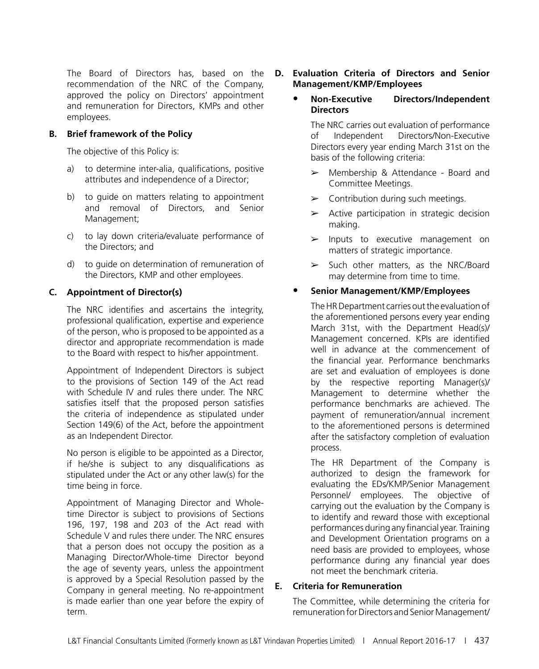The Board of Directors has, based on the recommendation of the NRC of the Company, approved the policy on Directors' appointment and remuneration for Directors, KMPs and other employees.

#### **B. Brief framework of the Policy**

The objective of this Policy is:

- a) to determine inter-alia, qualifications, positive attributes and independence of a Director;
- b) to guide on matters relating to appointment and removal of Directors, and Senior Management;
- c) to lay down criteria/evaluate performance of the Directors; and
- d) to guide on determination of remuneration of the Directors, KMP and other employees.

#### **C. Appointment of Director(s)**

The NRC identifies and ascertains the integrity, professional qualification, expertise and experience of the person, who is proposed to be appointed as a director and appropriate recommendation is made to the Board with respect to his/her appointment.

Appointment of Independent Directors is subject to the provisions of Section 149 of the Act read with Schedule IV and rules there under. The NRC satisfies itself that the proposed person satisfies the criteria of independence as stipulated under Section 149(6) of the Act, before the appointment as an Independent Director.

No person is eligible to be appointed as a Director, if he/she is subject to any disqualifications as stipulated under the Act or any other law(s) for the time being in force.

Appointment of Managing Director and Wholetime Director is subject to provisions of Sections 196, 197, 198 and 203 of the Act read with Schedule V and rules there under. The NRC ensures that a person does not occupy the position as a Managing Director/Whole-time Director beyond the age of seventy years, unless the appointment is approved by a Special Resolution passed by the Company in general meeting. No re-appointment is made earlier than one year before the expiry of term.

#### **D. Evaluation Criteria of Directors and Senior Management/KMP/Employees**

#### **• Non-Executive Directors/Independent Directors**

The NRC carries out evaluation of performance of Independent Directors/Non-Executive Directors every year ending March 31st on the basis of the following criteria:

- $\triangleright$  Membership & Attendance Board and Committee Meetings.
- $\blacktriangleright$  Contribution during such meetings.
- $\triangleright$  Active participation in strategic decision making.
- $\blacktriangleright$  Inputs to executive management on matters of strategic importance.
- $\geq$  Such other matters, as the NRC/Board may determine from time to time.

#### **• Senior Management/KMP/Employees**

 The HR Department carries out the evaluation of the aforementioned persons every year ending March 31st, with the Department Head(s)/ Management concerned. KPIs are identified well in advance at the commencement of the financial year. Performance benchmarks are set and evaluation of employees is done by the respective reporting Manager(s)/ Management to determine whether the performance benchmarks are achieved. The payment of remuneration/annual increment to the aforementioned persons is determined after the satisfactory completion of evaluation process.

 The HR Department of the Company is authorized to design the framework for evaluating the EDs/KMP/Senior Management Personnel/ employees. The objective of carrying out the evaluation by the Company is to identify and reward those with exceptional performances during any financial year. Training and Development Orientation programs on a need basis are provided to employees, whose performance during any financial year does not meet the benchmark criteria.

#### **E. Criteria for Remuneration**

The Committee, while determining the criteria for remuneration for Directors and Senior Management/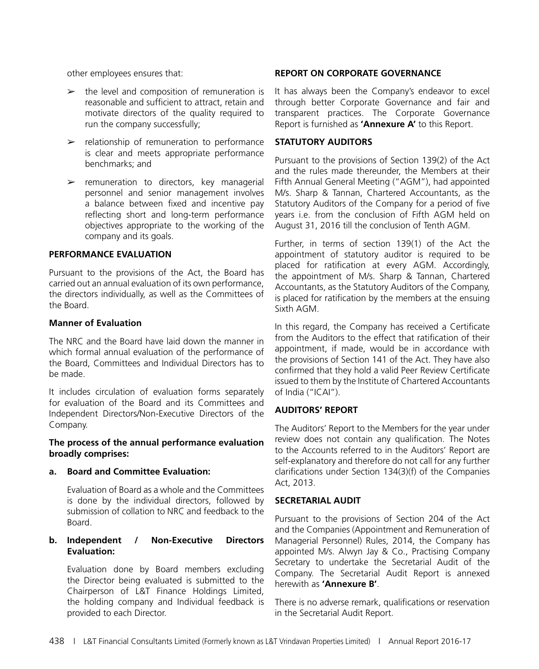other employees ensures that:

- $\geq$  the level and composition of remuneration is reasonable and sufficient to attract, retain and motivate directors of the quality required to run the company successfully;
- $\triangleright$  relationship of remuneration to performance is clear and meets appropriate performance benchmarks; and
- $\ge$  remuneration to directors, key managerial personnel and senior management involves a balance between fixed and incentive pay reflecting short and long-term performance objectives appropriate to the working of the company and its goals.

#### **PERFORMANCE EVALUATION**

Pursuant to the provisions of the Act, the Board has carried out an annual evaluation of its own performance, the directors individually, as well as the Committees of the Board.

#### **Manner of Evaluation**

The NRC and the Board have laid down the manner in which formal annual evaluation of the performance of the Board, Committees and Individual Directors has to be made.

It includes circulation of evaluation forms separately for evaluation of the Board and its Committees and Independent Directors/Non-Executive Directors of the Company.

#### **The process of the annual performance evaluation broadly comprises:**

#### **a. Board and Committee Evaluation:**

Evaluation of Board as a whole and the Committees is done by the individual directors, followed by submission of collation to NRC and feedback to the Board.

#### **b. Independent / Non-Executive Directors Evaluation:**

Evaluation done by Board members excluding the Director being evaluated is submitted to the Chairperson of L&T Finance Holdings Limited, the holding company and Individual feedback is provided to each Director.

#### **REPORT ON CORPORATE GOVERNANCE**

It has always been the Company's endeavor to excel through better Corporate Governance and fair and transparent practices. The Corporate Governance Report is furnished as **'Annexure A'** to this Report.

#### **STATUTORY AUDITORS**

Pursuant to the provisions of Section 139(2) of the Act and the rules made thereunder, the Members at their Fifth Annual General Meeting ("AGM"), had appointed M/s. Sharp & Tannan, Chartered Accountants, as the Statutory Auditors of the Company for a period of five years i.e. from the conclusion of Fifth AGM held on August 31, 2016 till the conclusion of Tenth AGM.

Further, in terms of section 139(1) of the Act the appointment of statutory auditor is required to be placed for ratification at every AGM. Accordingly, the appointment of M/s. Sharp & Tannan, Chartered Accountants, as the Statutory Auditors of the Company, is placed for ratification by the members at the ensuing Sixth AGM.

In this regard, the Company has received a Certificate from the Auditors to the effect that ratification of their appointment, if made, would be in accordance with the provisions of Section 141 of the Act. They have also confirmed that they hold a valid Peer Review Certificate issued to them by the Institute of Chartered Accountants of India ("ICAI").

#### **AUDITORS' REPORT**

The Auditors' Report to the Members for the year under review does not contain any qualification. The Notes to the Accounts referred to in the Auditors' Report are self-explanatory and therefore do not call for any further clarifications under Section 134(3)(f) of the Companies Act, 2013.

#### **SECRETARIAL AUDIT**

Pursuant to the provisions of Section 204 of the Act and the Companies (Appointment and Remuneration of Managerial Personnel) Rules, 2014, the Company has appointed M/s. Alwyn Jay & Co., Practising Company Secretary to undertake the Secretarial Audit of the Company. The Secretarial Audit Report is annexed herewith as **'Annexure B'**.

There is no adverse remark, qualifications or reservation in the Secretarial Audit Report.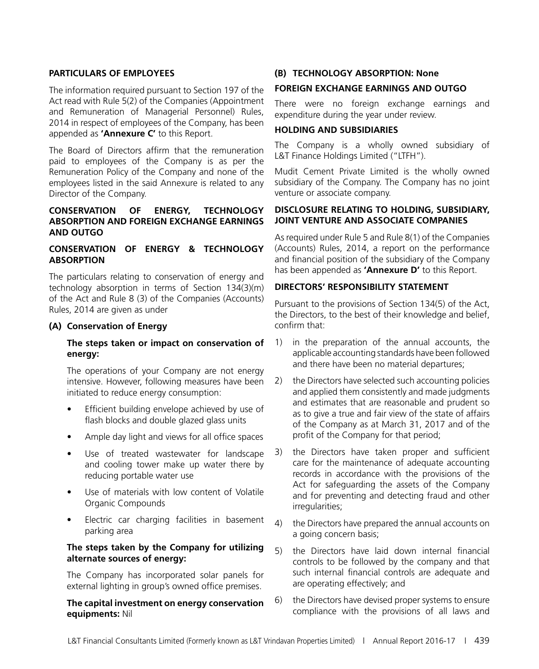#### **PARTICULARS OF EMPLOYEES**

The information required pursuant to Section 197 of the Act read with Rule 5(2) of the Companies (Appointment and Remuneration of Managerial Personnel) Rules, 2014 in respect of employees of the Company, has been appended as **'Annexure C'** to this Report.

The Board of Directors affirm that the remuneration paid to employees of the Company is as per the Remuneration Policy of the Company and none of the employees listed in the said Annexure is related to any Director of the Company.

#### **CONSERVATION OF ENERGY, TECHNOLOGY ABSORPTION AND FOREIGN EXCHANGE EARNINGS AND OUTGO**

#### **CONSERVATION OF ENERGY & TECHNOLOGY ABSORPTION**

The particulars relating to conservation of energy and technology absorption in terms of Section 134(3)(m) of the Act and Rule 8 (3) of the Companies (Accounts) Rules, 2014 are given as under

#### **(A) Conservation of Energy**

#### **The steps taken or impact on conservation of energy:**

The operations of your Company are not energy intensive. However, following measures have been initiated to reduce energy consumption:

- Efficient building envelope achieved by use of flash blocks and double glazed glass units
- Ample day light and views for all office spaces
- • Use of treated wastewater for landscape and cooling tower make up water there by reducing portable water use
- Use of materials with low content of Volatile Organic Compounds
- Electric car charging facilities in basement parking area

#### **The steps taken by the Company for utilizing alternate sources of energy:**

The Company has incorporated solar panels for external lighting in group's owned office premises.

#### **The capital investment on energy conservation equipments:** Nil

#### **(B) TECHNOLOGY ABSORPTION: None**

#### **FOREIGN EXCHANGE EARNINGS AND OUTGO**

There were no foreign exchange earnings and expenditure during the year under review.

#### **HOLDING AND SUBSIDIARIES**

The Company is a wholly owned subsidiary of L&T Finance Holdings Limited ("LTFH").

Mudit Cement Private Limited is the wholly owned subsidiary of the Company. The Company has no joint venture or associate company.

#### **DISCLOSURE RELATING TO HOLDING, SUBSIDIARY, JOINT VENTURE AND ASSOCIATE COMPANIES**

As required under Rule 5 and Rule 8(1) of the Companies (Accounts) Rules, 2014, a report on the performance and financial position of the subsidiary of the Company has been appended as **'Annexure D'** to this Report.

#### **DIRECTORS' RESPONSIBILITY STATEMENT**

Pursuant to the provisions of Section 134(5) of the Act, the Directors, to the best of their knowledge and belief, confirm that:

- 1) in the preparation of the annual accounts, the applicable accounting standards have been followed and there have been no material departures;
- 2) the Directors have selected such accounting policies and applied them consistently and made judgments and estimates that are reasonable and prudent so as to give a true and fair view of the state of affairs of the Company as at March 31, 2017 and of the profit of the Company for that period;
- 3) the Directors have taken proper and sufficient care for the maintenance of adequate accounting records in accordance with the provisions of the Act for safeguarding the assets of the Company and for preventing and detecting fraud and other irregularities;
- 4) the Directors have prepared the annual accounts on a going concern basis;
- 5) the Directors have laid down internal financial controls to be followed by the company and that such internal financial controls are adequate and are operating effectively; and
- 6) the Directors have devised proper systems to ensure compliance with the provisions of all laws and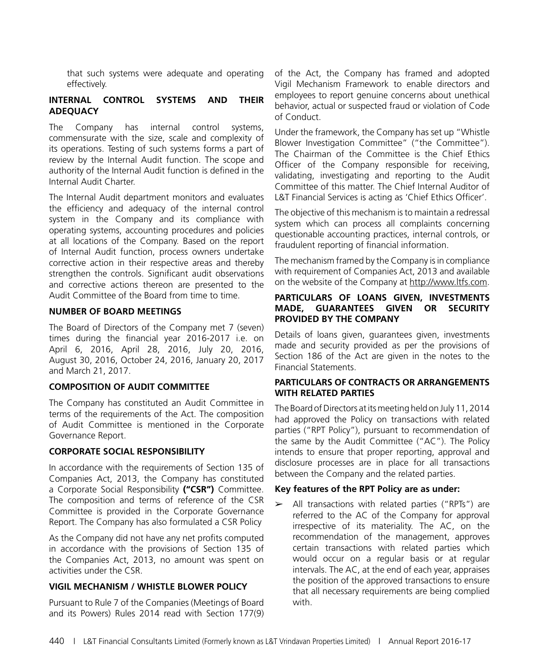that such systems were adequate and operating effectively.

#### **INTERNAL CONTROL SYSTEMS AND THEIR ADEQUACY**

The Company has internal control systems, commensurate with the size, scale and complexity of its operations. Testing of such systems forms a part of review by the Internal Audit function. The scope and authority of the Internal Audit function is defined in the Internal Audit Charter.

The Internal Audit department monitors and evaluates the efficiency and adequacy of the internal control system in the Company and its compliance with operating systems, accounting procedures and policies at all locations of the Company. Based on the report of Internal Audit function, process owners undertake corrective action in their respective areas and thereby strengthen the controls. Significant audit observations and corrective actions thereon are presented to the Audit Committee of the Board from time to time.

#### **NUMBER OF BOARD MEETINGS**

The Board of Directors of the Company met 7 (seven) times during the financial year 2016-2017 i.e. on April 6, 2016, April 28, 2016, July 20, 2016, August 30, 2016, October 24, 2016, January 20, 2017 and March 21, 2017.

#### **COMPOSITION OF AUDIT COMMITTEE**

The Company has constituted an Audit Committee in terms of the requirements of the Act. The composition of Audit Committee is mentioned in the Corporate Governance Report.

#### **CORPORATE SOCIAL RESPONSIBILITY**

In accordance with the requirements of Section 135 of Companies Act, 2013, the Company has constituted a Corporate Social Responsibility **("CSR")** Committee. The composition and terms of reference of the CSR Committee is provided in the Corporate Governance Report. The Company has also formulated a CSR Policy

As the Company did not have any net profits computed in accordance with the provisions of Section 135 of the Companies Act, 2013, no amount was spent on activities under the CSR.

#### **VIGIL MECHANISM / WHISTLE BLOWER POLICY**

Pursuant to Rule 7 of the Companies (Meetings of Board and its Powers) Rules 2014 read with Section 177(9) of the Act, the Company has framed and adopted Vigil Mechanism Framework to enable directors and employees to report genuine concerns about unethical behavior, actual or suspected fraud or violation of Code of Conduct.

Under the framework, the Company has set up "Whistle Blower Investigation Committee" ("the Committee"). The Chairman of the Committee is the Chief Ethics Officer of the Company responsible for receiving, validating, investigating and reporting to the Audit Committee of this matter. The Chief Internal Auditor of L&T Financial Services is acting as 'Chief Ethics Officer'.

The objective of this mechanism is to maintain a redressal system which can process all complaints concerning questionable accounting practices, internal controls, or fraudulent reporting of financial information.

The mechanism framed by the Company is in compliance with requirement of Companies Act, 2013 and available on the website of the Company at http://www.ltfs.com.

#### **PARTICULARS OF LOANS GIVEN, INVESTMENTS MADE, GUARANTEES GIVEN OR SECURITY PROVIDED BY THE COMPANY**

Details of loans given, guarantees given, investments made and security provided as per the provisions of Section 186 of the Act are given in the notes to the Financial Statements.

#### **PARTICULARS OF CONTRACTS OR ARRANGEMENTS WITH RELATED PARTIES**

The Board of Directors at its meeting held on July 11, 2014 had approved the Policy on transactions with related parties ("RPT Policy"), pursuant to recommendation of the same by the Audit Committee ("AC"). The Policy intends to ensure that proper reporting, approval and disclosure processes are in place for all transactions between the Company and the related parties.

#### **Key features of the RPT Policy are as under:**

➢ All transactions with related parties ("RPTs") are referred to the AC of the Company for approval irrespective of its materiality. The AC, on the recommendation of the management, approves certain transactions with related parties which would occur on a regular basis or at regular intervals. The AC, at the end of each year, appraises the position of the approved transactions to ensure that all necessary requirements are being complied with.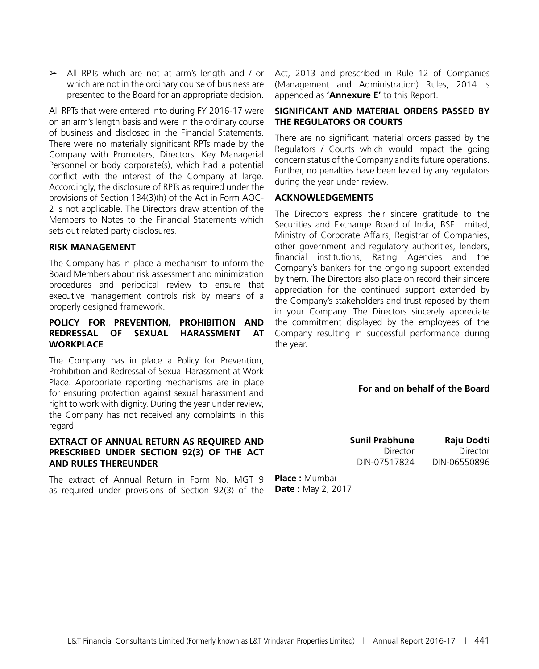$\ge$  All RPTs which are not at arm's length and / or which are not in the ordinary course of business are presented to the Board for an appropriate decision.

All RPTs that were entered into during FY 2016-17 were on an arm's length basis and were in the ordinary course of business and disclosed in the Financial Statements. There were no materially significant RPTs made by the Company with Promoters, Directors, Key Managerial Personnel or body corporate(s), which had a potential conflict with the interest of the Company at large. Accordingly, the disclosure of RPTs as required under the provisions of Section 134(3)(h) of the Act in Form AOC-2 is not applicable. The Directors draw attention of the Members to Notes to the Financial Statements which sets out related party disclosures.

#### **RISK MANAGEMENT**

The Company has in place a mechanism to inform the Board Members about risk assessment and minimization procedures and periodical review to ensure that executive management controls risk by means of a properly designed framework.

#### **POLICY FOR PREVENTION, PROHIBITION AND REDRESSAL OF SEXUAL HARASSMENT AT WORKPLACE**

The Company has in place a Policy for Prevention, Prohibition and Redressal of Sexual Harassment at Work Place. Appropriate reporting mechanisms are in place for ensuring protection against sexual harassment and right to work with dignity. During the year under review, the Company has not received any complaints in this regard.

#### **EXTRACT OF ANNUAL RETURN AS REQUIRED AND PRESCRIBED UNDER SECTION 92(3) OF THE ACT AND RULES THEREUNDER**

The extract of Annual Return in Form No. MGT 9 as required under provisions of Section 92(3) of the Act, 2013 and prescribed in Rule 12 of Companies (Management and Administration) Rules, 2014 is appended as **'Annexure E'** to this Report.

#### **SIGNIFICANT AND MATERIAL ORDERS PASSED BY THE REGULATORS OR COURTS**

There are no significant material orders passed by the Regulators / Courts which would impact the going concern status of the Company and its future operations. Further, no penalties have been levied by any regulators during the year under review.

#### **ACKNOWLEDGEMENTS**

The Directors express their sincere gratitude to the Securities and Exchange Board of India, BSE Limited, Ministry of Corporate Affairs, Registrar of Companies, other government and regulatory authorities, lenders, financial institutions, Rating Agencies and the Company's bankers for the ongoing support extended by them. The Directors also place on record their sincere appreciation for the continued support extended by the Company's stakeholders and trust reposed by them in your Company. The Directors sincerely appreciate the commitment displayed by the employees of the Company resulting in successful performance during the year.

#### **For and on behalf of the Board**

**Sunil Prabhune Raju Dodti** Director Director DIN-07517824 DIN-06550896

**Place :** Mumbai **Date :** May 2, 2017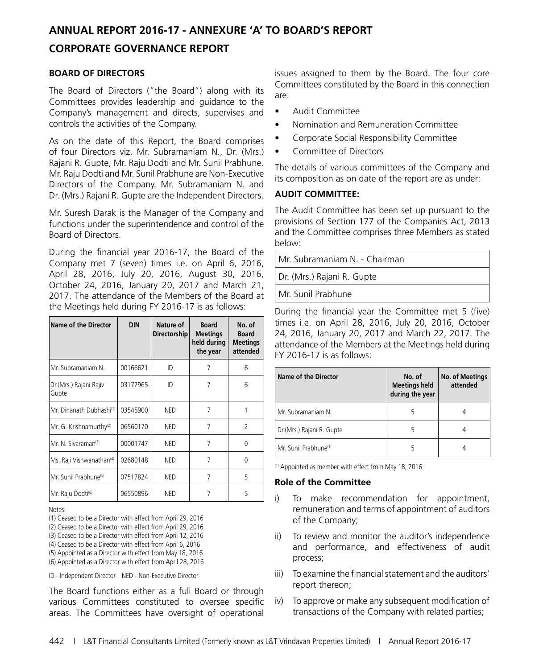### **ANNUAL REPORT 2016-17 - ANNEXURE 'A' TO BOARD'S REPORT CORPORATE GOVERNANCE REPORT**

#### **BOARD OF DIRECTORS**

The Board of Directors ("the Board") along with its Committees provides leadership and guidance to the Company's management and directs, supervises and controls the activities of the Company.

As on the date of this Report, the Board comprises of four Directors viz. Mr. Subramaniam N., Dr. (Mrs.) Rajani R. Gupte, Mr. Raju Dodti and Mr. Sunil Prabhune. Mr. Raju Dodti and Mr. Sunil Prabhune are Non-Executive Directors of the Company. Mr. Subramaniam N. and Dr. (Mrs.) Rajani R. Gupte are the Independent Directors.

Mr. Suresh Darak is the Manager of the Company and functions under the superintendence and control of the Board of Directors.

During the financial year 2016-17, the Board of the Company met 7 (seven) times i.e. on April 6, 2016, April 28, 2016, July 20, 2016, August 30, 2016, October 24, 2016, January 20, 2017 and March 21, 2017. The attendance of the Members of the Board at the Meetings held during FY 2016-17 is as follows:

| Name of the Director                 | <b>DIN</b> | Nature of<br><b>Directorship</b> | <b>Board</b><br><b>Meetings</b><br>held during<br>the year | No. of<br><b>Board</b><br><b>Meetings</b><br>attended |
|--------------------------------------|------------|----------------------------------|------------------------------------------------------------|-------------------------------------------------------|
| Mr. Subramaniam N.                   | 00166621   | ID                               | 7                                                          | 6                                                     |
| Dr.(Mrs.) Rajani Rajiv<br>Gupte      | 03172965   | ID                               | 7                                                          | 6                                                     |
| Mr. Dinanath Dubhashi <sup>(1)</sup> | 03545900   | <b>NED</b>                       | 7                                                          |                                                       |
| Mr. G. Krishnamurthy <sup>(2)</sup>  | 06560170   | <b>NED</b>                       | 7                                                          | $\overline{2}$                                        |
| Mr. N. Sivaraman <sup>(3)</sup>      | 00001747   | <b>NED</b>                       | 7                                                          | U                                                     |
| Ms. Raji Vishwanathan <sup>(4)</sup> | 02680148   | <b>NED</b>                       | 7                                                          | 0                                                     |
| Mr. Sunil Prabhune <sup>(5)</sup>    | 07517824   | <b>NED</b>                       | 7                                                          | 5                                                     |
| Mr. Raju Dodti <sup>(6)</sup>        | 06550896   | <b>NED</b>                       | 7                                                          | 5                                                     |

Notes:

(1) Ceased to be a Director with effect from April 29, 2016

(2) Ceased to be a Director with effect from April 29, 2016

(3) Ceased to be a Director with effect from April 12, 2016

(4) Ceased to be a Director with effect from April 6, 2016

(5) Appointed as a Director with effect from May 18, 2016

(6) Appointed as a Director with effect from April 28, 2016

ID - Independent Director NED - Non-Executive Director

The Board functions either as a full Board or through various Committees constituted to oversee specific areas. The Committees have oversight of operational

issues assigned to them by the Board. The four core Committees constituted by the Board in this connection are:

- Audit Committee
- • Nomination and Remuneration Committee
- Corporate Social Responsibility Committee
- • Committee of Directors

The details of various committees of the Company and its composition as on date of the report are as under:

#### **AUDIT COMMITTEE:**

The Audit Committee has been set up pursuant to the provisions of Section 177 of the Companies Act, 2013 and the Committee comprises three Members as stated below:

Mr. Subramaniam N. - Chairman

Dr. (Mrs.) Rajani R. Gupte

Mr. Sunil Prabhune

During the financial year the Committee met 5 (five) times i.e. on April 28, 2016, July 20, 2016, October 24, 2016, January 20, 2017 and March 22, 2017. The attendance of the Members at the Meetings held during FY 2016-17 is as follows:

| <b>Name of the Director</b>       | No. of<br><b>Meetings held</b><br>during the year | <b>No. of Meetings</b><br>attended |
|-----------------------------------|---------------------------------------------------|------------------------------------|
| Mr. Subramaniam N.                |                                                   |                                    |
| Dr.(Mrs.) Rajani R. Gupte         |                                                   |                                    |
| Mr. Sunil Prabhune <sup>(1)</sup> |                                                   |                                    |

(1) Appointed as member with effect from May 18, 2016

#### **Role of the Committee**

- i) To make recommendation for appointment, remuneration and terms of appointment of auditors of the Company;
- ii) To review and monitor the auditor's independence and performance, and effectiveness of audit process;
- iii) To examine the financial statement and the auditors' report thereon;
- iv) To approve or make any subsequent modification of transactions of the Company with related parties;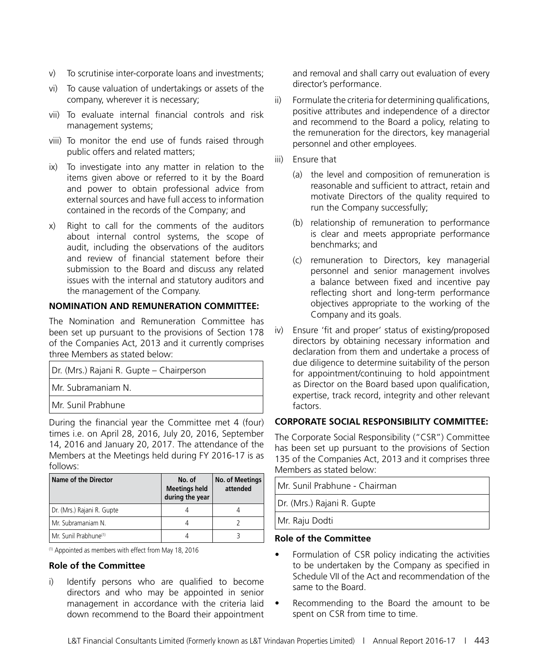- v) To scrutinise inter-corporate loans and investments;
- vi) To cause valuation of undertakings or assets of the company, wherever it is necessary;
- vii) To evaluate internal financial controls and risk management systems;
- viii) To monitor the end use of funds raised through public offers and related matters;
- ix) To investigate into any matter in relation to the items given above or referred to it by the Board and power to obtain professional advice from external sources and have full access to information contained in the records of the Company; and
- x) Right to call for the comments of the auditors about internal control systems, the scope of audit, including the observations of the auditors and review of financial statement before their submission to the Board and discuss any related issues with the internal and statutory auditors and the management of the Company.

#### **NOMINATION AND REMUNERATION COMMITTEE:**

The Nomination and Remuneration Committee has been set up pursuant to the provisions of Section 178 of the Companies Act, 2013 and it currently comprises three Members as stated below:

| Dr. (Mrs.) Rajani R. Gupte - Chairperson |
|------------------------------------------|
| Mr. Subramaniam N.                       |
| UMr. Sunil Prabhune                      |

During the financial year the Committee met 4 (four) times i.e. on April 28, 2016, July 20, 2016, September 14, 2016 and January 20, 2017. The attendance of the Members at the Meetings held during FY 2016-17 is as follows:

| Name of the Director              | No. of<br><b>Meetings held</b><br>during the year | <b>No. of Meetings</b><br>attended |
|-----------------------------------|---------------------------------------------------|------------------------------------|
| Dr. (Mrs.) Rajani R. Gupte        |                                                   |                                    |
| l Mr. Subramaniam N.              |                                                   |                                    |
| Mr. Sunil Prabhune <sup>(1)</sup> |                                                   |                                    |

(1) Appointed as members with effect from May 18, 2016

#### **Role of the Committee**

i) Identify persons who are qualified to become directors and who may be appointed in senior management in accordance with the criteria laid down recommend to the Board their appointment

and removal and shall carry out evaluation of every director's performance.

- ii) Formulate the criteria for determining qualifications, positive attributes and independence of a director and recommend to the Board a policy, relating to the remuneration for the directors, key managerial personnel and other employees.
- iii) Ensure that
	- (a) the level and composition of remuneration is reasonable and sufficient to attract, retain and motivate Directors of the quality required to run the Company successfully;
	- (b) relationship of remuneration to performance is clear and meets appropriate performance benchmarks; and
	- (c) remuneration to Directors, key managerial personnel and senior management involves a balance between fixed and incentive pay reflecting short and long-term performance objectives appropriate to the working of the Company and its goals.
- iv) Ensure 'fit and proper' status of existing/proposed directors by obtaining necessary information and declaration from them and undertake a process of due diligence to determine suitability of the person for appointment/continuing to hold appointment as Director on the Board based upon qualification, expertise, track record, integrity and other relevant factors.

#### **CORPORATE SOCIAL RESPONSIBILITY COMMITTEE:**

The Corporate Social Responsibility ("CSR") Committee has been set up pursuant to the provisions of Section 135 of the Companies Act, 2013 and it comprises three Members as stated below:

| Mr. Sunil Prabhune - Chairman |  |
|-------------------------------|--|
| Dr. (Mrs.) Rajani R. Gupte    |  |
| Mr. Raju Dodti                |  |

#### **Role of the Committee**

- Formulation of CSR policy indicating the activities to be undertaken by the Company as specified in Schedule VII of the Act and recommendation of the same to the Board.
- • Recommending to the Board the amount to be spent on CSR from time to time.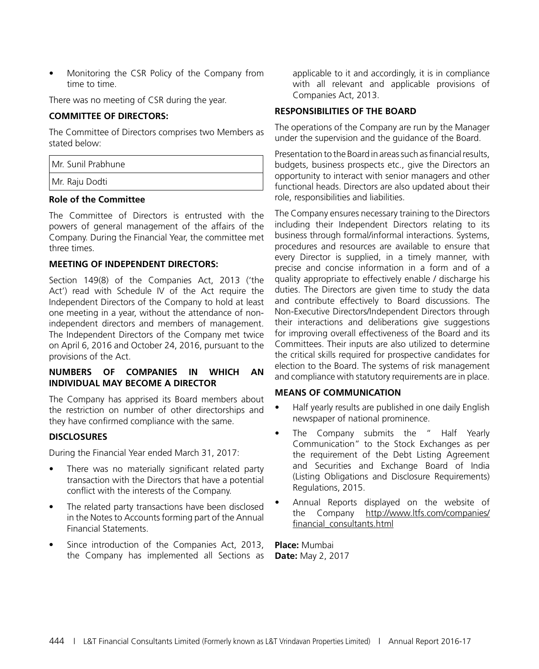Monitoring the CSR Policy of the Company from time to time.

There was no meeting of CSR during the year.

#### **COMMITTEE OF DIRECTORS:**

The Committee of Directors comprises two Members as stated below:

| Mr. Sunil Prabhune |
|--------------------|
| Mr. Raju Dodti     |
|                    |

#### **Role of the Committee**

The Committee of Directors is entrusted with the powers of general management of the affairs of the Company. During the Financial Year, the committee met three times.

#### **MEETING OF INDEPENDENT DIRECTORS:**

Section 149(8) of the Companies Act, 2013 ('the Act') read with Schedule IV of the Act require the Independent Directors of the Company to hold at least one meeting in a year, without the attendance of nonindependent directors and members of management. The Independent Directors of the Company met twice on April 6, 2016 and October 24, 2016, pursuant to the provisions of the Act.

#### **NUMBERS OF COMPANIES IN WHICH AN INDIVIDUAL MAY BECOME A DIRECTOR**

The Company has apprised its Board members about the restriction on number of other directorships and they have confirmed compliance with the same.

#### **DISCLOSURES**

During the Financial Year ended March 31, 2017:

- There was no materially significant related party transaction with the Directors that have a potential conflict with the interests of the Company.
- The related party transactions have been disclosed in the Notes to Accounts forming part of the Annual Financial Statements.
- Since introduction of the Companies Act, 2013, the Company has implemented all Sections as

applicable to it and accordingly, it is in compliance with all relevant and applicable provisions of Companies Act, 2013.

#### **RESPONSIBILITIES OF THE BOARD**

The operations of the Company are run by the Manager under the supervision and the guidance of the Board.

Presentation to the Board in areas such as financial results, budgets, business prospects etc., give the Directors an opportunity to interact with senior managers and other functional heads. Directors are also updated about their role, responsibilities and liabilities.

The Company ensures necessary training to the Directors including their Independent Directors relating to its business through formal/informal interactions. Systems, procedures and resources are available to ensure that every Director is supplied, in a timely manner, with precise and concise information in a form and of a quality appropriate to effectively enable / discharge his duties. The Directors are given time to study the data and contribute effectively to Board discussions. The Non-Executive Directors/Independent Directors through their interactions and deliberations give suggestions for improving overall effectiveness of the Board and its Committees. Their inputs are also utilized to determine the critical skills required for prospective candidates for election to the Board. The systems of risk management and compliance with statutory requirements are in place.

#### **MEANS OF COMMUNICATION**

- Half yearly results are published in one daily English newspaper of national prominence.
- The Company submits the " Half Yearly Communication" to the Stock Exchanges as per the requirement of the Debt Listing Agreement and Securities and Exchange Board of India (Listing Obligations and Disclosure Requirements) Regulations, 2015.
- Annual Reports displayed on the website of the Company http://www.ltfs.com/companies/ financial\_consultants.html

**Place:** Mumbai **Date:** May 2, 2017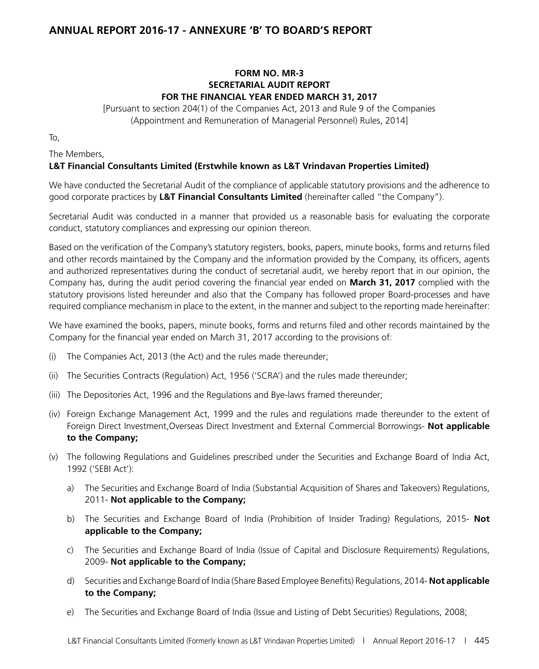### **ANNUAL REPORT 2016-17 - ANNEXURE 'B' TO BOARD'S REPORT**

#### **FORM NO. MR-3 SECRETARIAL AUDIT REPORT FOR THE FINANCIAL YEAR ENDED MARCH 31, 2017**

[Pursuant to section 204(1) of the Companies Act, 2013 and Rule 9 of the Companies (Appointment and Remuneration of Managerial Personnel) Rules, 2014]

To,

The Members,

#### **L&T Financial Consultants Limited (Erstwhile known as L&T Vrindavan Properties Limited)**

We have conducted the Secretarial Audit of the compliance of applicable statutory provisions and the adherence to good corporate practices by **L&T Financial Consultants Limited** (hereinafter called "the Company").

Secretarial Audit was conducted in a manner that provided us a reasonable basis for evaluating the corporate conduct, statutory compliances and expressing our opinion thereon.

Based on the verification of the Company's statutory registers, books, papers, minute books, forms and returns filed and other records maintained by the Company and the information provided by the Company, its officers, agents and authorized representatives during the conduct of secretarial audit, we hereby report that in our opinion, the Company has, during the audit period covering the financial year ended on **March 31, 2017** complied with the statutory provisions listed hereunder and also that the Company has followed proper Board-processes and have required compliance mechanism in place to the extent, in the manner and subject to the reporting made hereinafter:

We have examined the books, papers, minute books, forms and returns filed and other records maintained by the Company for the financial year ended on March 31, 2017 according to the provisions of:

- (i) The Companies Act, 2013 (the Act) and the rules made thereunder;
- (ii) The Securities Contracts (Regulation) Act, 1956 ('SCRA') and the rules made thereunder;
- (iii) The Depositories Act, 1996 and the Regulations and Bye-laws framed thereunder;
- (iv) Foreign Exchange Management Act, 1999 and the rules and regulations made thereunder to the extent of Foreign Direct Investment,Overseas Direct Investment and External Commercial Borrowings- **Not applicable to the Company;**
- (v) The following Regulations and Guidelines prescribed under the Securities and Exchange Board of India Act, 1992 ('SEBI Act'):
	- a) The Securities and Exchange Board of India (Substantial Acquisition of Shares and Takeovers) Regulations, 2011- **Not applicable to the Company;**
	- b) The Securities and Exchange Board of India (Prohibition of Insider Trading) Regulations, 2015- **Not applicable to the Company;**
	- c) The Securities and Exchange Board of India (Issue of Capital and Disclosure Requirements) Regulations, 2009- **Not applicable to the Company;**
	- d) Securities and Exchange Board of India (Share Based Employee Benefits) Regulations, 2014- **Not applicable to the Company;**
	- e) The Securities and Exchange Board of India (Issue and Listing of Debt Securities) Regulations, 2008;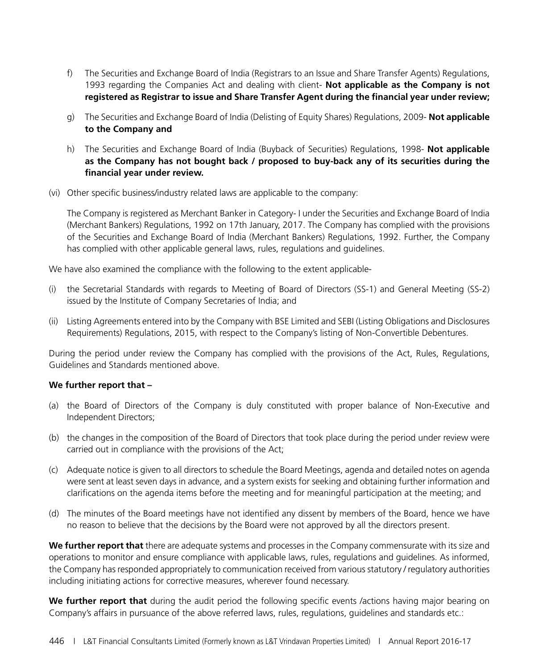- f) The Securities and Exchange Board of India (Registrars to an Issue and Share Transfer Agents) Regulations, 1993 regarding the Companies Act and dealing with client- **Not applicable as the Company is not registered as Registrar to issue and Share Transfer Agent during the financial year under review;**
- g) The Securities and Exchange Board of India (Delisting of Equity Shares) Regulations, 2009- **Not applicable to the Company and**
- h) The Securities and Exchange Board of India (Buyback of Securities) Regulations, 1998- **Not applicable as the Company has not bought back / proposed to buy-back any of its securities during the financial year under review.**
- (vi) Other specific business/industry related laws are applicable to the company:

The Company is registered as Merchant Banker in Category- I under the Securities and Exchange Board of India (Merchant Bankers) Regulations, 1992 on 17th January, 2017. The Company has complied with the provisions of the Securities and Exchange Board of India (Merchant Bankers) Regulations, 1992. Further, the Company has complied with other applicable general laws, rules, regulations and guidelines.

We have also examined the compliance with the following to the extent applicable-

- (i) the Secretarial Standards with regards to Meeting of Board of Directors (SS-1) and General Meeting (SS-2) issued by the Institute of Company Secretaries of India; and
- (ii) Listing Agreements entered into by the Company with BSE Limited and SEBI (Listing Obligations and Disclosures Requirements) Regulations, 2015, with respect to the Company's listing of Non-Convertible Debentures.

During the period under review the Company has complied with the provisions of the Act, Rules, Regulations, Guidelines and Standards mentioned above.

#### **We further report that –**

- (a) the Board of Directors of the Company is duly constituted with proper balance of Non-Executive and Independent Directors;
- (b) the changes in the composition of the Board of Directors that took place during the period under review were carried out in compliance with the provisions of the Act;
- (c) Adequate notice is given to all directors to schedule the Board Meetings, agenda and detailed notes on agenda were sent at least seven days in advance, and a system exists for seeking and obtaining further information and clarifications on the agenda items before the meeting and for meaningful participation at the meeting; and
- (d) The minutes of the Board meetings have not identified any dissent by members of the Board, hence we have no reason to believe that the decisions by the Board were not approved by all the directors present.

**We further report that** there are adequate systems and processes in the Company commensurate with its size and operations to monitor and ensure compliance with applicable laws, rules, regulations and guidelines. As informed, the Company has responded appropriately to communication received from various statutory / regulatory authorities including initiating actions for corrective measures, wherever found necessary.

**We further report that** during the audit period the following specific events /actions having major bearing on Company's affairs in pursuance of the above referred laws, rules, regulations, guidelines and standards etc.: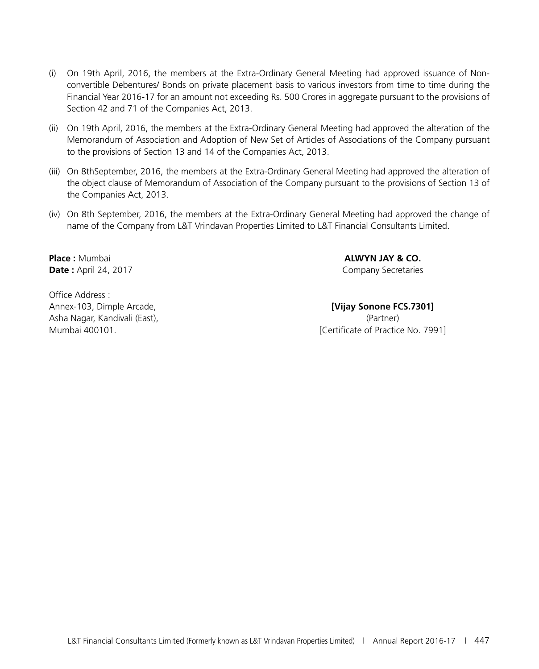- (i) On 19th April, 2016, the members at the Extra-Ordinary General Meeting had approved issuance of Nonconvertible Debentures/ Bonds on private placement basis to various investors from time to time during the Financial Year 2016-17 for an amount not exceeding Rs. 500 Crores in aggregate pursuant to the provisions of Section 42 and 71 of the Companies Act, 2013.
- (ii) On 19th April, 2016, the members at the Extra-Ordinary General Meeting had approved the alteration of the Memorandum of Association and Adoption of New Set of Articles of Associations of the Company pursuant to the provisions of Section 13 and 14 of the Companies Act, 2013.
- (iii) On 8thSeptember, 2016, the members at the Extra-Ordinary General Meeting had approved the alteration of the object clause of Memorandum of Association of the Company pursuant to the provisions of Section 13 of the Companies Act, 2013.
- (iv) On 8th September, 2016, the members at the Extra-Ordinary General Meeting had approved the change of name of the Company from L&T Vrindavan Properties Limited to L&T Financial Consultants Limited.

**Date :** April 24, 2017 Company Secretaries

Office Address : Annex-103, Dimple Arcade, **[Vijay Sonone FCS.7301]** Asha Nagar, Kandivali (East), (Partner)

**Place :** Mumbai **ALWYN JAY & CO.**

Mumbai 400101. [Certificate of Practice No. 7991]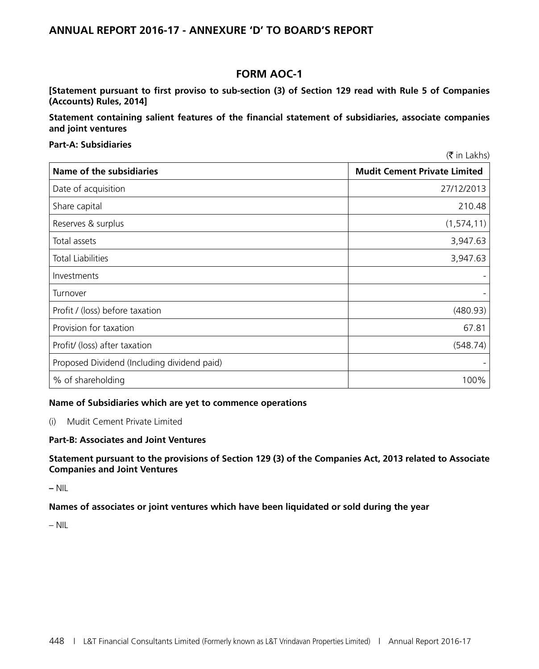#### **ANNUAL REPORT 2016-17 - ANNEXURE 'D' TO BOARD'S REPORT**

#### **FORM AOC-1**

**[Statement pursuant to first proviso to sub-section (3) of Section 129 read with Rule 5 of Companies (Accounts) Rules, 2014]**

**Statement containing salient features of the financial statement of subsidiaries, associate companies and joint ventures**

#### **Part-A: Subsidiaries**

 $(\bar{\bar{\zeta}}$  in Lakhs)

| Name of the subsidiaries                    | <b>Mudit Cement Private Limited</b> |
|---------------------------------------------|-------------------------------------|
| Date of acquisition                         | 27/12/2013                          |
| Share capital                               | 210.48                              |
| Reserves & surplus                          | (1, 574, 11)                        |
| Total assets                                | 3,947.63                            |
| <b>Total Liabilities</b>                    | 3,947.63                            |
| Investments                                 |                                     |
| Turnover                                    |                                     |
| Profit / (loss) before taxation             | (480.93)                            |
| Provision for taxation                      | 67.81                               |
| Profit/ (loss) after taxation               | (548.74)                            |
| Proposed Dividend (Including dividend paid) |                                     |
| % of shareholding                           | 100%                                |

#### **Name of Subsidiaries which are yet to commence operations**

(i) Mudit Cement Private Limited

#### **Part-B: Associates and Joint Ventures**

**Statement pursuant to the provisions of Section 129 (3) of the Companies Act, 2013 related to Associate Companies and Joint Ventures** 

**–** NIL

**Names of associates or joint ventures which have been liquidated or sold during the year**

– NIL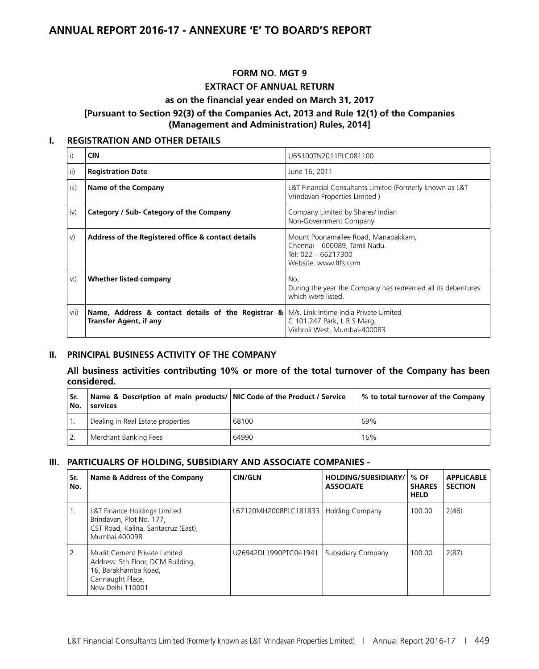#### **ANNUAL REPORT 2016-17 - ANNEXURE 'E' TO BOARD'S REPORT**

### **FORM NO. MGT 9 EXTRACT OF ANNUAL RETURN**

#### **as on the financial year ended on March 31, 2017**

#### **[Pursuant to Section 92(3) of the Companies Act, 2013 and Rule 12(1) of the Companies (Management and Administration) Rules, 2014]**

#### **I. REGISTRATION AND OTHER DETAILS**

| i)   | <b>CIN</b>                                                                                                                                        | U65100TN2011PLC081100                                                                                                |
|------|---------------------------------------------------------------------------------------------------------------------------------------------------|----------------------------------------------------------------------------------------------------------------------|
| ii)  | <b>Registration Date</b>                                                                                                                          | June 16, 2011                                                                                                        |
| iii) | Name of the Company                                                                                                                               | L&T Financial Consultants Limited (Formerly known as L&T<br>Vrindavan Properties Limited)                            |
| iv)  | Category / Sub- Category of the Company                                                                                                           | Company Limited by Shares/ Indian<br>Non-Government Company                                                          |
| V)   | Address of the Registered office & contact details                                                                                                | Mount Poonamallee Road, Manapakkam,<br>Chennai - 600089, Tamil Nadu.<br>Tel: 022 - 66217300<br>Website: www.ltfs.com |
| vi)  | Whether listed company                                                                                                                            | No.<br>During the year the Company has redeemed all its debentures<br>which were listed.                             |
| vii) | <b>Name, Address &amp; contact details of the Registrar &amp; <math> M/s </math>.</b> Link Intime India Private Limited<br>Transfer Agent, if any | C 101,247 Park, L B S Marg,<br>Vikhroli West, Mumbai-400083                                                          |

#### **II. PRINCIPAL BUSINESS ACTIVITY OF THE COMPANY**

**All business activities contributing 10% or more of the total turnover of the Company has been considered.**

| Sr.<br>No. | Name & Description of main products/ NIC Code of the Product / Service<br>services |       | % to total turnover of the Company |
|------------|------------------------------------------------------------------------------------|-------|------------------------------------|
|            | Dealing in Real Estate properties                                                  | 68100 | 69%                                |
|            | Merchant Banking Fees                                                              | 64990 | 16%                                |

#### **III. PARTICUALRS OF HOLDING, SUBSIDIARY AND ASSOCIATE COMPANIES -**

| Sr.<br>No. | Name & Address of the Company                                                                                                     | <b>CIN/GLN</b>        | HOLDING/SUBSIDIARY/<br><b>ASSOCIATE</b> | % OF<br><b>SHARES</b><br><b>HELD</b> | <b>APPLICABLE</b><br><b>SECTION</b> |
|------------|-----------------------------------------------------------------------------------------------------------------------------------|-----------------------|-----------------------------------------|--------------------------------------|-------------------------------------|
| 1.         | L&T Finance Holdings Limited<br>Brindavan, Plot No. 177,<br>CST Road, Kalina, Santacruz (East),<br>Mumbai 400098                  | L67120MH2008PLC181833 | <b>Holding Company</b>                  | 100.00                               | 2(46)                               |
| 2.         | Mudit Cement Private Limited<br>Address: 5th Floor, DCM Building,<br>16, Barakhamba Road,<br>Cannaught Place,<br>New Delhi 110001 | U26942DL1990PTC041941 | Subsidiary Company                      | 100.00                               | 2(87)                               |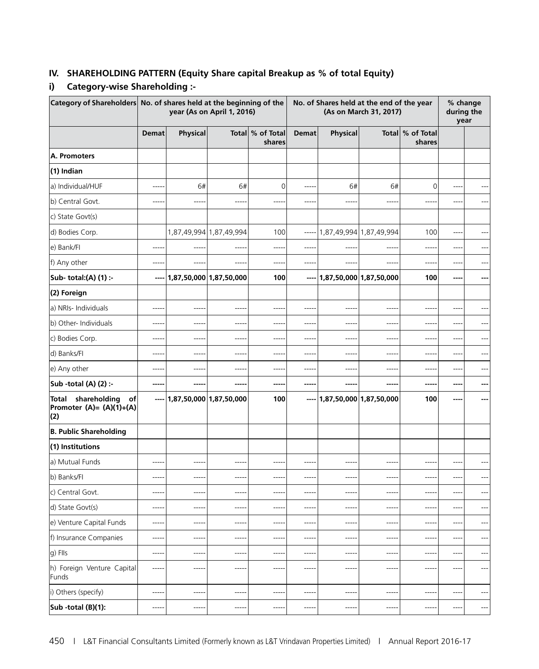#### **IV. SHAREHOLDING PATTERN (Equity Share capital Breakup as % of total Equity)**

#### **i) Category-wise Shareholding :-**

| Category of Shareholders No. of shares held at the beginning of the |              |                               | year (As on April 1, 2016) |                            |              |           | No. of Shares held at the end of the year<br>(As on March 31, 2017) |                            |          | % change<br>during the<br>year |
|---------------------------------------------------------------------|--------------|-------------------------------|----------------------------|----------------------------|--------------|-----------|---------------------------------------------------------------------|----------------------------|----------|--------------------------------|
|                                                                     | <b>Demat</b> | Physical                      |                            | Total % of Total<br>shares | <b>Demat</b> | Physical  |                                                                     | Total % of Total<br>shares |          |                                |
| A. Promoters                                                        |              |                               |                            |                            |              |           |                                                                     |                            |          |                                |
| (1) Indian                                                          |              |                               |                            |                            |              |           |                                                                     |                            |          |                                |
| a) Individual/HUF                                                   | ----         | 6#                            | 6#                         | $\mathbf 0$                | $---$        | 6#        | 6#                                                                  | 0                          | ---      |                                |
| b) Central Govt.                                                    | ----         | ----                          |                            |                            |              | $---$     | $---$                                                               | $---$                      | ---      |                                |
| c) State Govt(s)                                                    |              |                               |                            |                            |              |           |                                                                     |                            |          |                                |
| d) Bodies Corp.                                                     |              |                               | 1,87,49,994 1,87,49,994    | 100                        | -----        |           | 1,87,49,994 1,87,49,994                                             | 100                        | ---      |                                |
| e) Bank/Fl                                                          | ----         | $---$                         | $---$                      | ----                       | $---$        | ----      | $- - - -$                                                           | ----                       | $---$    |                                |
| f) Any other                                                        | ----         | $---$                         | $---$                      | ----                       | $- - - -$    | ----      | ----                                                                | ----                       | ----     |                                |
| Sub- total:(A) (1) :-                                               |              | $--- 1,87,50,000 1,87,50,000$ |                            | 100                        | $\cdots$     |           | 1,87,50,000 1,87,50,000                                             | 100                        | ---      |                                |
| (2) Foreign                                                         |              |                               |                            |                            |              |           |                                                                     |                            |          |                                |
| a) NRIs- Individuals                                                | -----        |                               | ----                       |                            | ----         |           | ----                                                                | ---                        | ---      |                                |
| b) Other- Individuals                                               | ----         | ----                          | $---$                      | ----                       | $- - - -$    | ----      | ----                                                                | ---                        | ---      |                                |
| c) Bodies Corp.                                                     | ----         | -----                         | ----                       | ----                       | $- - - -$    | -----     | ----                                                                | ----                       | ----     |                                |
| d) Banks/Fl                                                         | ----         |                               | $---$                      | ----                       | $---$        | ---       | ----                                                                | ---                        | ---      |                                |
| e) Any other                                                        | $- - - -$    | $---$                         | ----                       | ----                       | -----        | -----     | ----                                                                | ---                        | $---$    | ---                            |
| Sub -total (A) (2) :-                                               | -----        | ----                          | ----                       | ----                       | ----         |           | ----                                                                | ---                        | ---      |                                |
| shareholding<br>Total<br>of<br>Promoter $(A)=(A)(1)+(A)$<br>(2)     |              | $--- 1,87,50,000 1,87,50,000$ |                            | 100                        | $-----$      |           | 1,87,50,000 1,87,50,000                                             | 100                        |          |                                |
| <b>B. Public Shareholding</b>                                       |              |                               |                            |                            |              |           |                                                                     |                            |          |                                |
| (1) Institutions                                                    |              |                               |                            |                            |              |           |                                                                     |                            |          |                                |
| a) Mutual Funds                                                     | ----         |                               | ----                       | ----                       |              | ---       | ----                                                                | ---                        |          |                                |
| b) Banks/Fl                                                         | ----         | $- - - -$                     | $- - - -$                  | $---$                      | -----        | ----      | ----                                                                | ----                       | ----     |                                |
| c) Central Govt.                                                    | $---$        | ----                          | ----                       |                            | ----         | ---       | ----                                                                | ---                        |          |                                |
| d) State Govt(s)                                                    | $- - - -$    | $- - - -$                     | $---$                      | $---$                      | $- - - - -$  | -----     | -----                                                               | ----                       | ----     | $---$                          |
| e) Venture Capital Funds                                            | ----         | $-- - -$                      | ----                       |                            | ----         | ----      | ----                                                                | ----                       | ----     | $---$                          |
| f) Insurance Companies                                              | ----         | $--- -$                       | $- - - -$                  | ----                       | ----         | ----      | $- - - -$                                                           | ----                       |          | $\overline{\phantom{a}}$       |
| g) Flls                                                             | $-----$      | $-----$                       | ----                       | $--- -$                    | -----        | -----     | $-----$                                                             | $---$                      | $---$    | $---$                          |
| h) Foreign Venture Capital<br>Funds                                 | $- - - -$    | ----                          | ----                       | $---$                      | ----         | ----      | $---$                                                               | ----                       | $---$    | $---$                          |
| i) Others (specify)                                                 | ----         | $---$                         | $---$                      | $---$                      | -----        | $- - - -$ | $- - - -$                                                           | ----                       | $---$    | $---$                          |
| Sub -total (B)(1):                                                  | ----         | -----                         | -----                      | $- - - -$                  | -----        | -----     | $-----$                                                             | $-----$                    | $-- - -$ | $\qquad \qquad \text{---}$     |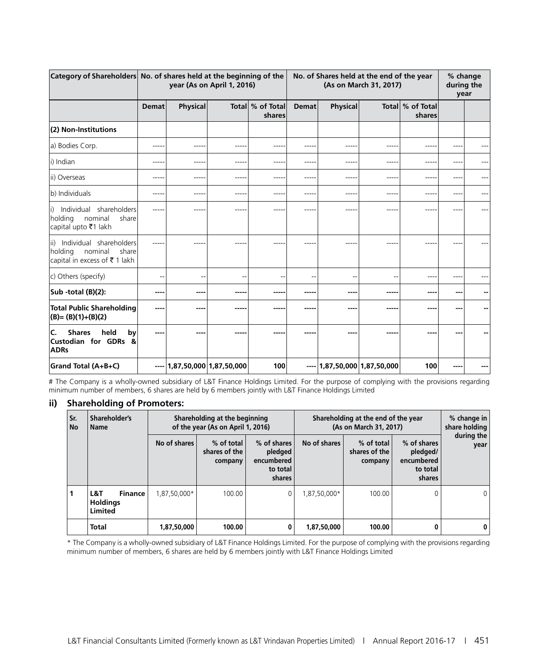|                                                                                                 |              | Category of Shareholders No. of shares held at the beginning of the<br>year (As on April 1, 2016) |                               |                            | No. of Shares held at the end of the year<br>(As on March 31, 2017) |                               |      |                            | % change<br>during the<br>year |  |
|-------------------------------------------------------------------------------------------------|--------------|---------------------------------------------------------------------------------------------------|-------------------------------|----------------------------|---------------------------------------------------------------------|-------------------------------|------|----------------------------|--------------------------------|--|
|                                                                                                 | <b>Demat</b> | <b>Physical</b>                                                                                   |                               | Total % of Total<br>shares | <b>Demat</b>                                                        | <b>Physical</b>               |      | Total % of Total<br>shares |                                |  |
| (2) Non-Institutions                                                                            |              |                                                                                                   |                               |                            |                                                                     |                               |      |                            |                                |  |
| a) Bodies Corp.                                                                                 | ----         | ----                                                                                              | ----                          |                            | $- - - - -$                                                         | ---                           | ---- | ---                        |                                |  |
| li) Indian                                                                                      | ----         | $- - - -$                                                                                         | ----                          | ---                        | $- - - - -$                                                         | ----                          | ---- | $---$                      | ---                            |  |
| ii) Overseas                                                                                    | ---          |                                                                                                   | ----                          |                            | $- - - -$                                                           |                               | ---- | ---                        |                                |  |
| b) Individuals                                                                                  | ----         |                                                                                                   |                               |                            | ----                                                                |                               | ---- | ---                        |                                |  |
| Individual shareholders<br>li)<br>holding nominal<br>share<br>capital upto ₹1 lakh              |              |                                                                                                   |                               |                            | ----                                                                |                               |      |                            |                                |  |
| Individual shareholders<br>lii).<br>holding<br>nominal<br>share<br>capital in excess of ₹1 lakh |              |                                                                                                   |                               |                            | -----                                                               |                               |      |                            |                                |  |
| c) Others (specify)                                                                             |              | $\overline{\phantom{a}}$                                                                          | ٠.                            | --                         | --                                                                  |                               |      | $- -$                      |                                |  |
| Sub -total (B)(2):                                                                              | ---          |                                                                                                   |                               |                            | -----                                                               | ----                          | ---- |                            | ---                            |  |
| <b>Total Public Shareholding</b><br>$(B)=(B)(1)+(B)(2)$                                         | ---          | ----                                                                                              | ----                          |                            | -----                                                               | ----                          | ---- | ---                        |                                |  |
| held<br><b>Shares</b><br>by<br>IC.<br><b>Custodian for GDRs &amp;</b><br><b>ADRs</b>            |              |                                                                                                   |                               |                            | -----                                                               |                               |      |                            |                                |  |
| Grand Total (A+B+C)                                                                             |              |                                                                                                   | $- - 1,87,50,000 1,87,50,000$ | 100                        |                                                                     | $- - 1,87,50,000 1,87,50,000$ |      | 100                        |                                |  |

# The Company is a wholly-owned subsidiary of L&T Finance Holdings Limited. For the purpose of complying with the provisions regarding minimum number of members, 6 shares are held by 6 members jointly with L&T Finance Holdings Limited

#### **ii) Shareholding of Promoters:**

| Sr.<br><b>No</b> | Shareholder's<br><b>Name</b>                        |              | Shareholding at the beginning<br>of the year (As on April 1, 2016) |                                                            | Shareholding at the end of the year<br>(As on March 31, 2017) |                                        |                                                             | % change in<br>share holding |  |
|------------------|-----------------------------------------------------|--------------|--------------------------------------------------------------------|------------------------------------------------------------|---------------------------------------------------------------|----------------------------------------|-------------------------------------------------------------|------------------------------|--|
|                  |                                                     | No of shares | % of total<br>shares of the<br>company                             | % of shares<br>pledged<br>encumbered<br>to total<br>shares | No of shares                                                  | % of total<br>shares of the<br>company | % of shares<br>pledged/<br>encumbered<br>to total<br>shares | during the<br>year           |  |
|                  | L&T<br><b>Finance</b><br><b>Holdings</b><br>Limited | 1,87,50,000* | 100.00                                                             | 0                                                          | 1.87.50.000*                                                  | 100.00                                 |                                                             | $\Omega$                     |  |
|                  | <b>Total</b>                                        | 1,87,50,000  | 100.00                                                             | 0                                                          | 1,87,50,000                                                   | 100.00                                 |                                                             | 0 <sup>1</sup>               |  |

\* The Company is a wholly-owned subsidiary of L&T Finance Holdings Limited. For the purpose of complying with the provisions regarding minimum number of members, 6 shares are held by 6 members jointly with L&T Finance Holdings Limited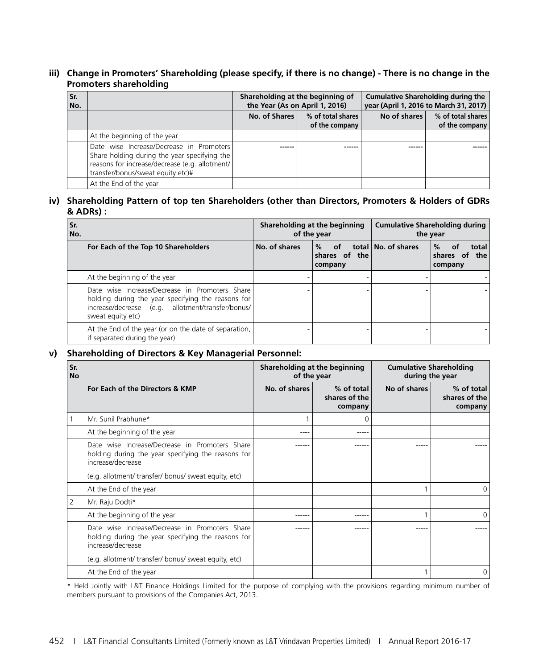#### **iii) Change in Promoters' Shareholding (please specify, if there is no change) - There is no change in the Promoters shareholding**

| Sr.<br>No. |                                                                                                                                                                                 | Shareholding at the beginning of<br>the Year (As on April 1, 2016) |                                     |              | <b>Cumulative Shareholding during the</b><br>year (April 1, 2016 to March 31, 2017) |
|------------|---------------------------------------------------------------------------------------------------------------------------------------------------------------------------------|--------------------------------------------------------------------|-------------------------------------|--------------|-------------------------------------------------------------------------------------|
|            |                                                                                                                                                                                 | No. of Shares                                                      | % of total shares<br>of the company | No of shares | % of total shares<br>of the company                                                 |
|            | At the beginning of the year                                                                                                                                                    |                                                                    |                                     |              |                                                                                     |
|            | Date wise Increase/Decrease in Promoters<br>Share holding during the year specifying the<br>reasons for increase/decrease (e.g. allotment/<br>transfer/bonus/sweat equity etc)# |                                                                    |                                     |              |                                                                                     |
|            | At the End of the year                                                                                                                                                          |                                                                    |                                     |              |                                                                                     |

#### **iv) Shareholding Pattern of top ten Shareholders (other than Directors, Promoters & Holders of GDRs & ADRs) :**

| Sr.<br>No. |                                                                                                                                                                                | Shareholding at the beginning<br>of the year |                                          | <b>Cumulative Shareholding during</b><br>the year |                                                    |
|------------|--------------------------------------------------------------------------------------------------------------------------------------------------------------------------------|----------------------------------------------|------------------------------------------|---------------------------------------------------|----------------------------------------------------|
|            | For Each of the Top 10 Shareholders                                                                                                                                            | No. of shares                                | %<br>— of<br>shares of<br>the<br>company | total   No. of shares                             | $\%$<br>0f<br>total<br>shares of<br>the<br>company |
|            | At the beginning of the year                                                                                                                                                   |                                              |                                          |                                                   |                                                    |
|            | Date wise Increase/Decrease in Promoters Share<br>holding during the year specifying the reasons for<br>increase/decrease (e.g. allotment/transfer/bonus/<br>sweat equity etc) |                                              |                                          |                                                   |                                                    |
|            | At the End of the year (or on the date of separation,<br>if separated during the year)                                                                                         |                                              |                                          |                                                   |                                                    |

#### **v) Shareholding of Directors & Key Managerial Personnel:**

| Sr.<br><b>No</b> |                                                                                                                                                                                   | Shareholding at the beginning<br>of the year |                                        | <b>Cumulative Shareholding</b><br>during the year |                                        |
|------------------|-----------------------------------------------------------------------------------------------------------------------------------------------------------------------------------|----------------------------------------------|----------------------------------------|---------------------------------------------------|----------------------------------------|
|                  | For Each of the Directors & KMP                                                                                                                                                   | No. of shares                                | % of total<br>shares of the<br>company | No of shares                                      | % of total<br>shares of the<br>company |
|                  | Mr. Sunil Prabhune*                                                                                                                                                               |                                              |                                        |                                                   |                                        |
|                  | At the beginning of the year                                                                                                                                                      |                                              |                                        |                                                   |                                        |
|                  | Date wise Increase/Decrease in Promoters Share<br>holding during the year specifying the reasons for<br>increase/decrease<br>(e.g. allotment/ transfer/ bonus/ sweat equity, etc) |                                              |                                        |                                                   |                                        |
|                  | At the End of the year                                                                                                                                                            |                                              |                                        |                                                   | 0                                      |
| 2                | Mr. Raju Dodti*                                                                                                                                                                   |                                              |                                        |                                                   |                                        |
|                  | At the beginning of the year                                                                                                                                                      |                                              | -----                                  |                                                   | $\Omega$                               |
|                  | Date wise Increase/Decrease in Promoters Share<br>holding during the year specifying the reasons for<br>increase/decrease<br>(e.g. allotment/ transfer/ bonus/ sweat equity, etc) |                                              |                                        |                                                   |                                        |
|                  | At the End of the year                                                                                                                                                            |                                              |                                        |                                                   | 0                                      |

\* Held Jointly with L&T Finance Holdings Limited for the purpose of complying with the provisions regarding minimum number of members pursuant to provisions of the Companies Act, 2013.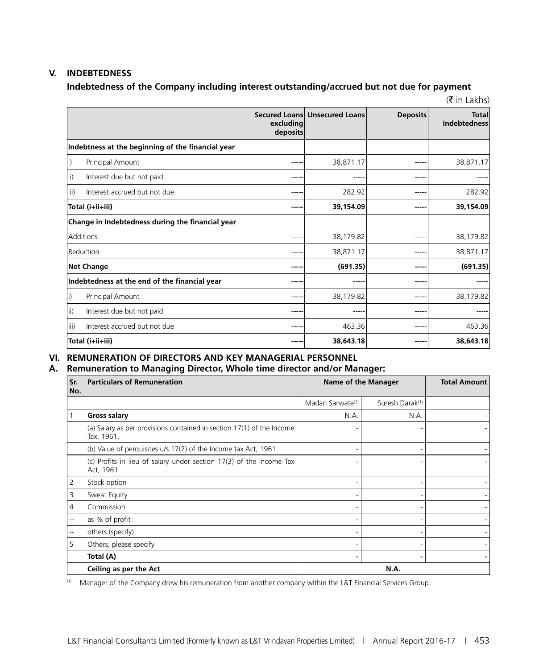#### **V. INDEBTEDNESS**

#### **Indebtedness of the Company including interest outstanding/accrued but not due for payment**

 $(\bar{\bar{\mathbf{x}}}$  in Lakhs)

|                                                   | excluding<br>deposits | Secured Loans Unsecured Loans | <b>Deposits</b> | <b>Total</b><br><b>Indebtedness</b> |
|---------------------------------------------------|-----------------------|-------------------------------|-----------------|-------------------------------------|
| Indebtness at the beginning of the financial year |                       |                               |                 |                                     |
| Principal Amount<br>li)                           | -----                 | 38,871.17                     | ----            | 38,871.17                           |
| ii)<br>Interest due but not paid                  | -----                 | $---$                         | ----            |                                     |
| iii)<br>Interest accrued but not due              | -----                 | 282.92                        | ----            | 282.92                              |
| Total (i+ii+iii)                                  | -----                 | 39,154.09                     | ----            | 39,154.09                           |
| Change in Indebtedness during the financial year  |                       |                               |                 |                                     |
| Additions                                         | ----                  | 38,179.82                     |                 | 38,179.82                           |
| Reduction                                         | ----                  | 38,871.17                     | ----            | 38,871.17                           |
| <b>Net Change</b>                                 | -----                 | (691.35)                      | ----            | (691.35)                            |
| Indebtedness at the end of the financial year     | -----                 | $- - - - -$                   | ----            |                                     |
| li)<br>Principal Amount                           | -----                 | 38,179.82                     | ----            | 38,179.82                           |
| Interest due but not paid<br>lii)                 | ----                  | ----                          | ----            |                                     |
| Interest accrued but not due<br>liii)             | -----                 | 463.36                        | ----            | 463.36                              |
| Total (i+ii+iii)                                  | ----                  | 38,643.18                     |                 | 38,643.18                           |

#### **VI. REMUNERATION OF DIRECTORS AND KEY MANAGERIAL PERSONNEL**

#### **A. Remuneration to Managing Director, Whole time director and/or Manager:**

| Sr.<br>No.               | <b>Particulars of Remuneration</b>                                                  | Name of the Manager          |                             | <b>Total Amount</b> |
|--------------------------|-------------------------------------------------------------------------------------|------------------------------|-----------------------------|---------------------|
|                          |                                                                                     | Madan Sarwate <sup>(1)</sup> | Suresh Darak <sup>(1)</sup> |                     |
|                          | <b>Gross salary</b>                                                                 | N.A.                         | N.A.                        |                     |
|                          | (a) Salary as per provisions contained in section 17(1) of the Income<br>Tax. 1961. |                              |                             |                     |
|                          | (b) Value of perquisites u/s 17(2) of the Income tax Act, 1961                      |                              |                             |                     |
|                          | (c) Profits in lieu of salary under section 17(3) of the Income Tax<br>Act, 1961    |                              |                             |                     |
| $\overline{2}$           | Stock option                                                                        |                              |                             |                     |
| 3                        | Sweat Equity                                                                        |                              |                             |                     |
| 4                        | Commission                                                                          |                              |                             |                     |
| --                       | as % of profit                                                                      |                              |                             |                     |
| $\overline{\phantom{a}}$ | others (specify)                                                                    |                              |                             |                     |
| 5                        | Others, please specify                                                              |                              |                             |                     |
|                          | Total (A)                                                                           |                              |                             |                     |
|                          | Ceiling as per the Act                                                              |                              | N.A.                        |                     |

(1) Manager of the Company drew his remuneration from another company within the L&T Financial Services Group.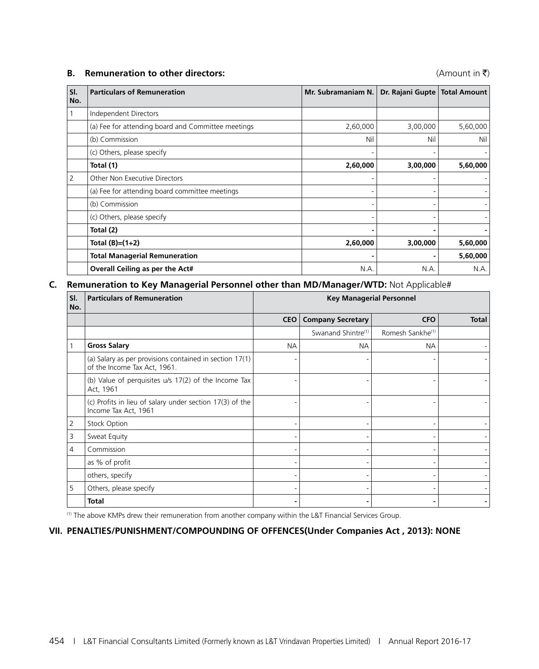#### **B. Remuneration to other directors:** (Amount in ₹)

| SI.<br>No. | <b>Particulars of Remuneration</b>                 | Mr. Subramaniam N. | Dr. Rajani Gupte | <b>Total Amount</b> |
|------------|----------------------------------------------------|--------------------|------------------|---------------------|
|            | Independent Directors                              |                    |                  |                     |
|            | (a) Fee for attending board and Committee meetings | 2,60,000           | 3,00,000         | 5,60,000            |
|            | (b) Commission                                     | Nil                | Nil              | Nil                 |
|            | (c) Others, please specify                         |                    |                  |                     |
|            | Total (1)                                          | 2,60,000           | 3,00,000         | 5,60,000            |
| 2          | Other Non Executive Directors                      |                    |                  |                     |
|            | (a) Fee for attending board committee meetings     |                    |                  |                     |
|            | (b) Commission                                     |                    |                  |                     |
|            | (c) Others, please specify                         |                    |                  |                     |
|            | Total (2)                                          |                    |                  |                     |
|            | Total $(B)=(1+2)$                                  | 2,60,000           | 3,00,000         | 5,60,000            |
|            | <b>Total Managerial Remuneration</b>               |                    |                  | 5,60,000            |
|            | Overall Ceiling as per the Act#                    | N.A.               | N.A.             | N.A.                |

#### **C. Remuneration to Key Managerial Personnel other than MD/Manager/WTD:** Not Applicable#

| $\overline{\mathsf{SI}}$ .<br>No. | <b>Particulars of Remuneration</b>                                                      | <b>Key Managerial Personnel</b> |                                |                              |              |  |  |
|-----------------------------------|-----------------------------------------------------------------------------------------|---------------------------------|--------------------------------|------------------------------|--------------|--|--|
|                                   |                                                                                         | <b>CEO</b>                      | <b>Company Secretary</b>       | <b>CFO</b>                   | <b>Total</b> |  |  |
|                                   |                                                                                         |                                 | Swanand Shintre <sup>(1)</sup> | Romesh Sankhe <sup>(1)</sup> |              |  |  |
| $\mathbf{1}$                      | <b>Gross Salary</b>                                                                     | <b>NA</b>                       | <b>NA</b>                      | <b>NA</b>                    |              |  |  |
|                                   | (a) Salary as per provisions contained in section 17(1)<br>of the Income Tax Act, 1961. |                                 |                                |                              |              |  |  |
|                                   | (b) Value of perquisites u/s 17(2) of the Income Tax<br>Act, 1961                       |                                 |                                |                              |              |  |  |
|                                   | (c) Profits in lieu of salary under section 17(3) of the<br>Income Tax Act, 1961        |                                 |                                |                              |              |  |  |
| $\overline{2}$                    | <b>Stock Option</b>                                                                     |                                 |                                |                              |              |  |  |
| $\mathsf 3$                       | Sweat Equity                                                                            |                                 |                                |                              |              |  |  |
| $\overline{4}$                    | Commission                                                                              |                                 |                                |                              |              |  |  |
|                                   | as % of profit                                                                          |                                 |                                |                              |              |  |  |
|                                   | others, specify                                                                         |                                 |                                |                              |              |  |  |
| 5                                 | Others, please specify                                                                  |                                 |                                |                              |              |  |  |
|                                   | <b>Total</b>                                                                            |                                 |                                |                              |              |  |  |

(1) The above KMPs drew their remuneration from another company within the L&T Financial Services Group.

#### **VII. PENALTIES/PUNISHMENT/COMPOUNDING OF OFFENCES(Under Companies Act , 2013): NONE**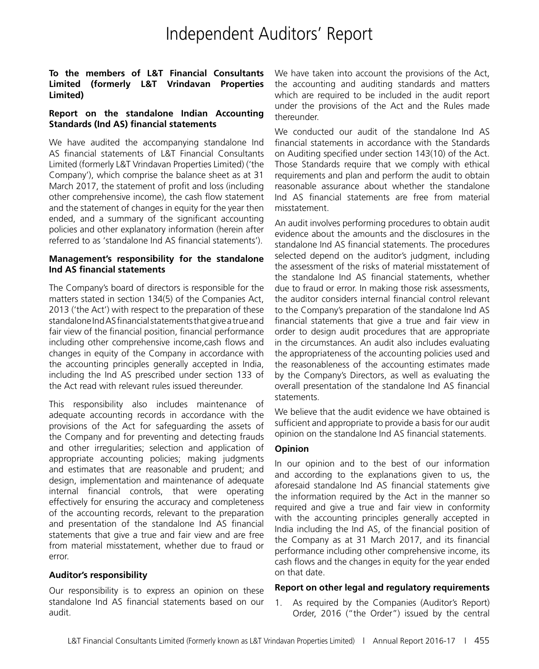### Independent Auditors' Report

#### **To the members of L&T Financial Consultants Limited (formerly L&T Vrindavan Properties Limited)**

#### **Report on the standalone Indian Accounting Standards (Ind AS) financial statements**

We have audited the accompanying standalone Ind AS financial statements of L&T Financial Consultants Limited (formerly L&T Vrindavan Properties Limited) ('the Company'), which comprise the balance sheet as at 31 March 2017, the statement of profit and loss (including other comprehensive income), the cash flow statement and the statement of changes in equity for the year then ended, and a summary of the significant accounting policies and other explanatory information (herein after referred to as 'standalone Ind AS financial statements').

#### **Management's responsibility for the standalone Ind AS financial statements**

The Company's board of directors is responsible for the matters stated in section 134(5) of the Companies Act, 2013 ('the Act') with respect to the preparation of these standalone Ind AS financial statements that give a true and fair view of the financial position, financial performance including other comprehensive income,cash flows and changes in equity of the Company in accordance with the accounting principles generally accepted in India, including the Ind AS prescribed under section 133 of the Act read with relevant rules issued thereunder.

This responsibility also includes maintenance of adequate accounting records in accordance with the provisions of the Act for safeguarding the assets of the Company and for preventing and detecting frauds and other irregularities; selection and application of appropriate accounting policies; making judgments and estimates that are reasonable and prudent; and design, implementation and maintenance of adequate internal financial controls, that were operating effectively for ensuring the accuracy and completeness of the accounting records, relevant to the preparation and presentation of the standalone Ind AS financial statements that give a true and fair view and are free from material misstatement, whether due to fraud or error.

#### **Auditor's responsibility**

Our responsibility is to express an opinion on these standalone Ind AS financial statements based on our audit.

We have taken into account the provisions of the Act, the accounting and auditing standards and matters which are required to be included in the audit report under the provisions of the Act and the Rules made thereunder.

We conducted our audit of the standalone Ind AS financial statements in accordance with the Standards on Auditing specified under section 143(10) of the Act. Those Standards require that we comply with ethical requirements and plan and perform the audit to obtain reasonable assurance about whether the standalone Ind AS financial statements are free from material misstatement.

An audit involves performing procedures to obtain audit evidence about the amounts and the disclosures in the standalone Ind AS financial statements. The procedures selected depend on the auditor's judgment, including the assessment of the risks of material misstatement of the standalone Ind AS financial statements, whether due to fraud or error. In making those risk assessments, the auditor considers internal financial control relevant to the Company's preparation of the standalone Ind AS financial statements that give a true and fair view in order to design audit procedures that are appropriate in the circumstances. An audit also includes evaluating the appropriateness of the accounting policies used and the reasonableness of the accounting estimates made by the Company's Directors, as well as evaluating the overall presentation of the standalone Ind AS financial statements.

We believe that the audit evidence we have obtained is sufficient and appropriate to provide a basis for our audit opinion on the standalone Ind AS financial statements.

#### **Opinion**

In our opinion and to the best of our information and according to the explanations given to us, the aforesaid standalone Ind AS financial statements give the information required by the Act in the manner so required and give a true and fair view in conformity with the accounting principles generally accepted in India including the Ind AS, of the financial position of the Company as at 31 March 2017, and its financial performance including other comprehensive income, its cash flows and the changes in equity for the year ended on that date.

#### **Report on other legal and regulatory requirements**

1. As required by the Companies (Auditor's Report) Order, 2016 ("the Order") issued by the central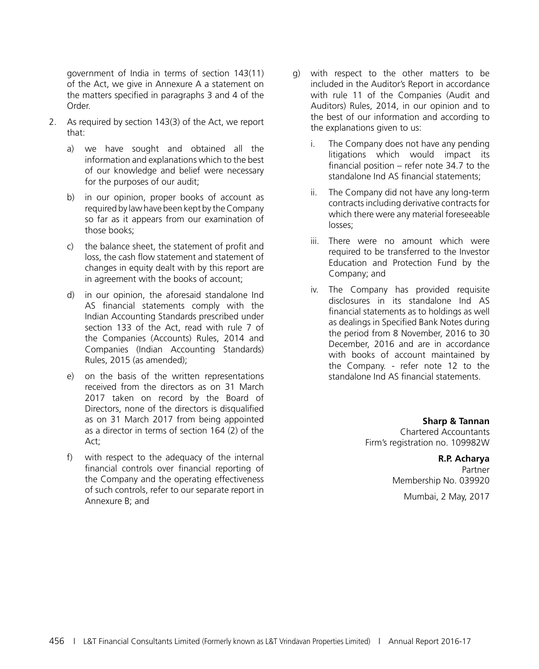government of India in terms of section 143(11) of the Act, we give in Annexure A a statement on the matters specified in paragraphs 3 and 4 of the Order.

- 2. As required by section 143(3) of the Act, we report that:
	- a) we have sought and obtained all the information and explanations which to the best of our knowledge and belief were necessary for the purposes of our audit;
	- b) in our opinion, proper books of account as required by law have been kept by the Company so far as it appears from our examination of those books;
	- c) the balance sheet, the statement of profit and loss, the cash flow statement and statement of changes in equity dealt with by this report are in agreement with the books of account;
	- d) in our opinion, the aforesaid standalone Ind AS financial statements comply with the Indian Accounting Standards prescribed under section 133 of the Act, read with rule 7 of the Companies (Accounts) Rules, 2014 and Companies (Indian Accounting Standards) Rules, 2015 (as amended);
	- e) on the basis of the written representations received from the directors as on 31 March 2017 taken on record by the Board of Directors, none of the directors is disqualified as on 31 March 2017 from being appointed as a director in terms of section 164 (2) of the Act;
	- f) with respect to the adequacy of the internal financial controls over financial reporting of the Company and the operating effectiveness of such controls, refer to our separate report in Annexure B; and
- g) with respect to the other matters to be included in the Auditor's Report in accordance with rule 11 of the Companies (Audit and Auditors) Rules, 2014, in our opinion and to the best of our information and according to the explanations given to us:
	- i. The Company does not have any pending litigations which would impact its financial position – refer note 34.7 to the standalone Ind AS financial statements;
	- ii. The Company did not have any long-term contracts including derivative contracts for which there were any material foreseeable losses;
	- iii. There were no amount which were required to be transferred to the Investor Education and Protection Fund by the Company; and
	- iv. The Company has provided requisite disclosures in its standalone Ind AS financial statements as to holdings as well as dealings in Specified Bank Notes during the period from 8 November, 2016 to 30 December, 2016 and are in accordance with books of account maintained by the Company. - refer note 12 to the standalone Ind AS financial statements.

**Sharp & Tannan** Chartered Accountants Firm's registration no. 109982W

### **R.P. Acharya**

Partner Membership No. 039920

Mumbai, 2 May, 2017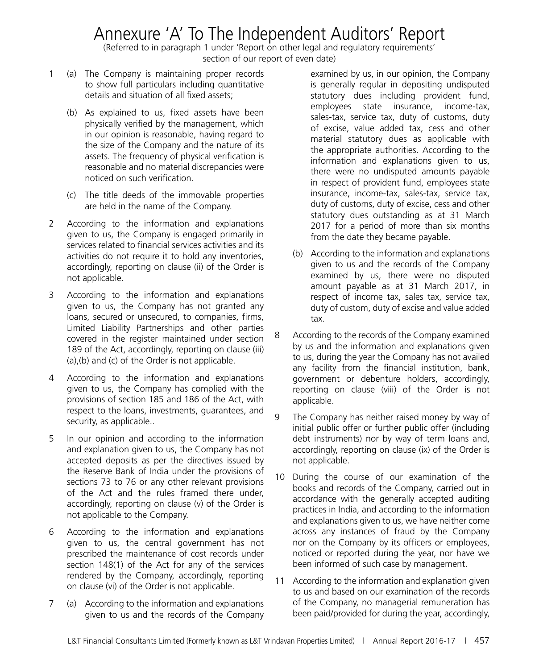### Annexure 'A' To The Independent Auditors' Report

(Referred to in paragraph 1 under 'Report on other legal and regulatory requirements' section of our report of even date)

- 1 (a) The Company is maintaining proper records to show full particulars including quantitative details and situation of all fixed assets;
	- (b) As explained to us, fixed assets have been physically verified by the management, which in our opinion is reasonable, having regard to the size of the Company and the nature of its assets. The frequency of physical verification is reasonable and no material discrepancies were noticed on such verification.
	- (c) The title deeds of the immovable properties are held in the name of the Company.
- 2 According to the information and explanations given to us, the Company is engaged primarily in services related to financial services activities and its activities do not require it to hold any inventories, accordingly, reporting on clause (ii) of the Order is not applicable.
- 3 According to the information and explanations given to us, the Company has not granted any loans, secured or unsecured, to companies, firms, Limited Liability Partnerships and other parties covered in the register maintained under section 189 of the Act, accordingly, reporting on clause (iii) (a),(b) and (c) of the Order is not applicable.
- 4 According to the information and explanations given to us, the Company has complied with the provisions of section 185 and 186 of the Act, with respect to the loans, investments, guarantees, and security, as applicable..
- 5 In our opinion and according to the information and explanation given to us, the Company has not accepted deposits as per the directives issued by the Reserve Bank of India under the provisions of sections 73 to 76 or any other relevant provisions of the Act and the rules framed there under, accordingly, reporting on clause (v) of the Order is not applicable to the Company.
- 6 According to the information and explanations given to us, the central government has not prescribed the maintenance of cost records under section 148(1) of the Act for any of the services rendered by the Company, accordingly, reporting on clause (vi) of the Order is not applicable.
- 7 (a) According to the information and explanations given to us and the records of the Company

examined by us, in our opinion, the Company is generally regular in depositing undisputed statutory dues including provident fund, employees state insurance, income-tax, sales-tax, service tax, duty of customs, duty of excise, value added tax, cess and other material statutory dues as applicable with the appropriate authorities. According to the information and explanations given to us, there were no undisputed amounts payable in respect of provident fund, employees state insurance, income-tax, sales-tax, service tax, duty of customs, duty of excise, cess and other statutory dues outstanding as at 31 March 2017 for a period of more than six months from the date they became payable.

- (b) According to the information and explanations given to us and the records of the Company examined by us, there were no disputed amount payable as at 31 March 2017, in respect of income tax, sales tax, service tax, duty of custom, duty of excise and value added tax.
- 8 According to the records of the Company examined by us and the information and explanations given to us, during the year the Company has not availed any facility from the financial institution, bank, government or debenture holders, accordingly, reporting on clause (viii) of the Order is not applicable.
- 9 The Company has neither raised money by way of initial public offer or further public offer (including debt instruments) nor by way of term loans and, accordingly, reporting on clause (ix) of the Order is not applicable.
- 10 During the course of our examination of the books and records of the Company, carried out in accordance with the generally accepted auditing practices in India, and according to the information and explanations given to us, we have neither come across any instances of fraud by the Company nor on the Company by its officers or employees, noticed or reported during the year, nor have we been informed of such case by management.
- 11 According to the information and explanation given to us and based on our examination of the records of the Company, no managerial remuneration has been paid/provided for during the year, accordingly,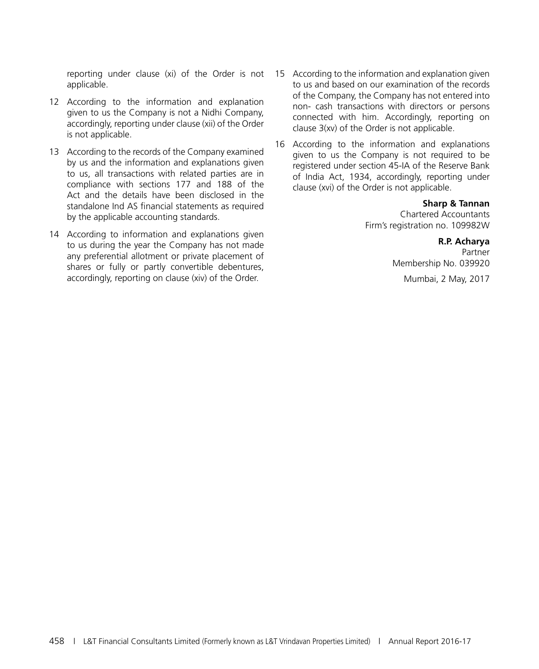reporting under clause (xi) of the Order is not applicable.

- 12 According to the information and explanation given to us the Company is not a Nidhi Company, accordingly, reporting under clause (xii) of the Order is not applicable.
- 13 According to the records of the Company examined by us and the information and explanations given to us, all transactions with related parties are in compliance with sections 177 and 188 of the Act and the details have been disclosed in the standalone Ind AS financial statements as required by the applicable accounting standards.
- 14 According to information and explanations given to us during the year the Company has not made any preferential allotment or private placement of shares or fully or partly convertible debentures, accordingly, reporting on clause (xiv) of the Order.
- 15 According to the information and explanation given to us and based on our examination of the records of the Company, the Company has not entered into non- cash transactions with directors or persons connected with him. Accordingly, reporting on clause 3(xv) of the Order is not applicable.
- 16 According to the information and explanations given to us the Company is not required to be registered under section 45-IA of the Reserve Bank of India Act, 1934, accordingly, reporting under clause (xvi) of the Order is not applicable.

#### **Sharp & Tannan**

Chartered Accountants Firm's registration no. 109982W

#### **R.P. Acharya**

Partner Membership No. 039920

Mumbai, 2 May, 2017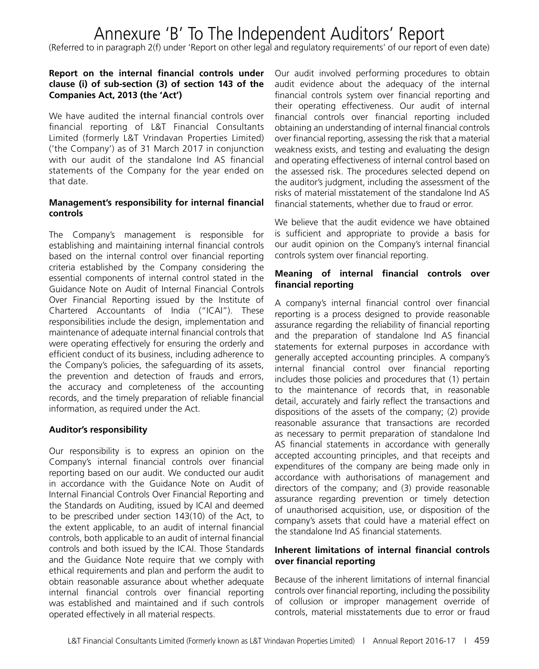### Annexure 'B' To The Independent Auditors' Report

(Referred to in paragraph 2(f) under 'Report on other legal and regulatory requirements' of our report of even date)

#### **Report on the internal financial controls under clause (i) of sub-section (3) of section 143 of the Companies Act, 2013 (the 'Act')**

We have audited the internal financial controls over financial reporting of L&T Financial Consultants Limited (formerly L&T Vrindavan Properties Limited) ('the Company') as of 31 March 2017 in conjunction with our audit of the standalone Ind AS financial statements of the Company for the year ended on that date.

#### **Management's responsibility for internal financial controls**

The Company's management is responsible for establishing and maintaining internal financial controls based on the internal control over financial reporting criteria established by the Company considering the essential components of internal control stated in the Guidance Note on Audit of Internal Financial Controls Over Financial Reporting issued by the Institute of Chartered Accountants of India ("ICAI"). These responsibilities include the design, implementation and maintenance of adequate internal financial controls that were operating effectively for ensuring the orderly and efficient conduct of its business, including adherence to the Company's policies, the safeguarding of its assets, the prevention and detection of frauds and errors, the accuracy and completeness of the accounting records, and the timely preparation of reliable financial information, as required under the Act.

#### **Auditor's responsibility**

Our responsibility is to express an opinion on the Company's internal financial controls over financial reporting based on our audit. We conducted our audit in accordance with the Guidance Note on Audit of Internal Financial Controls Over Financial Reporting and the Standards on Auditing, issued by ICAI and deemed to be prescribed under section 143(10) of the Act, to the extent applicable, to an audit of internal financial controls, both applicable to an audit of internal financial controls and both issued by the ICAI. Those Standards and the Guidance Note require that we comply with ethical requirements and plan and perform the audit to obtain reasonable assurance about whether adequate internal financial controls over financial reporting was established and maintained and if such controls operated effectively in all material respects.

Our audit involved performing procedures to obtain audit evidence about the adequacy of the internal financial controls system over financial reporting and their operating effectiveness. Our audit of internal financial controls over financial reporting included obtaining an understanding of internal financial controls over financial reporting, assessing the risk that a material weakness exists, and testing and evaluating the design and operating effectiveness of internal control based on the assessed risk. The procedures selected depend on the auditor's judgment, including the assessment of the risks of material misstatement of the standalone Ind AS financial statements, whether due to fraud or error.

We believe that the audit evidence we have obtained is sufficient and appropriate to provide a basis for our audit opinion on the Company's internal financial controls system over financial reporting.

#### **Meaning of internal financial controls over financial reporting**

A company's internal financial control over financial reporting is a process designed to provide reasonable assurance regarding the reliability of financial reporting and the preparation of standalone Ind AS financial statements for external purposes in accordance with generally accepted accounting principles. A company's internal financial control over financial reporting includes those policies and procedures that (1) pertain to the maintenance of records that, in reasonable detail, accurately and fairly reflect the transactions and dispositions of the assets of the company; (2) provide reasonable assurance that transactions are recorded as necessary to permit preparation of standalone Ind AS financial statements in accordance with generally accepted accounting principles, and that receipts and expenditures of the company are being made only in accordance with authorisations of management and directors of the company; and (3) provide reasonable assurance regarding prevention or timely detection of unauthorised acquisition, use, or disposition of the company's assets that could have a material effect on the standalone Ind AS financial statements.

#### **Inherent limitations of internal financial controls over financial reporting**

Because of the inherent limitations of internal financial controls over financial reporting, including the possibility of collusion or improper management override of controls, material misstatements due to error or fraud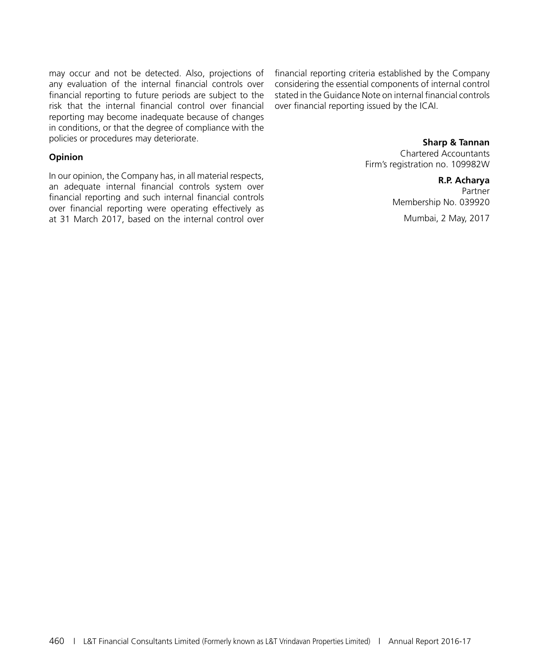may occur and not be detected. Also, projections of any evaluation of the internal financial controls over financial reporting to future periods are subject to the risk that the internal financial control over financial reporting may become inadequate because of changes in conditions, or that the degree of compliance with the policies or procedures may deteriorate.

#### **Opinion**

In our opinion, the Company has, in all material respects, an adequate internal financial controls system over financial reporting and such internal financial controls over financial reporting were operating effectively as at 31 March 2017, based on the internal control over

financial reporting criteria established by the Company considering the essential components of internal control stated in the Guidance Note on internal financial controls over financial reporting issued by the ICAI.

#### **Sharp & Tannan**

Chartered Accountants Firm's registration no. 109982W

> **R.P. Acharya** Partner Membership No. 039920 Mumbai, 2 May, 2017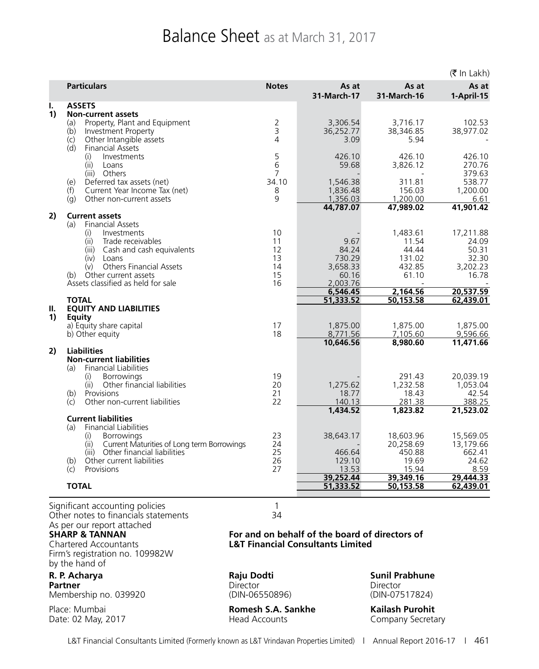## Balance Sheet as at March 31, 2017

|          |                                                                                                                                                                                                                                                                                 |                                        |                                                                      |                                                                     | $(5 \text{ In Lakh})$                                                  |
|----------|---------------------------------------------------------------------------------------------------------------------------------------------------------------------------------------------------------------------------------------------------------------------------------|----------------------------------------|----------------------------------------------------------------------|---------------------------------------------------------------------|------------------------------------------------------------------------|
|          | <b>Particulars</b>                                                                                                                                                                                                                                                              | <b>Notes</b>                           | As at<br>31-March-17                                                 | As at<br>31-March-16                                                | As at<br>1-April-15                                                    |
| ı.<br>1) | <b>ASSETS</b><br><b>Non-current assets</b><br>Property, Plant and Equipment<br>(a)<br>Investment Property<br>(b)<br>Other Intangible assets<br>(c)                                                                                                                              | 3<br>4                                 | 3,306.54<br>36,252.77<br>3.09                                        | 3,716.17<br>38,346.85<br>5.94                                       | 102.53<br>38,977.02                                                    |
|          | (d)<br><b>Financial Assets</b><br>(i)<br>Investments<br>(iii)<br>Loans<br>(iii) Others<br>Deferred tax assets (net)<br>(e)<br>(f)<br>Current Year Income Tax (net)                                                                                                              | 5<br>6<br>7<br>34.10<br>8              | 426.10<br>59.68<br>1,546.38<br>1,836.48                              | 426.10<br>3.826.12<br>311.81<br>156.03                              | 426.10<br>270.76<br>379.63<br>538.77<br>1,200.00                       |
|          | (g)<br>Other non-current assets                                                                                                                                                                                                                                                 | 9                                      | 1,356.03<br>44,787.07                                                | 1,200.00<br>47,989.02                                               | 6.61<br>41,901.42                                                      |
| 2)       | <b>Current assets</b><br><b>Financial Assets</b><br>(a)<br>(i)<br>Investments<br>(ii)<br>Trade receivables<br>Cash and cash equivalents<br>(iii)<br>(iv)<br>Loans<br><b>Others Financial Assets</b><br>(v)<br>Other current assets<br>(b)<br>Assets classified as held for sale | 10<br>11<br>12<br>13<br>14<br>15<br>16 | 9.67<br>84.24<br>730.29<br>3,658.33<br>60.16<br>2.003.76<br>6,546.45 | 1,483.61<br>11.54<br>44.44<br>131.02<br>432.85<br>61.10<br>2,164.56 | 17,211.88<br>24.09<br>50.31<br>32.30<br>3,202.23<br>16.78<br>20,537.59 |
|          | <b>TOTAL</b>                                                                                                                                                                                                                                                                    |                                        | 51,333.52                                                            | 50,153.58                                                           | 62,439.01                                                              |
| Ш.<br>1) | <b>EQUITY AND LIABILITIES</b><br><b>Equity</b><br>a) Equity share capital<br>b) Other equity                                                                                                                                                                                    | 17<br>18                               | 1,875.00<br>8,771.56                                                 | 1,875.00<br>7,105.60                                                | 1,875.00<br>9,596.66                                                   |
| 2)       | <b>Liabilities</b><br><b>Non-current liabilities</b><br><b>Financial Liabilities</b><br>(a)<br>Borrowings<br>(i)                                                                                                                                                                | 19                                     | 10,646.56                                                            | 8,980.60<br>291.43                                                  | 11,471.66<br>20,039.19                                                 |
|          | (ii)<br>Other financial liabilities<br>(b)<br>Provisions<br>Other non-current liabilities<br>$\mathcal{L}$                                                                                                                                                                      | 20<br>21<br>22                         | 1,275.62<br>18.77<br>140.13<br>1,434.52                              | 1,232.58<br>18.43<br>281.38<br>1,823.82                             | 1,053.04<br>42.54<br>388.25<br>21,523.02                               |
|          | <b>Current liabilities</b><br><b>Financial Liabilities</b><br>(a)<br>(i)<br><b>Borrowings</b>                                                                                                                                                                                   | 23                                     | 38,643.17                                                            | 18,603.96                                                           | 15,569.05                                                              |
|          | (ii)<br>Current Maturities of Long term Borrowings<br>Other financial liabilities<br>(iii)<br>Other current liabilities<br>(b)<br>Provisions<br>(c)                                                                                                                             | 24<br>25<br>26<br>27                   | 466.64<br>129.10<br>13.53                                            | 20,258.69<br>450.88<br>19.69<br>15.94                               | 13,179.66<br>662.41<br>24.62<br>8.59                                   |
|          |                                                                                                                                                                                                                                                                                 |                                        | 39,252.44                                                            | 39,349.16                                                           | 29,444.33                                                              |
|          | <b>TOTAL</b>                                                                                                                                                                                                                                                                    |                                        | 51,333.52                                                            | 50,153.58                                                           | 62,439.01                                                              |
|          | Significant accounting policies                                                                                                                                                                                                                                                 | 1                                      |                                                                      |                                                                     |                                                                        |

Other notes to financials statements 34 As per our report attached<br> **SHARP & TANNAN** 

Firm's registration no. 109982W by the hand of

Membership no. 039920 (DIN-06550896) (DIN-07517824)

Date: 02 May, 2017

#### **SHARP & TANNAN For and on behalf of the board of directors of L&T Financial Consultants Limited**

**R. P. Acharya Raju Dodti Sunil Prabhune Partner** Director Director Director Director Director Director

Place: Mumbai **Romesh S.A. Sankhe**<br>
Date: 02 May, 2017 **Romesh S.A. Sankhe Kailash Purohit**<br>
Head Accounts **Company Secretary**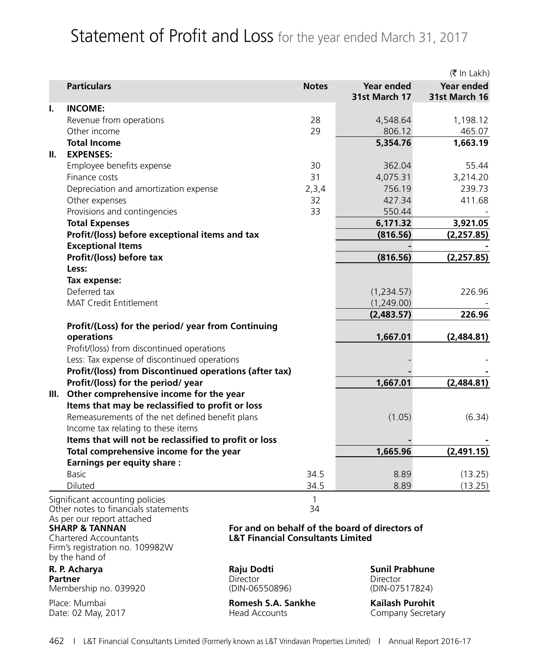## Statement of Profit and Loss for the year ended March 31, 2017

| <b>Particulars</b><br>Year ended<br>Year ended<br><b>Notes</b><br>31st March 17<br>31st March 16<br>Τ.<br><b>INCOME:</b><br>Revenue from operations<br>28<br>4,548.64<br>1,198.12<br>Other income<br>29<br>806.12<br>465.07<br><b>Total Income</b><br>5,354.76<br>1,663.19<br><b>EXPENSES:</b><br>Employee benefits expense<br>55.44<br>30<br>362.04<br>Finance costs<br>31<br>4,075.31<br>3,214.20<br>756.19<br>239.73<br>Depreciation and amortization expense<br>2,3,4<br>Other expenses<br>427.34<br>411.68<br>32<br>Provisions and contingencies<br>33<br>550.44<br><b>Total Expenses</b><br>6,171.32<br>3,921.05<br>Profit/(loss) before exceptional items and tax<br>(816.56)<br>(2,257.85)<br><b>Exceptional Items</b><br>Profit/(loss) before tax<br>(816.56)<br>(2,257.85)<br>Less:<br>Tax expense:<br>Deferred tax<br>(1,234.57)<br>226.96<br><b>MAT Credit Entitlement</b><br>(1,249.00)<br>226.96<br>(2,483.57)<br>Profit/(Loss) for the period/ year from Continuing<br>1,667.01<br>operations<br>(2,484.81)<br>Profit/(loss) from discontinued operations<br>Less: Tax expense of discontinued operations<br>Profit/(loss) from Discontinued operations (after tax)<br>Profit/(loss) for the period/ year<br>1,667.01<br>(2,484.81)<br>Other comprehensive income for the year<br>III.<br>Items that may be reclassified to profit or loss<br>Remeasurements of the net defined benefit plans<br>(1.05)<br>(6.34)<br>Income tax relating to these items<br>Items that will not be reclassified to profit or loss<br>Total comprehensive income for the year<br>1,665.96<br>(2,491.15)<br><b>Earnings per equity share:</b><br>(13.25)<br><b>Basic</b><br>34.5<br>8.89<br>Diluted<br>34.5<br>8.89<br>(13.25)<br>$\mathbf{1}$<br>Significant accounting policies<br>Other notes to financials statements<br>34<br>As per our report attached<br><b>SHARP &amp; TANNAN</b><br>For and on behalf of the board of directors of<br><b>L&amp;T Financial Consultants Limited</b><br><b>Chartered Accountants</b><br>Firm's registration no. 109982W<br>by the hand of<br>R. P. Acharya<br>Raju Dodti<br><b>Sunil Prabhune</b><br>Director<br><b>Partner</b><br>Director<br>(DIN-07517824)<br>Membership no. 039920<br>(DIN-06550896)<br><b>Kailash Purohit</b><br>Place: Mumbai<br>Romesh S.A. Sankhe<br>Date: 02 May, 2017<br><b>Head Accounts</b><br>Company Secretary |    |  |  |  | (₹ In Lakh) |
|----------------------------------------------------------------------------------------------------------------------------------------------------------------------------------------------------------------------------------------------------------------------------------------------------------------------------------------------------------------------------------------------------------------------------------------------------------------------------------------------------------------------------------------------------------------------------------------------------------------------------------------------------------------------------------------------------------------------------------------------------------------------------------------------------------------------------------------------------------------------------------------------------------------------------------------------------------------------------------------------------------------------------------------------------------------------------------------------------------------------------------------------------------------------------------------------------------------------------------------------------------------------------------------------------------------------------------------------------------------------------------------------------------------------------------------------------------------------------------------------------------------------------------------------------------------------------------------------------------------------------------------------------------------------------------------------------------------------------------------------------------------------------------------------------------------------------------------------------------------------------------------------------------------------------------------------------------------------------------------------------------------------------------------------------------------------------------------------------------------------------------------------------------------------------------------------------------------------------------------------------------------------------------------------------------------------------------------------------------------------------------|----|--|--|--|-------------|
|                                                                                                                                                                                                                                                                                                                                                                                                                                                                                                                                                                                                                                                                                                                                                                                                                                                                                                                                                                                                                                                                                                                                                                                                                                                                                                                                                                                                                                                                                                                                                                                                                                                                                                                                                                                                                                                                                                                                                                                                                                                                                                                                                                                                                                                                                                                                                                                  |    |  |  |  |             |
|                                                                                                                                                                                                                                                                                                                                                                                                                                                                                                                                                                                                                                                                                                                                                                                                                                                                                                                                                                                                                                                                                                                                                                                                                                                                                                                                                                                                                                                                                                                                                                                                                                                                                                                                                                                                                                                                                                                                                                                                                                                                                                                                                                                                                                                                                                                                                                                  |    |  |  |  |             |
|                                                                                                                                                                                                                                                                                                                                                                                                                                                                                                                                                                                                                                                                                                                                                                                                                                                                                                                                                                                                                                                                                                                                                                                                                                                                                                                                                                                                                                                                                                                                                                                                                                                                                                                                                                                                                                                                                                                                                                                                                                                                                                                                                                                                                                                                                                                                                                                  |    |  |  |  |             |
|                                                                                                                                                                                                                                                                                                                                                                                                                                                                                                                                                                                                                                                                                                                                                                                                                                                                                                                                                                                                                                                                                                                                                                                                                                                                                                                                                                                                                                                                                                                                                                                                                                                                                                                                                                                                                                                                                                                                                                                                                                                                                                                                                                                                                                                                                                                                                                                  |    |  |  |  |             |
|                                                                                                                                                                                                                                                                                                                                                                                                                                                                                                                                                                                                                                                                                                                                                                                                                                                                                                                                                                                                                                                                                                                                                                                                                                                                                                                                                                                                                                                                                                                                                                                                                                                                                                                                                                                                                                                                                                                                                                                                                                                                                                                                                                                                                                                                                                                                                                                  |    |  |  |  |             |
|                                                                                                                                                                                                                                                                                                                                                                                                                                                                                                                                                                                                                                                                                                                                                                                                                                                                                                                                                                                                                                                                                                                                                                                                                                                                                                                                                                                                                                                                                                                                                                                                                                                                                                                                                                                                                                                                                                                                                                                                                                                                                                                                                                                                                                                                                                                                                                                  | Ш. |  |  |  |             |
|                                                                                                                                                                                                                                                                                                                                                                                                                                                                                                                                                                                                                                                                                                                                                                                                                                                                                                                                                                                                                                                                                                                                                                                                                                                                                                                                                                                                                                                                                                                                                                                                                                                                                                                                                                                                                                                                                                                                                                                                                                                                                                                                                                                                                                                                                                                                                                                  |    |  |  |  |             |
|                                                                                                                                                                                                                                                                                                                                                                                                                                                                                                                                                                                                                                                                                                                                                                                                                                                                                                                                                                                                                                                                                                                                                                                                                                                                                                                                                                                                                                                                                                                                                                                                                                                                                                                                                                                                                                                                                                                                                                                                                                                                                                                                                                                                                                                                                                                                                                                  |    |  |  |  |             |
|                                                                                                                                                                                                                                                                                                                                                                                                                                                                                                                                                                                                                                                                                                                                                                                                                                                                                                                                                                                                                                                                                                                                                                                                                                                                                                                                                                                                                                                                                                                                                                                                                                                                                                                                                                                                                                                                                                                                                                                                                                                                                                                                                                                                                                                                                                                                                                                  |    |  |  |  |             |
|                                                                                                                                                                                                                                                                                                                                                                                                                                                                                                                                                                                                                                                                                                                                                                                                                                                                                                                                                                                                                                                                                                                                                                                                                                                                                                                                                                                                                                                                                                                                                                                                                                                                                                                                                                                                                                                                                                                                                                                                                                                                                                                                                                                                                                                                                                                                                                                  |    |  |  |  |             |
|                                                                                                                                                                                                                                                                                                                                                                                                                                                                                                                                                                                                                                                                                                                                                                                                                                                                                                                                                                                                                                                                                                                                                                                                                                                                                                                                                                                                                                                                                                                                                                                                                                                                                                                                                                                                                                                                                                                                                                                                                                                                                                                                                                                                                                                                                                                                                                                  |    |  |  |  |             |
|                                                                                                                                                                                                                                                                                                                                                                                                                                                                                                                                                                                                                                                                                                                                                                                                                                                                                                                                                                                                                                                                                                                                                                                                                                                                                                                                                                                                                                                                                                                                                                                                                                                                                                                                                                                                                                                                                                                                                                                                                                                                                                                                                                                                                                                                                                                                                                                  |    |  |  |  |             |
|                                                                                                                                                                                                                                                                                                                                                                                                                                                                                                                                                                                                                                                                                                                                                                                                                                                                                                                                                                                                                                                                                                                                                                                                                                                                                                                                                                                                                                                                                                                                                                                                                                                                                                                                                                                                                                                                                                                                                                                                                                                                                                                                                                                                                                                                                                                                                                                  |    |  |  |  |             |
|                                                                                                                                                                                                                                                                                                                                                                                                                                                                                                                                                                                                                                                                                                                                                                                                                                                                                                                                                                                                                                                                                                                                                                                                                                                                                                                                                                                                                                                                                                                                                                                                                                                                                                                                                                                                                                                                                                                                                                                                                                                                                                                                                                                                                                                                                                                                                                                  |    |  |  |  |             |
|                                                                                                                                                                                                                                                                                                                                                                                                                                                                                                                                                                                                                                                                                                                                                                                                                                                                                                                                                                                                                                                                                                                                                                                                                                                                                                                                                                                                                                                                                                                                                                                                                                                                                                                                                                                                                                                                                                                                                                                                                                                                                                                                                                                                                                                                                                                                                                                  |    |  |  |  |             |
|                                                                                                                                                                                                                                                                                                                                                                                                                                                                                                                                                                                                                                                                                                                                                                                                                                                                                                                                                                                                                                                                                                                                                                                                                                                                                                                                                                                                                                                                                                                                                                                                                                                                                                                                                                                                                                                                                                                                                                                                                                                                                                                                                                                                                                                                                                                                                                                  |    |  |  |  |             |
|                                                                                                                                                                                                                                                                                                                                                                                                                                                                                                                                                                                                                                                                                                                                                                                                                                                                                                                                                                                                                                                                                                                                                                                                                                                                                                                                                                                                                                                                                                                                                                                                                                                                                                                                                                                                                                                                                                                                                                                                                                                                                                                                                                                                                                                                                                                                                                                  |    |  |  |  |             |
|                                                                                                                                                                                                                                                                                                                                                                                                                                                                                                                                                                                                                                                                                                                                                                                                                                                                                                                                                                                                                                                                                                                                                                                                                                                                                                                                                                                                                                                                                                                                                                                                                                                                                                                                                                                                                                                                                                                                                                                                                                                                                                                                                                                                                                                                                                                                                                                  |    |  |  |  |             |
|                                                                                                                                                                                                                                                                                                                                                                                                                                                                                                                                                                                                                                                                                                                                                                                                                                                                                                                                                                                                                                                                                                                                                                                                                                                                                                                                                                                                                                                                                                                                                                                                                                                                                                                                                                                                                                                                                                                                                                                                                                                                                                                                                                                                                                                                                                                                                                                  |    |  |  |  |             |
|                                                                                                                                                                                                                                                                                                                                                                                                                                                                                                                                                                                                                                                                                                                                                                                                                                                                                                                                                                                                                                                                                                                                                                                                                                                                                                                                                                                                                                                                                                                                                                                                                                                                                                                                                                                                                                                                                                                                                                                                                                                                                                                                                                                                                                                                                                                                                                                  |    |  |  |  |             |
|                                                                                                                                                                                                                                                                                                                                                                                                                                                                                                                                                                                                                                                                                                                                                                                                                                                                                                                                                                                                                                                                                                                                                                                                                                                                                                                                                                                                                                                                                                                                                                                                                                                                                                                                                                                                                                                                                                                                                                                                                                                                                                                                                                                                                                                                                                                                                                                  |    |  |  |  |             |
|                                                                                                                                                                                                                                                                                                                                                                                                                                                                                                                                                                                                                                                                                                                                                                                                                                                                                                                                                                                                                                                                                                                                                                                                                                                                                                                                                                                                                                                                                                                                                                                                                                                                                                                                                                                                                                                                                                                                                                                                                                                                                                                                                                                                                                                                                                                                                                                  |    |  |  |  |             |
|                                                                                                                                                                                                                                                                                                                                                                                                                                                                                                                                                                                                                                                                                                                                                                                                                                                                                                                                                                                                                                                                                                                                                                                                                                                                                                                                                                                                                                                                                                                                                                                                                                                                                                                                                                                                                                                                                                                                                                                                                                                                                                                                                                                                                                                                                                                                                                                  |    |  |  |  |             |
|                                                                                                                                                                                                                                                                                                                                                                                                                                                                                                                                                                                                                                                                                                                                                                                                                                                                                                                                                                                                                                                                                                                                                                                                                                                                                                                                                                                                                                                                                                                                                                                                                                                                                                                                                                                                                                                                                                                                                                                                                                                                                                                                                                                                                                                                                                                                                                                  |    |  |  |  |             |
|                                                                                                                                                                                                                                                                                                                                                                                                                                                                                                                                                                                                                                                                                                                                                                                                                                                                                                                                                                                                                                                                                                                                                                                                                                                                                                                                                                                                                                                                                                                                                                                                                                                                                                                                                                                                                                                                                                                                                                                                                                                                                                                                                                                                                                                                                                                                                                                  |    |  |  |  |             |
|                                                                                                                                                                                                                                                                                                                                                                                                                                                                                                                                                                                                                                                                                                                                                                                                                                                                                                                                                                                                                                                                                                                                                                                                                                                                                                                                                                                                                                                                                                                                                                                                                                                                                                                                                                                                                                                                                                                                                                                                                                                                                                                                                                                                                                                                                                                                                                                  |    |  |  |  |             |
|                                                                                                                                                                                                                                                                                                                                                                                                                                                                                                                                                                                                                                                                                                                                                                                                                                                                                                                                                                                                                                                                                                                                                                                                                                                                                                                                                                                                                                                                                                                                                                                                                                                                                                                                                                                                                                                                                                                                                                                                                                                                                                                                                                                                                                                                                                                                                                                  |    |  |  |  |             |
|                                                                                                                                                                                                                                                                                                                                                                                                                                                                                                                                                                                                                                                                                                                                                                                                                                                                                                                                                                                                                                                                                                                                                                                                                                                                                                                                                                                                                                                                                                                                                                                                                                                                                                                                                                                                                                                                                                                                                                                                                                                                                                                                                                                                                                                                                                                                                                                  |    |  |  |  |             |
|                                                                                                                                                                                                                                                                                                                                                                                                                                                                                                                                                                                                                                                                                                                                                                                                                                                                                                                                                                                                                                                                                                                                                                                                                                                                                                                                                                                                                                                                                                                                                                                                                                                                                                                                                                                                                                                                                                                                                                                                                                                                                                                                                                                                                                                                                                                                                                                  |    |  |  |  |             |
|                                                                                                                                                                                                                                                                                                                                                                                                                                                                                                                                                                                                                                                                                                                                                                                                                                                                                                                                                                                                                                                                                                                                                                                                                                                                                                                                                                                                                                                                                                                                                                                                                                                                                                                                                                                                                                                                                                                                                                                                                                                                                                                                                                                                                                                                                                                                                                                  |    |  |  |  |             |
|                                                                                                                                                                                                                                                                                                                                                                                                                                                                                                                                                                                                                                                                                                                                                                                                                                                                                                                                                                                                                                                                                                                                                                                                                                                                                                                                                                                                                                                                                                                                                                                                                                                                                                                                                                                                                                                                                                                                                                                                                                                                                                                                                                                                                                                                                                                                                                                  |    |  |  |  |             |
|                                                                                                                                                                                                                                                                                                                                                                                                                                                                                                                                                                                                                                                                                                                                                                                                                                                                                                                                                                                                                                                                                                                                                                                                                                                                                                                                                                                                                                                                                                                                                                                                                                                                                                                                                                                                                                                                                                                                                                                                                                                                                                                                                                                                                                                                                                                                                                                  |    |  |  |  |             |
|                                                                                                                                                                                                                                                                                                                                                                                                                                                                                                                                                                                                                                                                                                                                                                                                                                                                                                                                                                                                                                                                                                                                                                                                                                                                                                                                                                                                                                                                                                                                                                                                                                                                                                                                                                                                                                                                                                                                                                                                                                                                                                                                                                                                                                                                                                                                                                                  |    |  |  |  |             |
|                                                                                                                                                                                                                                                                                                                                                                                                                                                                                                                                                                                                                                                                                                                                                                                                                                                                                                                                                                                                                                                                                                                                                                                                                                                                                                                                                                                                                                                                                                                                                                                                                                                                                                                                                                                                                                                                                                                                                                                                                                                                                                                                                                                                                                                                                                                                                                                  |    |  |  |  |             |
|                                                                                                                                                                                                                                                                                                                                                                                                                                                                                                                                                                                                                                                                                                                                                                                                                                                                                                                                                                                                                                                                                                                                                                                                                                                                                                                                                                                                                                                                                                                                                                                                                                                                                                                                                                                                                                                                                                                                                                                                                                                                                                                                                                                                                                                                                                                                                                                  |    |  |  |  |             |
|                                                                                                                                                                                                                                                                                                                                                                                                                                                                                                                                                                                                                                                                                                                                                                                                                                                                                                                                                                                                                                                                                                                                                                                                                                                                                                                                                                                                                                                                                                                                                                                                                                                                                                                                                                                                                                                                                                                                                                                                                                                                                                                                                                                                                                                                                                                                                                                  |    |  |  |  |             |
|                                                                                                                                                                                                                                                                                                                                                                                                                                                                                                                                                                                                                                                                                                                                                                                                                                                                                                                                                                                                                                                                                                                                                                                                                                                                                                                                                                                                                                                                                                                                                                                                                                                                                                                                                                                                                                                                                                                                                                                                                                                                                                                                                                                                                                                                                                                                                                                  |    |  |  |  |             |
|                                                                                                                                                                                                                                                                                                                                                                                                                                                                                                                                                                                                                                                                                                                                                                                                                                                                                                                                                                                                                                                                                                                                                                                                                                                                                                                                                                                                                                                                                                                                                                                                                                                                                                                                                                                                                                                                                                                                                                                                                                                                                                                                                                                                                                                                                                                                                                                  |    |  |  |  |             |
|                                                                                                                                                                                                                                                                                                                                                                                                                                                                                                                                                                                                                                                                                                                                                                                                                                                                                                                                                                                                                                                                                                                                                                                                                                                                                                                                                                                                                                                                                                                                                                                                                                                                                                                                                                                                                                                                                                                                                                                                                                                                                                                                                                                                                                                                                                                                                                                  |    |  |  |  |             |
|                                                                                                                                                                                                                                                                                                                                                                                                                                                                                                                                                                                                                                                                                                                                                                                                                                                                                                                                                                                                                                                                                                                                                                                                                                                                                                                                                                                                                                                                                                                                                                                                                                                                                                                                                                                                                                                                                                                                                                                                                                                                                                                                                                                                                                                                                                                                                                                  |    |  |  |  |             |
|                                                                                                                                                                                                                                                                                                                                                                                                                                                                                                                                                                                                                                                                                                                                                                                                                                                                                                                                                                                                                                                                                                                                                                                                                                                                                                                                                                                                                                                                                                                                                                                                                                                                                                                                                                                                                                                                                                                                                                                                                                                                                                                                                                                                                                                                                                                                                                                  |    |  |  |  |             |
|                                                                                                                                                                                                                                                                                                                                                                                                                                                                                                                                                                                                                                                                                                                                                                                                                                                                                                                                                                                                                                                                                                                                                                                                                                                                                                                                                                                                                                                                                                                                                                                                                                                                                                                                                                                                                                                                                                                                                                                                                                                                                                                                                                                                                                                                                                                                                                                  |    |  |  |  |             |
|                                                                                                                                                                                                                                                                                                                                                                                                                                                                                                                                                                                                                                                                                                                                                                                                                                                                                                                                                                                                                                                                                                                                                                                                                                                                                                                                                                                                                                                                                                                                                                                                                                                                                                                                                                                                                                                                                                                                                                                                                                                                                                                                                                                                                                                                                                                                                                                  |    |  |  |  |             |
|                                                                                                                                                                                                                                                                                                                                                                                                                                                                                                                                                                                                                                                                                                                                                                                                                                                                                                                                                                                                                                                                                                                                                                                                                                                                                                                                                                                                                                                                                                                                                                                                                                                                                                                                                                                                                                                                                                                                                                                                                                                                                                                                                                                                                                                                                                                                                                                  |    |  |  |  |             |
|                                                                                                                                                                                                                                                                                                                                                                                                                                                                                                                                                                                                                                                                                                                                                                                                                                                                                                                                                                                                                                                                                                                                                                                                                                                                                                                                                                                                                                                                                                                                                                                                                                                                                                                                                                                                                                                                                                                                                                                                                                                                                                                                                                                                                                                                                                                                                                                  |    |  |  |  |             |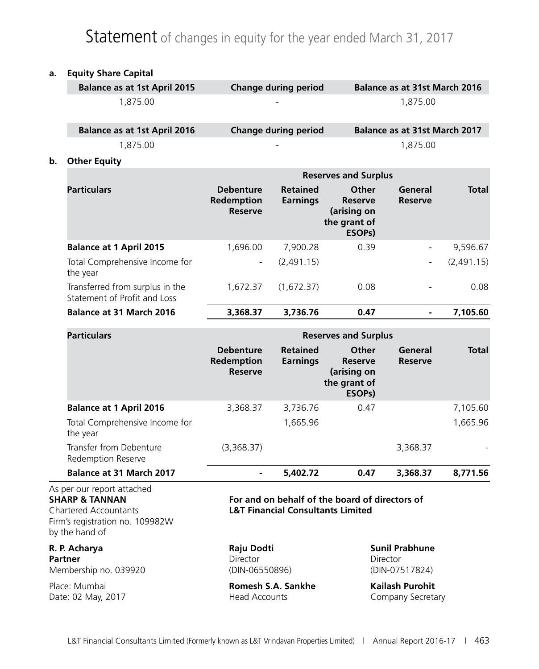### Statement of changes in equity for the year ended March 31, 2017

#### **a. Equity Share Capital**

|    | <b>Balance as at 1st April 2015</b>                             |                                                  | <b>Change during period</b>        |                                                                                      | <b>Balance as at 31st March 2016</b> |              |
|----|-----------------------------------------------------------------|--------------------------------------------------|------------------------------------|--------------------------------------------------------------------------------------|--------------------------------------|--------------|
|    | 1,875.00                                                        |                                                  |                                    |                                                                                      | 1,875.00                             |              |
|    | <b>Balance as at 1st April 2016</b>                             |                                                  | <b>Change during period</b>        |                                                                                      | <b>Balance as at 31st March 2017</b> |              |
|    | 1,875.00                                                        |                                                  |                                    |                                                                                      | 1,875.00                             |              |
| b. | <b>Other Equity</b>                                             |                                                  |                                    |                                                                                      |                                      |              |
|    |                                                                 |                                                  |                                    | <b>Reserves and Surplus</b>                                                          |                                      |              |
|    | <b>Particulars</b>                                              | <b>Debenture</b><br>Redemption<br><b>Reserve</b> | <b>Retained</b><br><b>Earnings</b> | <b>Other</b><br><b>Reserve</b><br>(arising on<br>the grant of<br>ESOP <sub>s</sub> ) | General<br><b>Reserve</b>            | <b>Total</b> |
|    | <b>Balance at 1 April 2015</b>                                  | 1,696.00                                         | 7,900.28                           | 0.39                                                                                 |                                      | 9,596.67     |
|    | Total Comprehensive Income for<br>the year                      | $\overline{\phantom{a}}$                         | (2,491.15)                         |                                                                                      |                                      | (2,491.15)   |
|    | Transferred from surplus in the<br>Statement of Profit and Loss | 1,672.37                                         | (1,672.37)                         | 0.08                                                                                 |                                      | 0.08         |
|    | <b>Balance at 31 March 2016</b>                                 | 3,368.37                                         | 3,736.76                           | 0.47                                                                                 |                                      | 7,105.60     |

| <b>Particulars</b>                            |                                                  |                                    | <b>Reserves and Surplus</b>                                                   |                           |              |  |  |  |  |  |
|-----------------------------------------------|--------------------------------------------------|------------------------------------|-------------------------------------------------------------------------------|---------------------------|--------------|--|--|--|--|--|
|                                               | <b>Debenture</b><br>Redemption<br><b>Reserve</b> | <b>Retained</b><br><b>Earnings</b> | Other<br><b>Reserve</b><br>(arising on<br>the grant of<br>ESOP <sub>s</sub> ) | General<br><b>Reserve</b> | <b>Total</b> |  |  |  |  |  |
| <b>Balance at 1 April 2016</b>                | 3,368.37                                         | 3,736.76                           | 0.47                                                                          |                           | 7,105.60     |  |  |  |  |  |
| Total Comprehensive Income for<br>the year    |                                                  | 1,665.96                           |                                                                               |                           | 1,665.96     |  |  |  |  |  |
| Transfer from Debenture<br>Redemption Reserve | (3,368.37)                                       |                                    |                                                                               | 3,368.37                  |              |  |  |  |  |  |
| <b>Balance at 31 March 2017</b>               | ۰                                                | 5,402.72                           | 0.47                                                                          | 3,368.37                  | 8,771.56     |  |  |  |  |  |

# As per our report attached

Firm's registration no. 109982W by the hand of

# **Partner** Director Director Director Director Director Director

#### **SHARP & TANNAN For and on behalf of the board of directors of** Chartered Accountants **L&T Financial Consultants Limited**

**R. P. Acharya Raju Dodti Sunil Prabhune** Membership no. 039920 (DIN-06550896) (DIN-07517824)

Place: Mumbai **Romesh S.A. Sankhe Kailash Purohit** Date: 02 May, 2017 **Head Accounts** Company Secretary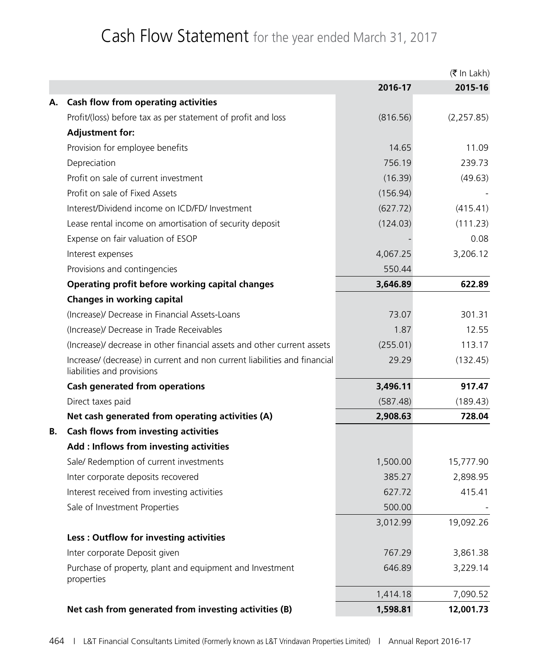### Cash Flow Statement for the year ended March 31, 2017

|    |                                                                                                         |          | $(5 \text{ In } \text{Lakh})$ |
|----|---------------------------------------------------------------------------------------------------------|----------|-------------------------------|
|    |                                                                                                         | 2016-17  | 2015-16                       |
| А. | <b>Cash flow from operating activities</b>                                                              |          |                               |
|    | Profit/(loss) before tax as per statement of profit and loss                                            | (816.56) | (2, 257.85)                   |
|    | <b>Adjustment for:</b>                                                                                  |          |                               |
|    | Provision for employee benefits                                                                         | 14.65    | 11.09                         |
|    | Depreciation                                                                                            | 756.19   | 239.73                        |
|    | Profit on sale of current investment                                                                    | (16.39)  | (49.63)                       |
|    | Profit on sale of Fixed Assets                                                                          | (156.94) |                               |
|    | Interest/Dividend income on ICD/FD/ Investment                                                          | (627.72) | (415.41)                      |
|    | Lease rental income on amortisation of security deposit                                                 | (124.03) | (111.23)                      |
|    | Expense on fair valuation of ESOP                                                                       |          | 0.08                          |
|    | Interest expenses                                                                                       | 4,067.25 | 3,206.12                      |
|    | Provisions and contingencies                                                                            | 550.44   |                               |
|    | Operating profit before working capital changes                                                         | 3,646.89 | 622.89                        |
|    | <b>Changes in working capital</b>                                                                       |          |                               |
|    | (Increase)/ Decrease in Financial Assets-Loans                                                          | 73.07    | 301.31                        |
|    | (Increase)/ Decrease in Trade Receivables                                                               | 1.87     | 12.55                         |
|    | (Increase)/ decrease in other financial assets and other current assets                                 | (255.01) | 113.17                        |
|    | Increase/ (decrease) in current and non current liabilities and financial<br>liabilities and provisions | 29.29    | (132.45)                      |
|    | <b>Cash generated from operations</b>                                                                   | 3,496.11 | 917.47                        |
|    | Direct taxes paid                                                                                       | (587.48) | (189.43)                      |
|    | Net cash generated from operating activities (A)                                                        | 2,908.63 | 728.04                        |
| В. | <b>Cash flows from investing activities</b>                                                             |          |                               |
|    | Add : Inflows from investing activities                                                                 |          |                               |
|    | Sale/ Redemption of current investments                                                                 | 1,500.00 | 15,777.90                     |
|    | Inter corporate deposits recovered                                                                      | 385.27   | 2,898.95                      |
|    | Interest received from investing activities                                                             | 627.72   | 415.41                        |
|    | Sale of Investment Properties                                                                           | 500.00   |                               |
|    |                                                                                                         | 3,012.99 | 19,092.26                     |
|    | Less: Outflow for investing activities                                                                  |          |                               |
|    | Inter corporate Deposit given                                                                           | 767.29   | 3,861.38                      |
|    | Purchase of property, plant and equipment and Investment<br>properties                                  | 646.89   | 3,229.14                      |
|    |                                                                                                         | 1,414.18 | 7,090.52                      |
|    | Net cash from generated from investing activities (B)                                                   | 1,598.81 | 12,001.73                     |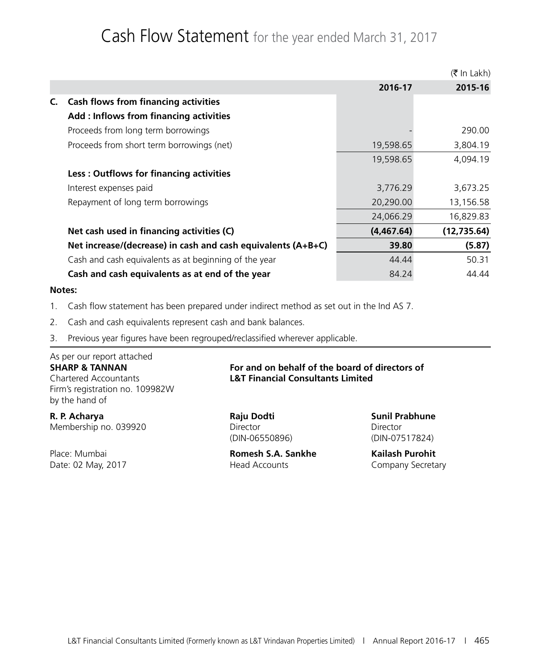### Cash Flow Statement for the year ended March 31, 2017

|    |                                                                |            | $(5 \text{ In Lakh})$ |
|----|----------------------------------------------------------------|------------|-----------------------|
|    |                                                                | 2016-17    | 2015-16               |
| C. | <b>Cash flows from financing activities</b>                    |            |                       |
|    | Add : Inflows from financing activities                        |            |                       |
|    | Proceeds from long term borrowings                             |            | 290.00                |
|    | Proceeds from short term borrowings (net)                      | 19,598.65  | 3,804.19              |
|    |                                                                | 19,598.65  | 4,094.19              |
|    | Less: Outflows for financing activities                        |            |                       |
|    | Interest expenses paid                                         | 3,776.29   | 3,673.25              |
|    | Repayment of long term borrowings                              | 20,290.00  | 13,156.58             |
|    |                                                                | 24,066.29  | 16,829.83             |
|    | Net cash used in financing activities (C)                      | (4,467.64) | (12, 735.64)          |
|    | Net increase/(decrease) in cash and cash equivalents $(A+B+C)$ | 39.80      | (5.87)                |
|    | Cash and cash equivalents as at beginning of the year          | 44.44      | 50.31                 |
|    | Cash and cash equivalents as at end of the year                | 84.24      | 44.44                 |

#### **Notes:**

- 1. Cash flow statement has been prepared under indirect method as set out in the Ind AS 7.
- 2. Cash and cash equivalents represent cash and bank balances.
- 3. Previous year figures have been regrouped/reclassified wherever applicable.

### As per our report attached Firm's registration no. 109982W by the hand of

**R. P. Acharya Raju Dodti Sunil Prabhune** Membership no. 039920 Director Director

#### **SHARP & TANNAN For and on behalf of the board of directors of** Chartered Accountants **L&T Financial Consultants Limited**

(DIN-06550896) (DIN-07517824)

Place: Mumbai **Romesh S.A. Sankhe Kailash Purohit** Date: 02 May, 2017 **Head Accounts** Company Secretary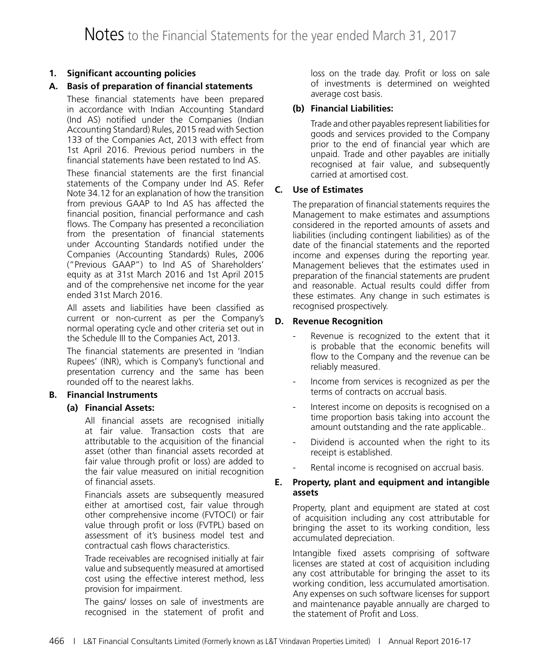#### **1. Significant accounting policies**

#### **A. Basis of preparation of financial statements**

These financial statements have been prepared in accordance with Indian Accounting Standard (Ind AS) notified under the Companies (Indian Accounting Standard) Rules, 2015 read with Section 133 of the Companies Act, 2013 with effect from 1st April 2016. Previous period numbers in the financial statements have been restated to Ind AS.

These financial statements are the first financial statements of the Company under Ind AS. Refer Note 34.12 for an explanation of how the transition from previous GAAP to Ind AS has affected the financial position, financial performance and cash flows. The Company has presented a reconciliation from the presentation of financial statements under Accounting Standards notified under the Companies (Accounting Standards) Rules, 2006 ("Previous GAAP") to Ind AS of Shareholders' equity as at 31st March 2016 and 1st April 2015 and of the comprehensive net income for the year ended 31st March 2016.

All assets and liabilities have been classified as current or non-current as per the Company's normal operating cycle and other criteria set out in the Schedule III to the Companies Act, 2013.

The financial statements are presented in 'Indian Rupees' (INR), which is Company's functional and presentation currency and the same has been rounded off to the nearest lakhs.

#### **B. Financial Instruments**

#### **(a) Financial Assets:**

 All financial assets are recognised initially at fair value. Transaction costs that are attributable to the acquisition of the financial asset (other than financial assets recorded at fair value through profit or loss) are added to the fair value measured on initial recognition of financial assets.

 Financials assets are subsequently measured either at amortised cost, fair value through other comprehensive income (FVTOCI) or fair value through profit or loss (FVTPL) based on assessment of it's business model test and contractual cash flows characteristics.

 Trade receivables are recognised initially at fair value and subsequently measured at amortised cost using the effective interest method, less provision for impairment.

 The gains/ losses on sale of investments are recognised in the statement of profit and loss on the trade day. Profit or loss on sale of investments is determined on weighted average cost basis.

#### **(b) Financial Liabilities:**

 Trade and other payables represent liabilities for goods and services provided to the Company prior to the end of financial year which are unpaid. Trade and other payables are initially recognised at fair value, and subsequently carried at amortised cost.

#### **C. Use of Estimates**

The preparation of financial statements requires the Management to make estimates and assumptions considered in the reported amounts of assets and liabilities (including contingent liabilities) as of the date of the financial statements and the reported income and expenses during the reporting year. Management believes that the estimates used in preparation of the financial statements are prudent and reasonable. Actual results could differ from these estimates. Any change in such estimates is recognised prospectively.

#### **D. Revenue Recognition**

- Revenue is recognized to the extent that it is probable that the economic benefits will flow to the Company and the revenue can be reliably measured.
- Income from services is recognized as per the terms of contracts on accrual basis.
- Interest income on deposits is recognised on a time proportion basis taking into account the amount outstanding and the rate applicable..
- Dividend is accounted when the right to its receipt is established.
- Rental income is recognised on accrual basis.

#### **E. Property, plant and equipment and intangible assets**

Property, plant and equipment are stated at cost of acquisition including any cost attributable for bringing the asset to its working condition, less accumulated depreciation.

Intangible fixed assets comprising of software licenses are stated at cost of acquisition including any cost attributable for bringing the asset to its working condition, less accumulated amortisation. Any expenses on such software licenses for support and maintenance payable annually are charged to the statement of Profit and Loss.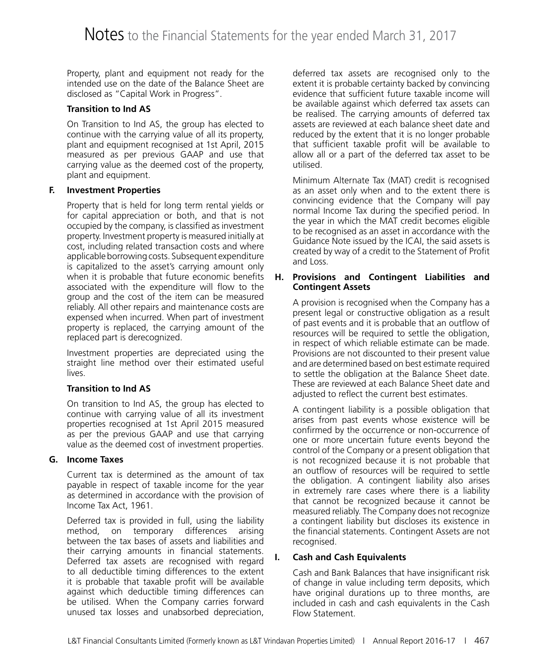Property, plant and equipment not ready for the intended use on the date of the Balance Sheet are disclosed as "Capital Work in Progress".

#### **Transition to Ind AS**

On Transition to Ind AS, the group has elected to continue with the carrying value of all its property, plant and equipment recognised at 1st April, 2015 measured as per previous GAAP and use that carrying value as the deemed cost of the property, plant and equipment.

#### **F. Investment Properties**

Property that is held for long term rental yields or for capital appreciation or both, and that is not occupied by the company, is classified as investment property. Investment property is measured initially at cost, including related transaction costs and where applicable borrowing costs. Subsequent expenditure is capitalized to the asset's carrying amount only when it is probable that future economic benefits associated with the expenditure will flow to the group and the cost of the item can be measured reliably. All other repairs and maintenance costs are expensed when incurred. When part of investment property is replaced, the carrying amount of the replaced part is derecognized.

Investment properties are depreciated using the straight line method over their estimated useful lives.

#### **Transition to Ind AS**

On transition to Ind AS, the group has elected to continue with carrying value of all its investment properties recognised at 1st April 2015 measured as per the previous GAAP and use that carrying value as the deemed cost of investment properties.

#### **G. Income Taxes**

Current tax is determined as the amount of tax payable in respect of taxable income for the year as determined in accordance with the provision of Income Tax Act, 1961.

Deferred tax is provided in full, using the liability method, on temporary differences arising between the tax bases of assets and liabilities and their carrying amounts in financial statements. Deferred tax assets are recognised with regard to all deductible timing differences to the extent it is probable that taxable profit will be available against which deductible timing differences can be utilised. When the Company carries forward unused tax losses and unabsorbed depreciation,

deferred tax assets are recognised only to the extent it is probable certainty backed by convincing evidence that sufficient future taxable income will be available against which deferred tax assets can be realised. The carrying amounts of deferred tax assets are reviewed at each balance sheet date and reduced by the extent that it is no longer probable that sufficient taxable profit will be available to allow all or a part of the deferred tax asset to be utilised.

Minimum Alternate Tax (MAT) credit is recognised as an asset only when and to the extent there is convincing evidence that the Company will pay normal Income Tax during the specified period. In the year in which the MAT credit becomes eligible to be recognised as an asset in accordance with the Guidance Note issued by the ICAI, the said assets is created by way of a credit to the Statement of Profit and Loss.

#### **H. Provisions and Contingent Liabilities and Contingent Assets**

A provision is recognised when the Company has a present legal or constructive obligation as a result of past events and it is probable that an outflow of resources will be required to settle the obligation, in respect of which reliable estimate can be made. Provisions are not discounted to their present value and are determined based on best estimate required to settle the obligation at the Balance Sheet date. These are reviewed at each Balance Sheet date and adjusted to reflect the current best estimates.

A contingent liability is a possible obligation that arises from past events whose existence will be confirmed by the occurrence or non-occurrence of one or more uncertain future events beyond the control of the Company or a present obligation that is not recognized because it is not probable that an outflow of resources will be required to settle the obligation. A contingent liability also arises in extremely rare cases where there is a liability that cannot be recognized because it cannot be measured reliably. The Company does not recognize a contingent liability but discloses its existence in the financial statements. Contingent Assets are not recognised.

#### **I. Cash and Cash Equivalents**

Cash and Bank Balances that have insignificant risk of change in value including term deposits, which have original durations up to three months, are included in cash and cash equivalents in the Cash Flow Statement.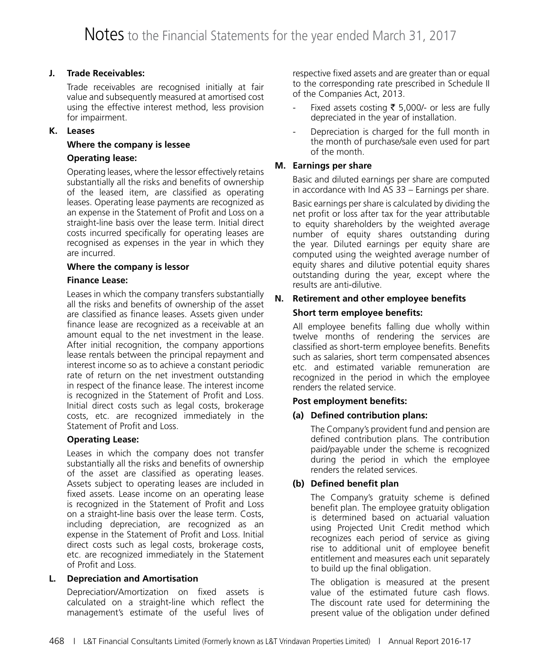#### **J. Trade Receivables:**

Trade receivables are recognised initially at fair value and subsequently measured at amortised cost using the effective interest method, less provision for impairment.

#### **K. Leases**

#### **Where the company is lessee**

#### **Operating lease:**

Operating leases, where the lessor effectively retains substantially all the risks and benefits of ownership of the leased item, are classified as operating leases. Operating lease payments are recognized as an expense in the Statement of Profit and Loss on a straight-line basis over the lease term. Initial direct costs incurred specifically for operating leases are recognised as expenses in the year in which they are incurred.

#### **Where the company is lessor**

#### **Finance Lease:**

Leases in which the company transfers substantially all the risks and benefits of ownership of the asset are classified as finance leases. Assets given under finance lease are recognized as a receivable at an amount equal to the net investment in the lease. After initial recognition, the company apportions lease rentals between the principal repayment and interest income so as to achieve a constant periodic rate of return on the net investment outstanding in respect of the finance lease. The interest income is recognized in the Statement of Profit and Loss. Initial direct costs such as legal costs, brokerage costs, etc. are recognized immediately in the Statement of Profit and Loss.

#### **Operating Lease:**

Leases in which the company does not transfer substantially all the risks and benefits of ownership of the asset are classified as operating leases. Assets subject to operating leases are included in fixed assets. Lease income on an operating lease is recognized in the Statement of Profit and Loss on a straight-line basis over the lease term. Costs, including depreciation, are recognized as an expense in the Statement of Profit and Loss. Initial direct costs such as legal costs, brokerage costs, etc. are recognized immediately in the Statement of Profit and Loss.

#### **L. Depreciation and Amortisation**

Depreciation/Amortization on fixed assets is calculated on a straight-line which reflect the management's estimate of the useful lives of respective fixed assets and are greater than or equal to the corresponding rate prescribed in Schedule II of the Companies Act, 2013.

- Fixed assets costing  $\bar{\tau}$  5,000/- or less are fully depreciated in the year of installation.
- Depreciation is charged for the full month in the month of purchase/sale even used for part of the month.

#### **M. Earnings per share**

Basic and diluted earnings per share are computed in accordance with Ind AS 33 – Earnings per share.

Basic earnings per share is calculated by dividing the net profit or loss after tax for the year attributable to equity shareholders by the weighted average number of equity shares outstanding during the year. Diluted earnings per equity share are computed using the weighted average number of equity shares and dilutive potential equity shares outstanding during the year, except where the results are anti-dilutive.

### **N. Retirement and other employee benefits**

#### **Short term employee benefits:**

All employee benefits falling due wholly within twelve months of rendering the services are classified as short-term employee benefits. Benefits such as salaries, short term compensated absences etc. and estimated variable remuneration are recognized in the period in which the employee renders the related service.

#### **Post employment benefits:**

#### **(a) Defined contribution plans:**

 The Company's provident fund and pension are defined contribution plans. The contribution paid/payable under the scheme is recognized during the period in which the employee renders the related services.

#### **(b) Defined benefit plan**

 The Company's gratuity scheme is defined benefit plan. The employee gratuity obligation is determined based on actuarial valuation using Projected Unit Credit method which recognizes each period of service as giving rise to additional unit of employee benefit entitlement and measures each unit separately to build up the final obligation.

 The obligation is measured at the present value of the estimated future cash flows. The discount rate used for determining the present value of the obligation under defined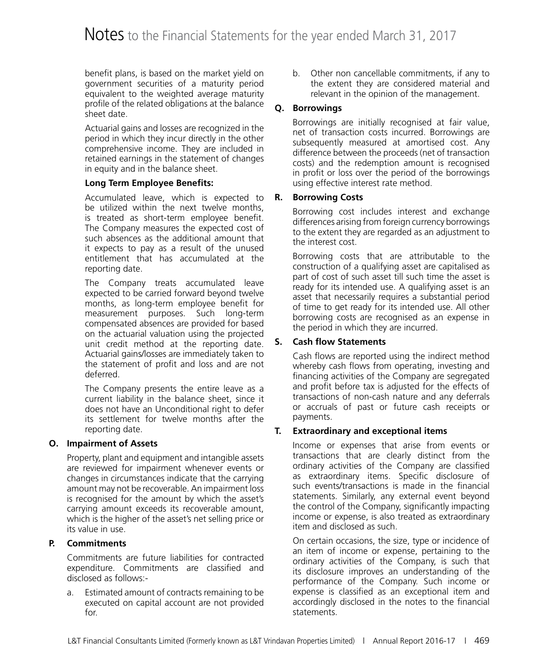benefit plans, is based on the market yield on government securities of a maturity period equivalent to the weighted average maturity profile of the related obligations at the balance sheet date.

 Actuarial gains and losses are recognized in the period in which they incur directly in the other comprehensive income. They are included in retained earnings in the statement of changes in equity and in the balance sheet.

#### **Long Term Employee Benefits:**

 Accumulated leave, which is expected to be utilized within the next twelve months, is treated as short-term employee benefit. The Company measures the expected cost of such absences as the additional amount that it expects to pay as a result of the unused entitlement that has accumulated at the reporting date.

 The Company treats accumulated leave expected to be carried forward beyond twelve months, as long-term employee benefit for measurement purposes. Such long-term compensated absences are provided for based on the actuarial valuation using the projected unit credit method at the reporting date. Actuarial gains/losses are immediately taken to the statement of profit and loss and are not deferred.

 The Company presents the entire leave as a current liability in the balance sheet, since it does not have an Unconditional right to defer its settlement for twelve months after the reporting date.

#### **O. Impairment of Assets**

Property, plant and equipment and intangible assets are reviewed for impairment whenever events or changes in circumstances indicate that the carrying amount may not be recoverable. An impairment loss is recognised for the amount by which the asset's carrying amount exceeds its recoverable amount, which is the higher of the asset's net selling price or its value in use.

#### **P. Commitments**

Commitments are future liabilities for contracted expenditure. Commitments are classified and disclosed as follows:-

a. Estimated amount of contracts remaining to be executed on capital account are not provided for.

b. Other non cancellable commitments, if any to the extent they are considered material and relevant in the opinion of the management.

#### **Q. Borrowings**

Borrowings are initially recognised at fair value, net of transaction costs incurred. Borrowings are subsequently measured at amortised cost. Any difference between the proceeds (net of transaction costs) and the redemption amount is recognised in profit or loss over the period of the borrowings using effective interest rate method.

#### **R. Borrowing Costs**

Borrowing cost includes interest and exchange differences arising from foreign currency borrowings to the extent they are regarded as an adjustment to the interest cost.

Borrowing costs that are attributable to the construction of a qualifying asset are capitalised as part of cost of such asset till such time the asset is ready for its intended use. A qualifying asset is an asset that necessarily requires a substantial period of time to get ready for its intended use. All other borrowing costs are recognised as an expense in the period in which they are incurred.

#### **S. Cash flow Statements**

Cash flows are reported using the indirect method whereby cash flows from operating, investing and financing activities of the Company are segregated and profit before tax is adjusted for the effects of transactions of non-cash nature and any deferrals or accruals of past or future cash receipts or payments.

#### **T. Extraordinary and exceptional items**

Income or expenses that arise from events or transactions that are clearly distinct from the ordinary activities of the Company are classified as extraordinary items. Specific disclosure of such events/transactions is made in the financial statements. Similarly, any external event beyond the control of the Company, significantly impacting income or expense, is also treated as extraordinary item and disclosed as such.

On certain occasions, the size, type or incidence of an item of income or expense, pertaining to the ordinary activities of the Company, is such that its disclosure improves an understanding of the performance of the Company. Such income or expense is classified as an exceptional item and accordingly disclosed in the notes to the financial statements.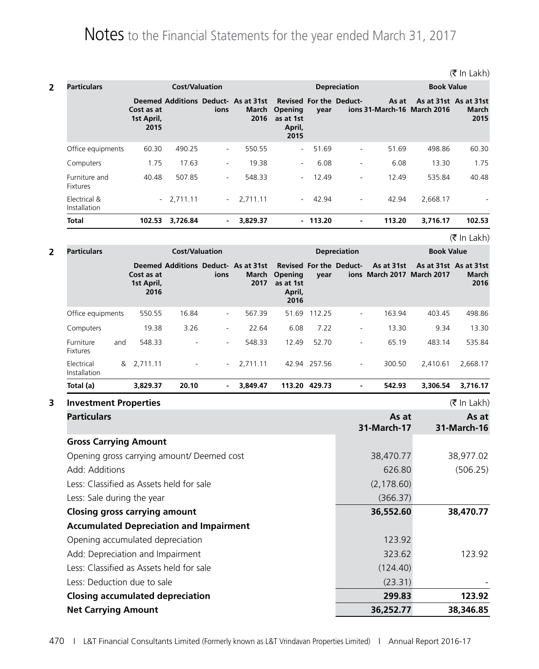| <b>Particulars</b>               |                                  | <b>Cost/Valuation</b> |                          |                                                      |                                                                                 |           | <b>Depreciation</b>      |        | <b>Book Value</b>                                    |               |
|----------------------------------|----------------------------------|-----------------------|--------------------------|------------------------------------------------------|---------------------------------------------------------------------------------|-----------|--------------------------|--------|------------------------------------------------------|---------------|
|                                  | Cost as at<br>1st April,<br>2015 |                       | ions                     | Deemed Additions Deduct- As at 31st<br>March<br>2016 | <b>Revised For the Deduct-</b><br><b>Opening</b><br>as at 1st<br>April,<br>2015 | year      |                          | As at  | As at 31st As at 31st<br>ions 31-March-16 March 2016 | March<br>2015 |
| Office equipments                | 60.30                            | 490.25                | $\sim$                   | 550.55                                               | $\sim$                                                                          | 51.69     | $\sim$                   | 51.69  | 498.86                                               | 60.30         |
| Computers                        | 1.75                             | 17.63                 | $\overline{\phantom{a}}$ | 19.38                                                | $\sim$                                                                          | 6.08      | $\overline{\phantom{a}}$ | 6.08   | 13.30                                                | 1.75          |
| Furniture and<br><b>Fixtures</b> | 40.48                            | 507.85                | $\overline{\phantom{a}}$ | 548.33                                               | $\sim$                                                                          | 12.49     | $\overline{\phantom{a}}$ | 12.49  | 535.84                                               | 40.48         |
| Electrical &<br>Installation     |                                  | $-2,711.11$           | $\sim$                   | 2.711.11                                             | $\sim 100$                                                                      | 42.94     | $\overline{\phantom{a}}$ | 42.94  | 2.668.17                                             |               |
| <b>Total</b>                     | 102.53                           | 3,726.84              | $\blacksquare$           | 3,829.37                                             |                                                                                 | $-113.20$ | ٠                        | 113.20 | 3.716.17                                             | 102.53        |

 $(\bar{\bar{\mathbf{z}}}$  In Lakh)

| <b>Particulars</b>                             |     |                                  | <b>Cost/Valuation</b> |                          |                                                      |                                        |               | <b>Depreciation</b>            |                                          | <b>Book Value</b>     |                   |  |
|------------------------------------------------|-----|----------------------------------|-----------------------|--------------------------|------------------------------------------------------|----------------------------------------|---------------|--------------------------------|------------------------------------------|-----------------------|-------------------|--|
|                                                |     | Cost as at<br>1st April,<br>2016 |                       | ions                     | Deemed Additions Deduct- As at 31st<br>March<br>2017 | Opening<br>as at 1st<br>April,<br>2016 | year          | <b>Revised For the Deduct-</b> | As at 31st<br>ions March 2017 March 2017 | As at 31st As at 31st | March<br>2016     |  |
| Office equipments                              |     | 550.55                           | 16.84                 | $\overline{\phantom{0}}$ | 567.39                                               |                                        | 51.69 112.25  | $\blacksquare$                 | 163.94                                   | 403.45                | 498.86            |  |
| Computers                                      |     | 19.38                            | 3.26                  |                          | 22.64                                                | 6.08                                   | 7.22          |                                | 13.30                                    | 9.34                  | 13.30             |  |
| Furniture<br><b>Fixtures</b>                   | and | 548.33                           |                       |                          | 548.33                                               | 12.49                                  | 52.70         |                                | 65.19                                    | 483.14                | 535.84            |  |
| Electrical<br>Installation                     |     | & 2,711.11                       |                       |                          | 2,711.11                                             |                                        | 42.94 257.56  | $\blacksquare$                 | 300.50                                   | 2,410.61              | 2,668.17          |  |
| Total (a)                                      |     | 3,829.37                         | 20.10                 |                          | 3,849.47                                             |                                        | 113.20 429.73 |                                | 542.93                                   | 3,306.54              | 3,716.17          |  |
| <b>Investment Properties</b>                   |     |                                  |                       |                          |                                                      |                                        |               |                                |                                          |                       | $($ ₹ In Lakh $)$ |  |
| <b>Particulars</b>                             |     |                                  |                       |                          |                                                      |                                        |               |                                | As at                                    |                       | As at             |  |
|                                                |     |                                  |                       |                          |                                                      |                                        |               |                                | 31-March-17                              |                       | 31-March-16       |  |
| <b>Gross Carrying Amount</b>                   |     |                                  |                       |                          |                                                      |                                        |               |                                |                                          |                       |                   |  |
| Opening gross carrying amount/ Deemed cost     |     |                                  |                       |                          |                                                      |                                        |               |                                | 38,470.77                                |                       | 38,977.02         |  |
| Add: Additions                                 |     |                                  |                       |                          |                                                      |                                        |               |                                | 626.80                                   |                       | (506.25)          |  |
| Less: Classified as Assets held for sale       |     |                                  |                       |                          |                                                      |                                        |               |                                | (2, 178.60)                              |                       |                   |  |
| Less: Sale during the year                     |     |                                  |                       |                          |                                                      |                                        |               |                                | (366.37)                                 |                       |                   |  |
| <b>Closing gross carrying amount</b>           |     |                                  |                       |                          |                                                      |                                        |               |                                | 36,552.60                                |                       | 38,470.77         |  |
| <b>Accumulated Depreciation and Impairment</b> |     |                                  |                       |                          |                                                      |                                        |               |                                |                                          |                       |                   |  |
| Opening accumulated depreciation               |     |                                  |                       |                          |                                                      |                                        |               |                                | 123.92                                   |                       |                   |  |
| Add: Depreciation and Impairment               |     |                                  |                       |                          |                                                      |                                        |               |                                | 323.62                                   |                       | 123.92            |  |
| Less: Classified as Assets held for sale       |     |                                  |                       |                          |                                                      |                                        |               |                                | (124.40)                                 |                       |                   |  |
| Less: Deduction due to sale                    |     |                                  |                       |                          |                                                      |                                        |               |                                | (23.31)                                  |                       |                   |  |
| <b>Closing accumulated depreciation</b>        |     |                                  |                       |                          |                                                      |                                        |               |                                | 299.83                                   |                       | 123.92            |  |

**Net Carrying Amount 36,252.77 38,346.85**

#### $(\bar{z}$  In Lakh)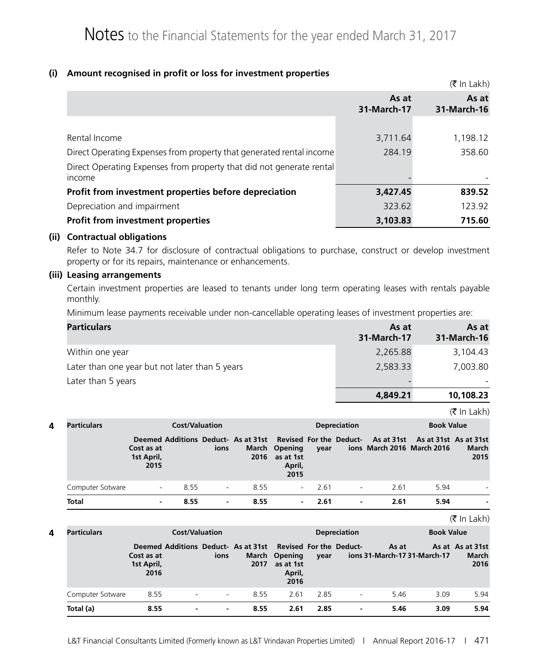#### **(i) Amount recognised in profit or loss for investment properties**

|                                                                      |                      | $(5 \text{ In } \text{Lakh})$ |
|----------------------------------------------------------------------|----------------------|-------------------------------|
|                                                                      | As at<br>31-March-17 | As at<br>31-March-16          |
|                                                                      |                      |                               |
| Rental Income                                                        | 3,711.64             | 1,198.12                      |
| Direct Operating Expenses from property that generated rental income | 284.19               | 358.60                        |
| Direct Operating Expenses from property that did not generate rental |                      |                               |
| income                                                               |                      |                               |
| Profit from investment properties before depreciation                | 3,427.45             | 839.52                        |
| Depreciation and impairment                                          | 323.62               | 123.92                        |
| <b>Profit from investment properties</b>                             | 3,103.83             | 715.60                        |

#### **(ii) Contractual obligations**

Refer to Note 34.7 for disclosure of contractual obligations to purchase, construct or develop investment property or for its repairs, maintenance or enhancements.

#### **(iii) Leasing arrangements**

Certain investment properties are leased to tenants under long term operating leases with rentals payable monthly.

Minimum lease payments receivable under non-cancellable operating leases of investment properties are:

| <b>Particulars</b>                             | As at<br>31-March-17 | As at<br>31-March-16 |
|------------------------------------------------|----------------------|----------------------|
| Within one year                                | 2,265.88             | 3,104.43             |
| Later than one year but not later than 5 years | 2,583.33             | 7,003.80             |
| Later than 5 years                             |                      |                      |
|                                                | 4,849.21             | 10,108.23            |

 $\left( \mathfrak{F}\right)$  in Lakh)

| Particulars      |                                  | <b>Cost/Valuation</b> |        |      |                                              |                    | <b>Depreciation</b> |      |                                                                                                                            | <b>Book Value</b> |  |
|------------------|----------------------------------|-----------------------|--------|------|----------------------------------------------|--------------------|---------------------|------|----------------------------------------------------------------------------------------------------------------------------|-------------------|--|
|                  | Cost as at<br>1st April,<br>2015 |                       | ions   | 2016 | March Opening<br>as at 1st<br>April,<br>2015 | vear               |                     |      | Deemed Additions Deduct- As at 31st Revised For the Deduct- As at 31st As at 31st As at 31st<br>ions March 2016 March 2016 | March<br>2015     |  |
| Computer Sotware | $\overline{\phantom{a}}$         | 8.55                  | $\sim$ | 8.55 |                                              | 2.61<br>$\sim 100$ |                     | 2.61 | 5.94                                                                                                                       |                   |  |
| <b>Total</b>     |                                  | 8.55                  | ۰.     | 8.55 | $\sim$ 100 $\mu$                             | 2.61               | $\blacksquare$      | 2.61 | 5.94                                                                                                                       |                   |  |

 $\left( \mathfrak{F}\right)$  in Lakh)

| 4 | <b>Particulars</b> |                                  | <b>Cost/Valuation</b> |        |                                                                     |                                              |      | <b>Depreciation</b> |                                       | <b>Book Value</b> |                                   |
|---|--------------------|----------------------------------|-----------------------|--------|---------------------------------------------------------------------|----------------------------------------------|------|---------------------|---------------------------------------|-------------------|-----------------------------------|
|   |                    | Cost as at<br>1st April,<br>2016 |                       | ions   | Deemed Additions Deduct- As at 31st Revised For the Deduct-<br>2017 | March Opening<br>as at 1st<br>April,<br>2016 | vear |                     | As at<br>ions 31-March-17 31-March-17 |                   | As at As at 31st<br>March<br>2016 |
|   | Computer Sotware   | 8.55                             |                       | $\sim$ | 8.55                                                                | 2.61                                         | 2.85 |                     | 5.46                                  | 3.09              | 5.94                              |
|   | Total (a)          | 8.55                             | ٠                     | ۰.     | 8.55                                                                | 2.61                                         | 2.85 | $\blacksquare$      | 5.46                                  | 3.09              | 5.94                              |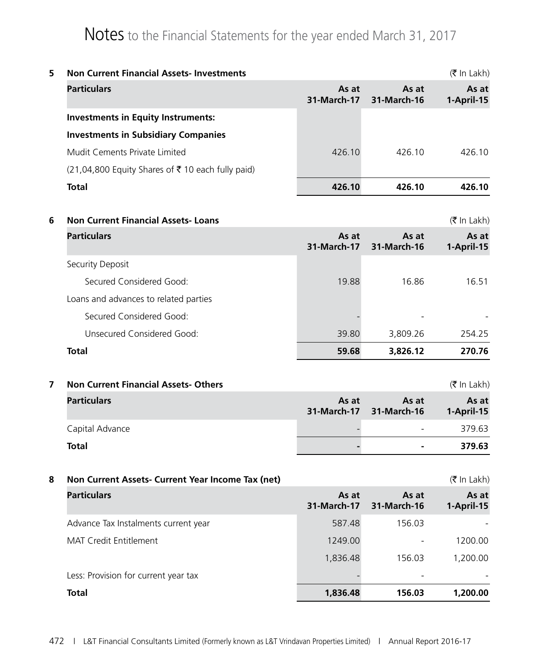| 5. | <b>Non Current Financial Assets-Investments</b><br>$(\bar{\bar{\mathbf{x}}}$ In Lakh) |                      |        |                     |  |  |  |  |  |  |
|----|---------------------------------------------------------------------------------------|----------------------|--------|---------------------|--|--|--|--|--|--|
|    | <b>Particulars</b>                                                                    | As at<br>31-March-17 |        | As at<br>1-April-15 |  |  |  |  |  |  |
|    | <b>Investments in Equity Instruments:</b>                                             |                      |        |                     |  |  |  |  |  |  |
|    | <b>Investments in Subsidiary Companies</b>                                            |                      |        |                     |  |  |  |  |  |  |
|    | Mudit Cements Private Limited                                                         | 426.10               | 426.10 | 426 10              |  |  |  |  |  |  |
|    | $(21,04,800$ Equity Shares of ₹10 each fully paid)                                    |                      |        |                     |  |  |  |  |  |  |
|    | <b>Total</b>                                                                          | 426.10               | 426.10 | 426.10              |  |  |  |  |  |  |
|    |                                                                                       |                      |        |                     |  |  |  |  |  |  |

**6 Non Current Financial Assets- Loans** (₹ In Lakh)

| <b>Particulars</b>                    | As at<br>31-March-17 | As at<br>31-March-16 | As at<br>1-April-15 |
|---------------------------------------|----------------------|----------------------|---------------------|
| Security Deposit                      |                      |                      |                     |
| Secured Considered Good:              | 19.88                | 16.86                | 16.51               |
| Loans and advances to related parties |                      |                      |                     |
| Secured Considered Good:              |                      |                      |                     |
| Unsecured Considered Good:            | 39.80                | 3,809.26             | 254.25              |
| <b>Total</b>                          | 59.68                | 3,826.12             | 270.76              |

**7 Non Current Financial Assets- Others** (₹ In Lakh)

| <b>Particulars</b> | As at | As at<br>31-March-17 31-March-16 | As at<br>1-April-15 |
|--------------------|-------|----------------------------------|---------------------|
| Capital Advance    |       | $\overline{\phantom{a}}$         | 379.63              |
| Total              |       | $\blacksquare$                   | 379.63              |

| 8 | $(\bar{\bar{\mathbf{x}}}$ In Lakh)<br>Non Current Assets- Current Year Income Tax (net) |                      |                      |                     |  |
|---|-----------------------------------------------------------------------------------------|----------------------|----------------------|---------------------|--|
|   | <b>Particulars</b>                                                                      | As at<br>31-March-17 | As at<br>31-March-16 | As at<br>1-April-15 |  |
|   | Advance Tax Instalments current year                                                    | 587.48               | 156.03               |                     |  |
|   | MAT Credit Entitlement                                                                  | 1249.00              |                      | 1200.00             |  |
|   |                                                                                         | 1,836.48             | 156.03               | 1,200.00            |  |
|   | Less: Provision for current year tax                                                    |                      |                      |                     |  |
|   | Total                                                                                   | 1,836.48             | 156.03               | 1,200,00            |  |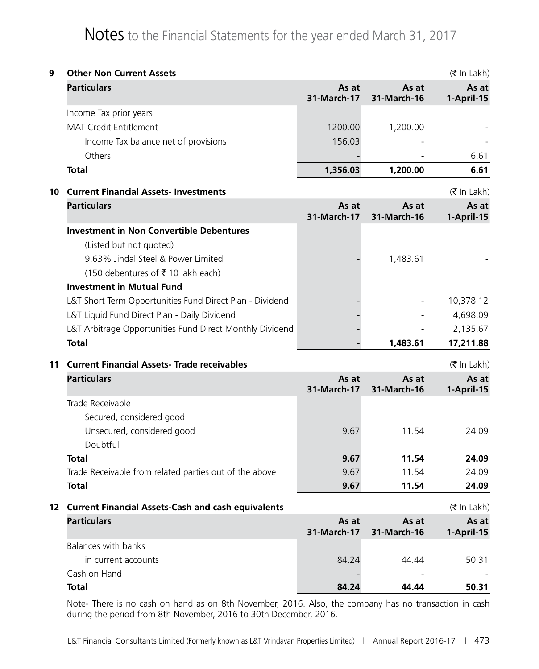| 9  | <b>Other Non Current Assets</b><br>$(\bar{\bar{\mathbf{z}}}$ In Lakh) |                      |                      |                     |  |  |
|----|-----------------------------------------------------------------------|----------------------|----------------------|---------------------|--|--|
|    | <b>Particulars</b>                                                    | As at<br>31-March-17 | As at<br>31-March-16 | As at<br>1-April-15 |  |  |
|    | Income Tax prior years                                                |                      |                      |                     |  |  |
|    | <b>MAT Credit Entitlement</b>                                         | 1200.00              | 1,200.00             |                     |  |  |
|    | Income Tax balance net of provisions                                  | 156.03               |                      |                     |  |  |
|    | Others                                                                |                      |                      | 6.61                |  |  |
|    | <b>Total</b>                                                          | 1,356.03             | 1,200.00             | 6.61                |  |  |
| 10 | <b>Current Financial Assets-Investments</b>                           |                      |                      | (₹ In Lakh)         |  |  |
|    | <b>Particulars</b>                                                    | As at<br>31-March-17 | As at<br>31-March-16 | As at<br>1-April-15 |  |  |
|    | <b>Investment in Non Convertible Debentures</b>                       |                      |                      |                     |  |  |
|    | (Listed but not quoted)                                               |                      |                      |                     |  |  |
|    | 9.63% Jindal Steel & Power Limited                                    |                      | 1,483.61             |                     |  |  |
|    | (150 debentures of ₹10 lakh each)                                     |                      |                      |                     |  |  |
|    | <b>Investment in Mutual Fund</b>                                      |                      |                      |                     |  |  |
|    | L&T Short Term Opportunities Fund Direct Plan - Dividend              |                      |                      | 10,378.12           |  |  |
|    | L&T Liquid Fund Direct Plan - Daily Dividend                          |                      |                      | 4,698.09            |  |  |
|    | L&T Arbitrage Opportunities Fund Direct Monthly Dividend              |                      |                      | 2,135.67            |  |  |
|    | <b>Total</b>                                                          |                      | 1,483.61             | 17,211.88           |  |  |
| 11 | <b>Current Financial Assets- Trade receivables</b>                    |                      |                      | $($ ₹ In Lakh $)$   |  |  |
|    | <b>Particulars</b>                                                    | As at<br>31-March-17 | As at<br>31-March-16 | As at<br>1-April-15 |  |  |
|    | Trade Receivable                                                      |                      |                      |                     |  |  |
|    | Secured, considered good                                              |                      |                      |                     |  |  |
|    | Unsecured, considered good<br>Doubtful                                | 9.67                 | 11.54                | 24.09               |  |  |
|    | <b>Total</b>                                                          | 9.67                 | 11.54                | 24.09               |  |  |
|    | Trade Receivable from related parties out of the above                | 9.67                 | 11.54                | 24.09               |  |  |
|    | <b>Total</b>                                                          | 9.67                 | 11.54                | 24.09               |  |  |
|    | 12 Current Financial Assets-Cash and cash equivalents                 |                      |                      | $($ ₹ In Lakh $)$   |  |  |
|    | <b>Particulars</b>                                                    | As at<br>31-March-17 | As at                | As at               |  |  |
|    | <b>Balances with banks</b>                                            |                      | 31-March-16          | 1-April-15          |  |  |
|    | in current accounts                                                   | 84.24                | 44.44                | 50.31               |  |  |
|    | Cash on Hand                                                          |                      |                      |                     |  |  |
|    | <b>Total</b>                                                          | 84.24                | 44.44                | 50.31               |  |  |

Note- There is no cash on hand as on 8th November, 2016. Also, the company has no transaction in cash during the period from 8th November, 2016 to 30th December, 2016.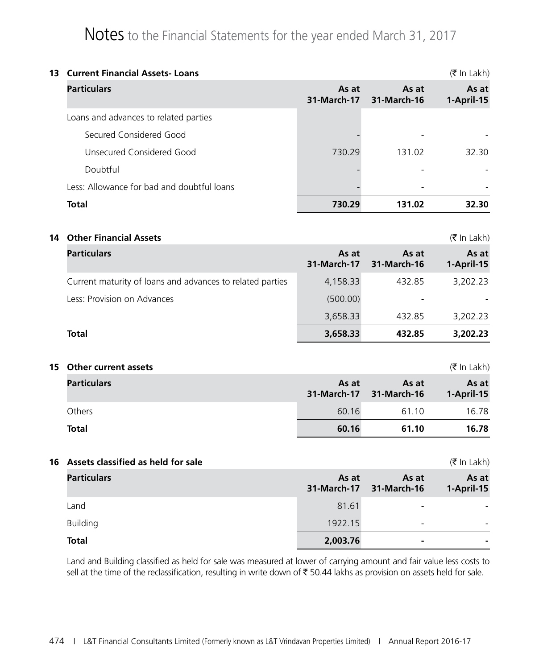| 13 Current Financial Assets-Loans          |                      |                      |                     |
|--------------------------------------------|----------------------|----------------------|---------------------|
| <b>Particulars</b>                         | As at<br>31-March-17 | As at<br>31-March-16 | As at<br>1-April-15 |
| Loans and advances to related parties      |                      |                      |                     |
| Secured Considered Good                    |                      |                      |                     |
| Unsecured Considered Good                  | 730.29               | 131.02               | 32.30               |
| Doubtful                                   |                      |                      |                     |
| Less: Allowance for bad and doubtful loans |                      |                      |                     |
| <b>Total</b>                               | 730.29               | 131.02               | 32.30               |

**14** Other Financial Assets (₹ In Lakh)

| <b>Particulars</b>                                        | As at<br>31-March-17 | As at<br>31-March-16 | As at<br>1-April-15 |
|-----------------------------------------------------------|----------------------|----------------------|---------------------|
| Current maturity of loans and advances to related parties | 4,158.33             | 432.85               | 3,202.23            |
| Less: Provision on Advances                               | (500.00)             |                      |                     |
|                                                           | 3,658.33             | 432.85               | 3,202.23            |
| <b>Total</b>                                              | 3,658.33             | 432.85               | 3,202.23            |

#### **15 Other current assets** (` In Lakh)

| <b>Particulars</b> | As at | As at<br>31-March-17 31-March-16 | As at<br>1-April-15 |
|--------------------|-------|----------------------------------|---------------------|
| Others             | 60.16 | 61.10                            | 16.78               |
| <b>Total</b>       | 60.16 | 61.10                            | 16.78               |

#### **16 Assets classified as held for sale** ( $\vec{\tau}$  In Lakh)

| <b>Particulars</b> | As at    | As at<br>31-March-17 31-March-16 | As at<br>1-April-15 |
|--------------------|----------|----------------------------------|---------------------|
| Land               | 81.61    | $\overline{\phantom{0}}$         |                     |
| <b>Building</b>    | 1922.15  | $\overline{\phantom{0}}$         |                     |
| <b>Total</b>       | 2,003.76 | $\overline{\phantom{0}}$         |                     |

Land and Building classified as held for sale was measured at lower of carrying amount and fair value less costs to sell at the time of the reclassification, resulting in write down of  $\bar{\tau}$  50.44 lakhs as provision on assets held for sale.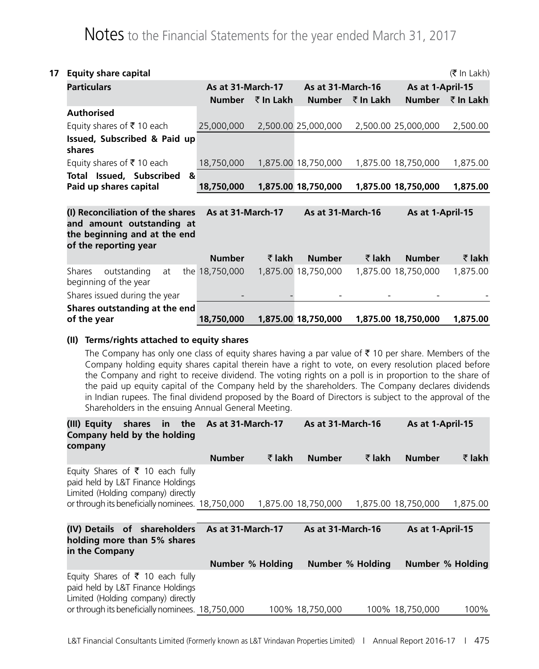| 17 | <b>Equity share capital</b>                                                                                                              |   |                   |                |                     |                |                     | $(\bar{\bar{\mathbf{x}}}$ In Lakh) |
|----|------------------------------------------------------------------------------------------------------------------------------------------|---|-------------------|----------------|---------------------|----------------|---------------------|------------------------------------|
|    | <b>Particulars</b>                                                                                                                       |   | As at 31-March-17 |                | As at 31-March-16   |                | As at 1-April-15    |                                    |
|    |                                                                                                                                          |   | <b>Number</b>     | ₹ In Lakh      | <b>Number</b>       | ₹ In Lakh      | <b>Number</b>       | ₹ In Lakh                          |
|    | <b>Authorised</b>                                                                                                                        |   |                   |                |                     |                |                     |                                    |
|    | Equity shares of $\bar{\tau}$ 10 each                                                                                                    |   | 25,000,000        |                | 2,500.00 25,000,000 |                | 2,500.00 25,000,000 | 2,500.00                           |
|    | Issued, Subscribed & Paid up<br>shares                                                                                                   |   |                   |                |                     |                |                     |                                    |
|    | Equity shares of ₹10 each                                                                                                                |   | 18,750,000        |                | 1,875.00 18,750,000 |                | 1,875.00 18,750,000 | 1,875.00                           |
|    | Total Issued, Subscribed<br>Paid up shares capital                                                                                       | & | 18,750,000        |                | 1,875.00 18,750,000 |                | 1,875.00 18,750,000 | 1,875.00                           |
|    | (I) Reconciliation of the shares As at 31-March-17<br>and amount outstanding at<br>the beginning and at the end<br>of the reporting year |   |                   |                | As at 31-March-16   |                | As at 1-April-15    |                                    |
|    |                                                                                                                                          |   | <b>Number</b>     | $\bar{z}$ lakh | <b>Number</b>       | $\bar{z}$ lakh | <b>Number</b>       | ₹ lakh                             |
|    | outstanding<br>Shares<br>at<br>beginning of the year                                                                                     |   | the 18,750,000    |                | 1,875.00 18,750,000 |                | 1,875.00 18,750,000 | 1,875.00                           |
|    | Shares issued during the year                                                                                                            |   |                   |                |                     |                |                     |                                    |
|    | Shares outstanding at the end<br>of the year                                                                                             |   | 18,750,000        |                | 1,875.00 18,750,000 |                | 1,875.00 18,750,000 | 1,875.00                           |

#### **(II) Terms/rights attached to equity shares**

The Company has only one class of equity shares having a par value of  $\bar{\tau}$  10 per share. Members of the Company holding equity shares capital therein have a right to vote, on every resolution placed before the Company and right to receive dividend. The voting rights on a poll is in proportion to the share of the paid up equity capital of the Company held by the shareholders. The Company declares dividends in Indian rupees. The final dividend proposed by the Board of Directors is subject to the approval of the Shareholders in the ensuing Annual General Meeting.

| (III) Equity<br>Company held by the holding<br>company                                                                                                                     | shares in the As at 31-March-17 |                  |                     | As at 31-March-16       |                     | As at 1-April-15 |  |
|----------------------------------------------------------------------------------------------------------------------------------------------------------------------------|---------------------------------|------------------|---------------------|-------------------------|---------------------|------------------|--|
|                                                                                                                                                                            | <b>Number</b>                   | ₹ lakh           | <b>Number</b>       | ₹ lakh                  | <b>Number</b>       | ₹ lakh           |  |
| Equity Shares of $\bar{\tau}$ 10 each fully<br>paid held by L&T Finance Holdings<br>Limited (Holding company) directly                                                     |                                 |                  |                     |                         |                     |                  |  |
| or through its beneficially nominees. 18,750,000                                                                                                                           |                                 |                  | 1,875.00 18,750,000 |                         | 1,875.00 18,750,000 | 1,875.00         |  |
|                                                                                                                                                                            |                                 |                  |                     |                         |                     |                  |  |
| (IV) Details of shareholders As at 31-March-17<br>holding more than 5% shares<br>in the Company                                                                            |                                 |                  | As at 31-March-16   |                         | As at 1-April-15    |                  |  |
|                                                                                                                                                                            |                                 | Number % Holding |                     | <b>Number % Holding</b> |                     | Number % Holding |  |
| Equity Shares of $\bar{\tau}$ 10 each fully<br>paid held by L&T Finance Holdings<br>Limited (Holding company) directly<br>or through its beneficially nominees. 18,750,000 |                                 |                  | 100% 18.750.000     |                         | 100% 18,750,000     | 100%             |  |
|                                                                                                                                                                            |                                 |                  |                     |                         |                     |                  |  |

L&T Financial Consultants Limited (Formerly known as L&T Vrindavan Properties Limited) | Annual Report 2016-17 | 475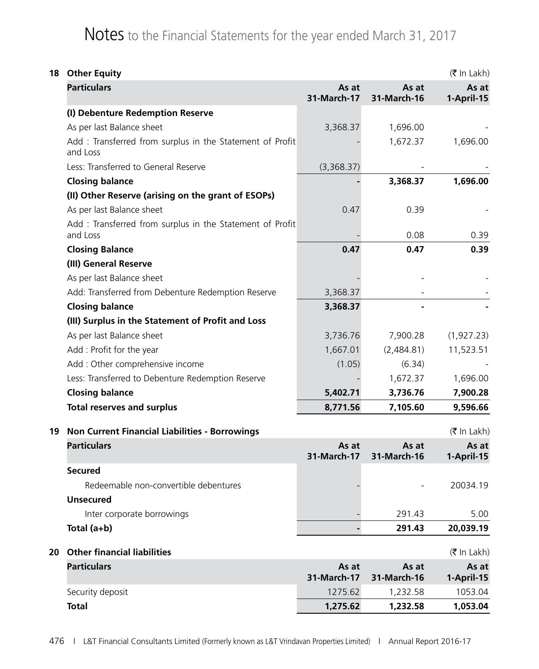|    | 18 Other Equity                                                       |                      |                      |                     |  |
|----|-----------------------------------------------------------------------|----------------------|----------------------|---------------------|--|
|    | <b>Particulars</b>                                                    | As at<br>31-March-17 | As at<br>31-March-16 | As at<br>1-April-15 |  |
|    | (I) Debenture Redemption Reserve                                      |                      |                      |                     |  |
|    | As per last Balance sheet                                             | 3,368.37             | 1,696.00             |                     |  |
|    | Add: Transferred from surplus in the Statement of Profit<br>and Loss  |                      | 1,672.37             | 1,696.00            |  |
|    | Less: Transferred to General Reserve                                  | (3,368.37)           |                      |                     |  |
|    | <b>Closing balance</b>                                                |                      | 3,368.37             | 1,696.00            |  |
|    | (II) Other Reserve (arising on the grant of ESOPs)                    |                      |                      |                     |  |
|    | As per last Balance sheet                                             | 0.47                 | 0.39                 |                     |  |
|    | Add : Transferred from surplus in the Statement of Profit<br>and Loss |                      | 0.08                 | 0.39                |  |
|    | <b>Closing Balance</b>                                                | 0.47                 | 0.47                 | 0.39                |  |
|    | (III) General Reserve                                                 |                      |                      |                     |  |
|    | As per last Balance sheet                                             |                      |                      |                     |  |
|    | Add: Transferred from Debenture Redemption Reserve                    | 3,368.37             |                      |                     |  |
|    | <b>Closing balance</b>                                                | 3,368.37             |                      |                     |  |
|    | (III) Surplus in the Statement of Profit and Loss                     |                      |                      |                     |  |
|    | As per last Balance sheet                                             | 3,736.76             | 7,900.28             | (1,927.23)          |  |
|    | Add: Profit for the year                                              | 1,667.01             | (2,484.81)           | 11,523.51           |  |
|    | Add : Other comprehensive income                                      | (1.05)               | (6.34)               |                     |  |
|    | Less: Transferred to Debenture Redemption Reserve                     |                      | 1,672.37             | 1,696.00            |  |
|    | <b>Closing balance</b>                                                | 5,402.71             | 3,736.76             | 7,900.28            |  |
|    | <b>Total reserves and surplus</b>                                     | 8,771.56             | 7,105.60             | 9,596.66            |  |
| 19 | <b>Non Current Financial Liabilities - Borrowings</b>                 |                      |                      | (₹ In Lakh)         |  |
|    | <b>Particulars</b>                                                    | As at<br>31-March-17 | As at<br>31-March-16 | As at<br>1-April-15 |  |
|    | <b>Secured</b>                                                        |                      |                      |                     |  |
|    | Redeemable non-convertible debentures                                 |                      |                      | 20034.19            |  |
|    | <b>Unsecured</b>                                                      |                      |                      |                     |  |
|    | Inter corporate borrowings                                            |                      | 291.43               | 5.00                |  |
|    | Total (a+b)                                                           |                      | 291.43               | 20,039.19           |  |
| 20 | <b>Other financial liabilities</b>                                    |                      |                      | $($ ₹ In Lakh $)$   |  |
|    | <b>Particulars</b>                                                    | As at<br>31-March-17 | As at<br>31-March-16 | As at<br>1-April-15 |  |
|    | Security deposit                                                      | 1275.62              | 1,232.58             | 1053.04             |  |
|    | <b>Total</b>                                                          | 1,275.62             | 1,232.58             | 1,053.04            |  |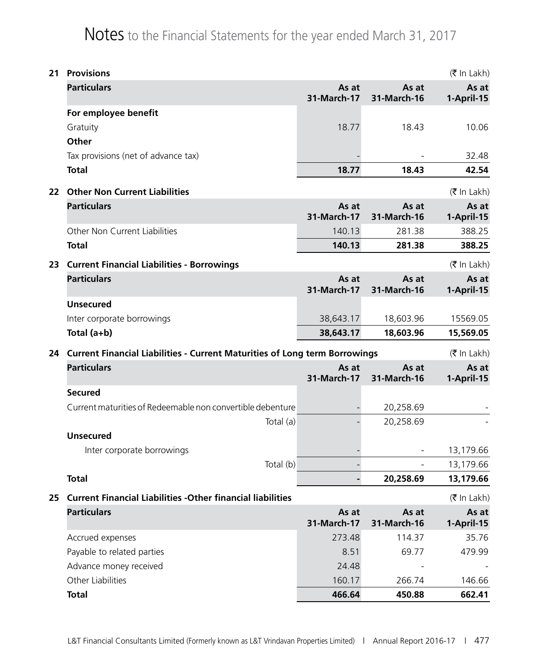| 21 | <b>Provisions</b>                                                             |                      |                              | $(\bar{\bar{\mathbf{x}}}$ In Lakh) |
|----|-------------------------------------------------------------------------------|----------------------|------------------------------|------------------------------------|
|    | <b>Particulars</b>                                                            | As at<br>31-March-17 | As at<br>31-March-16         | As at<br>1-April-15                |
|    | For employee benefit                                                          |                      |                              |                                    |
|    | Gratuity                                                                      | 18.77                | 18.43                        | 10.06                              |
|    | Other                                                                         |                      |                              |                                    |
|    | Tax provisions (net of advance tax)                                           |                      |                              | 32.48                              |
|    | <b>Total</b>                                                                  | 18.77                | 18.43                        | 42.54                              |
| 22 | <b>Other Non Current Liabilities</b>                                          |                      |                              | $(\bar{\bar{\mathbf{x}}}$ In Lakh) |
|    | <b>Particulars</b>                                                            | As at<br>31-March-17 | As at<br>31-March-16         | As at<br>1-April-15                |
|    | Other Non Current Liabilities                                                 | 140.13               | 281.38                       | 388.25                             |
|    | <b>Total</b>                                                                  | 140.13               | 281.38                       | 388.25                             |
| 23 | <b>Current Financial Liabilities - Borrowings</b>                             |                      |                              | (₹ In Lakh)                        |
|    | <b>Particulars</b>                                                            | As at<br>31-March-17 | As at                        | As at                              |
|    | <b>Unsecured</b>                                                              |                      | 31-March-16                  | 1-April-15                         |
|    | Inter corporate borrowings                                                    | 38,643.17            | 18,603.96                    | 15569.05                           |
|    | Total (a+b)                                                                   | 38,643.17            | 18,603.96                    | 15,569.05                          |
|    |                                                                               |                      |                              |                                    |
|    | 24 Current Financial Liabilities - Current Maturities of Long term Borrowings |                      |                              | $($ ₹ In Lakh $)$                  |
|    | <b>Particulars</b>                                                            | As at<br>31-March-17 | As at<br>31-March-16         | As at<br>1-April-15                |
|    | <b>Secured</b>                                                                |                      |                              |                                    |
|    | Current maturities of Redeemable non convertible debenture                    |                      | 20,258.69                    |                                    |
|    | Total (a)                                                                     |                      | 20,258.69                    |                                    |
|    | <b>Unsecured</b>                                                              |                      |                              |                                    |
|    | Inter corporate borrowings                                                    |                      |                              | 13,179.66                          |
|    | Total (b)                                                                     |                      | $\qquad \qquad \blacksquare$ | 13,179.66                          |
|    | <b>Total</b>                                                                  |                      | 20,258.69                    | 13,179.66                          |
| 25 | <b>Current Financial Liabilities -Other financial liabilities</b>             |                      |                              | $(\bar{\bar{\mathbf{x}}}$ In Lakh) |
|    | <b>Particulars</b>                                                            | As at<br>31-March-17 | As at<br>31-March-16         | As at<br>1-April-15                |
|    | Accrued expenses                                                              | 273.48               | 114.37                       | 35.76                              |
|    | Payable to related parties                                                    | 8.51                 | 69.77                        | 479.99                             |
|    | Advance money received                                                        | 24.48                |                              |                                    |
|    | Other Liabilities                                                             | 160.17               | 266.74                       | 146.66                             |
|    | <b>Total</b>                                                                  | 466.64               | 450.88                       | 662.41                             |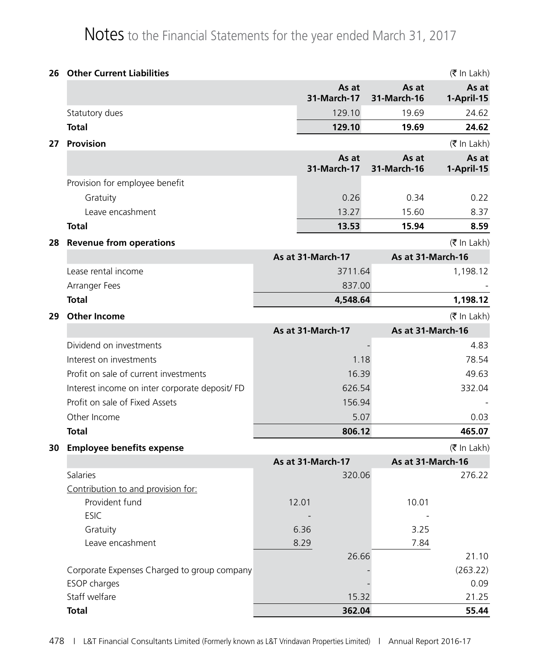| 26 | <b>Other Current Liabilities</b>               |                      |                      | $(\bar{\bar{\mathbf{z}}}$ In Lakh) |
|----|------------------------------------------------|----------------------|----------------------|------------------------------------|
|    |                                                | As at<br>31-March-17 | As at<br>31-March-16 | As at<br>1-April-15                |
|    | Statutory dues                                 | 129.10               | 19.69                | 24.62                              |
|    | <b>Total</b>                                   | 129.10               | 19.69                | 24.62                              |
| 27 | Provision                                      |                      |                      | $($ ₹ In Lakh $)$                  |
|    |                                                | As at<br>31-March-17 | As at<br>31-March-16 | As at<br>1-April-15                |
|    | Provision for employee benefit                 |                      |                      |                                    |
|    | Gratuity                                       | 0.26                 | 0.34                 | 0.22                               |
|    | Leave encashment                               | 13.27                | 15.60                | 8.37                               |
|    | <b>Total</b>                                   | 13.53                | 15.94                | 8.59                               |
| 28 | <b>Revenue from operations</b>                 |                      |                      | $($ ₹ In Lakh $)$                  |
|    |                                                | As at 31-March-17    |                      | As at 31-March-16                  |
|    | Lease rental income                            | 3711.64              |                      | 1,198.12                           |
|    | Arranger Fees                                  | 837.00               |                      |                                    |
|    | <b>Total</b>                                   | 4,548.64             |                      | 1,198.12                           |
| 29 | <b>Other Income</b>                            |                      |                      | $(\bar{\bar{\mathbf{z}}}$ In Lakh) |
|    |                                                | As at 31-March-17    |                      | As at 31-March-16                  |
|    | Dividend on investments                        |                      |                      | 4.83                               |
|    | Interest on investments                        | 1.18                 |                      | 78.54                              |
|    | Profit on sale of current investments          | 16.39                |                      | 49.63                              |
|    | Interest income on inter corporate deposit/ FD | 626.54               |                      | 332.04                             |
|    | Profit on sale of Fixed Assets                 | 156.94               |                      |                                    |
|    | Other Income                                   | 5.07                 |                      | 0.03                               |
|    | <b>Total</b>                                   | 806.12               |                      | 465.07                             |
| 30 | <b>Employee benefits expense</b>               |                      |                      | (₹ In Lakh)                        |
|    |                                                | As at 31-March-17    |                      | As at 31-March-16                  |
|    | Salaries                                       | 320.06               |                      | 276.22                             |
|    | Contribution to and provision for:             |                      |                      |                                    |
|    | Provident fund                                 | 12.01                | 10.01                |                                    |
|    | <b>ESIC</b>                                    |                      |                      |                                    |
|    | Gratuity                                       | 6.36                 | 3.25                 |                                    |
|    | Leave encashment                               | 8.29<br>26.66        | 7.84                 | 21.10                              |
|    | Corporate Expenses Charged to group company    |                      |                      | (263.22)                           |
|    | ESOP charges                                   |                      |                      | 0.09                               |
|    | Staff welfare                                  | 15.32                |                      | 21.25                              |
|    | <b>Total</b>                                   | 362.04               |                      | 55.44                              |
|    |                                                |                      |                      |                                    |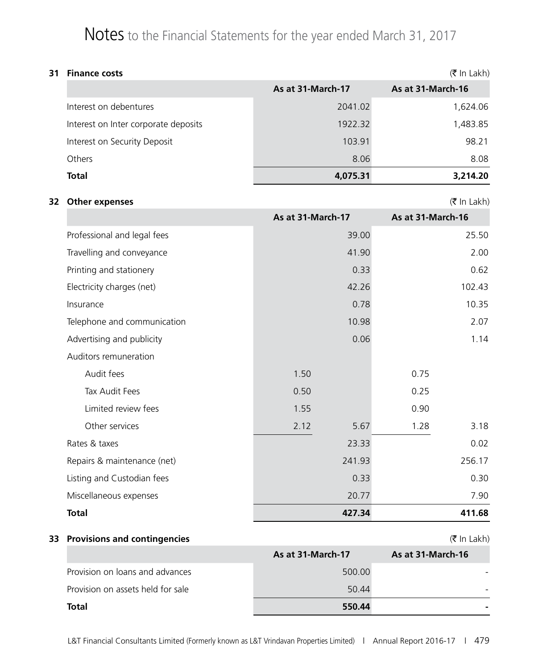| 31 | $(5 \text{ In } \text{Lakh})$<br><b>Finance costs</b> |                   |                   |  |  |  |
|----|-------------------------------------------------------|-------------------|-------------------|--|--|--|
|    |                                                       | As at 31-March-17 | As at 31-March-16 |  |  |  |
|    | Interest on debentures                                | 2041.02           | 1,624.06          |  |  |  |
|    | Interest on Inter corporate deposits                  | 1922.32           | 1,483.85          |  |  |  |
|    | Interest on Security Deposit                          | 103.91            | 98.21             |  |  |  |
|    | Others                                                | 8.06              | 8.08              |  |  |  |
|    | <b>Total</b>                                          | 4,075.31          | 3,214.20          |  |  |  |

#### **32 Other expenses** (₹ In Lakh)

|                             | As at 31-March-17 | As at 31-March-16 |        |
|-----------------------------|-------------------|-------------------|--------|
| Professional and legal fees |                   | 39.00             | 25.50  |
| Travelling and conveyance   |                   | 41.90             | 2.00   |
| Printing and stationery     |                   | 0.33              | 0.62   |
| Electricity charges (net)   |                   | 42.26             | 102.43 |
| Insurance                   |                   | 0.78              | 10.35  |
| Telephone and communication |                   | 10.98             | 2.07   |
| Advertising and publicity   |                   | 0.06              | 1.14   |
| Auditors remuneration       |                   |                   |        |
| Audit fees                  | 1.50              | 0.75              |        |
| Tax Audit Fees              | 0.50              | 0.25              |        |
| Limited review fees         | 1.55              | 0.90              |        |
| Other services              | 2.12              | 5.67<br>1.28      | 3.18   |
| Rates & taxes               |                   | 23.33             | 0.02   |
| Repairs & maintenance (net) |                   | 241.93            | 256.17 |
| Listing and Custodian fees  |                   | 0.33              | 0.30   |
| Miscellaneous expenses      |                   | 20.77             | 7.90   |
| <b>Total</b>                |                   | 427.34            | 411.68 |

#### **33 Provisions and contingencies** (₹ In Lakh)

|                                   | As at 31-March-17 | As at 31-March-16 |
|-----------------------------------|-------------------|-------------------|
| Provision on loans and advances   | 500.00            |                   |
| Provision on assets held for sale | 50.44             |                   |
| Total                             | 550.44            | -                 |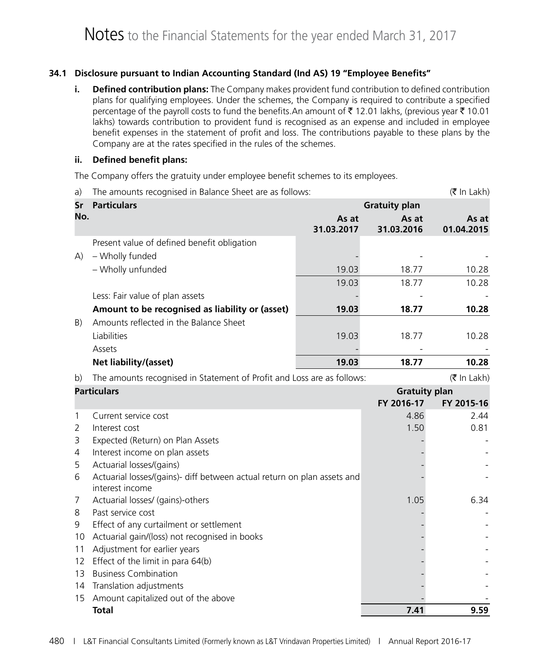#### **34.1 Disclosure pursuant to Indian Accounting Standard (Ind AS) 19 "Employee Benefits"**

**i. Defined contribution plans:** The Company makes provident fund contribution to defined contribution plans for qualifying employees. Under the schemes, the Company is required to contribute a specified percentage of the payroll costs to fund the benefits.An amount of  $\bar{\tau}$  12.01 lakhs, (previous year  $\bar{\tau}$  10.01 lakhs) towards contribution to provident fund is recognised as an expense and included in employee benefit expenses in the statement of profit and loss. The contributions payable to these plans by the Company are at the rates specified in the rules of the schemes.

#### **ii. Defined benefit plans:**

The Company offers the gratuity under employee benefit schemes to its employees.

| <b>Particulars</b><br>Sr<br>No.<br>As at<br>As at<br>As at<br>31.03.2017<br>01.04.2015<br>31.03.2016<br>Present value of defined benefit obligation<br>- Wholly funded<br>(A)<br>- Wholly unfunded<br>19.03<br>18.77<br>10.28<br>19.03<br>18.77<br>10.28<br>Less: Fair value of plan assets<br>Amount to be recognised as liability or (asset)<br>18.77<br>10.28<br>19.03<br>Amounts reflected in the Balance Sheet<br>B)<br>Liabilities<br>18.77<br>10.28<br>19.03<br>Assets<br>18.77<br>10.28<br>Net liability/(asset)<br>19.03<br>(₹ In Lakh)<br>The amounts recognised in Statement of Profit and Loss are as follows:<br>b)<br><b>Particulars</b><br><b>Gratuity plan</b><br>FY 2016-17<br>FY 2015-16<br>Current service cost<br>4.86<br>1<br>2.44<br>1.50<br>$\overline{2}$<br>Interest cost<br>0.81<br>Expected (Return) on Plan Assets<br>3<br>Interest income on plan assets<br>4<br>Actuarial losses/(gains)<br>5<br>Actuarial losses/(gains)- diff between actual return on plan assets and<br>6<br>interest income<br>Actuarial losses/ (gains)-others<br>1.05<br>6.34<br>7<br>Past service cost<br>8<br>Effect of any curtailment or settlement<br>9<br>Actuarial gain/(loss) not recognised in books<br>10<br>Adjustment for earlier years<br>11<br>Effect of the limit in para 64(b)<br>12<br><b>Business Combination</b><br>13<br>Translation adjustments<br>14 | a) | The amounts recognised in Balance Sheet are as follows: |  |                      | (₹ In Lakh) |
|---------------------------------------------------------------------------------------------------------------------------------------------------------------------------------------------------------------------------------------------------------------------------------------------------------------------------------------------------------------------------------------------------------------------------------------------------------------------------------------------------------------------------------------------------------------------------------------------------------------------------------------------------------------------------------------------------------------------------------------------------------------------------------------------------------------------------------------------------------------------------------------------------------------------------------------------------------------------------------------------------------------------------------------------------------------------------------------------------------------------------------------------------------------------------------------------------------------------------------------------------------------------------------------------------------------------------------------------------------------------------------|----|---------------------------------------------------------|--|----------------------|-------------|
|                                                                                                                                                                                                                                                                                                                                                                                                                                                                                                                                                                                                                                                                                                                                                                                                                                                                                                                                                                                                                                                                                                                                                                                                                                                                                                                                                                                 |    |                                                         |  | <b>Gratuity plan</b> |             |
|                                                                                                                                                                                                                                                                                                                                                                                                                                                                                                                                                                                                                                                                                                                                                                                                                                                                                                                                                                                                                                                                                                                                                                                                                                                                                                                                                                                 |    |                                                         |  |                      |             |
|                                                                                                                                                                                                                                                                                                                                                                                                                                                                                                                                                                                                                                                                                                                                                                                                                                                                                                                                                                                                                                                                                                                                                                                                                                                                                                                                                                                 |    |                                                         |  |                      |             |
|                                                                                                                                                                                                                                                                                                                                                                                                                                                                                                                                                                                                                                                                                                                                                                                                                                                                                                                                                                                                                                                                                                                                                                                                                                                                                                                                                                                 |    |                                                         |  |                      |             |
|                                                                                                                                                                                                                                                                                                                                                                                                                                                                                                                                                                                                                                                                                                                                                                                                                                                                                                                                                                                                                                                                                                                                                                                                                                                                                                                                                                                 |    |                                                         |  |                      |             |
|                                                                                                                                                                                                                                                                                                                                                                                                                                                                                                                                                                                                                                                                                                                                                                                                                                                                                                                                                                                                                                                                                                                                                                                                                                                                                                                                                                                 |    |                                                         |  |                      |             |
|                                                                                                                                                                                                                                                                                                                                                                                                                                                                                                                                                                                                                                                                                                                                                                                                                                                                                                                                                                                                                                                                                                                                                                                                                                                                                                                                                                                 |    |                                                         |  |                      |             |
|                                                                                                                                                                                                                                                                                                                                                                                                                                                                                                                                                                                                                                                                                                                                                                                                                                                                                                                                                                                                                                                                                                                                                                                                                                                                                                                                                                                 |    |                                                         |  |                      |             |
|                                                                                                                                                                                                                                                                                                                                                                                                                                                                                                                                                                                                                                                                                                                                                                                                                                                                                                                                                                                                                                                                                                                                                                                                                                                                                                                                                                                 |    |                                                         |  |                      |             |
|                                                                                                                                                                                                                                                                                                                                                                                                                                                                                                                                                                                                                                                                                                                                                                                                                                                                                                                                                                                                                                                                                                                                                                                                                                                                                                                                                                                 |    |                                                         |  |                      |             |
|                                                                                                                                                                                                                                                                                                                                                                                                                                                                                                                                                                                                                                                                                                                                                                                                                                                                                                                                                                                                                                                                                                                                                                                                                                                                                                                                                                                 |    |                                                         |  |                      |             |
|                                                                                                                                                                                                                                                                                                                                                                                                                                                                                                                                                                                                                                                                                                                                                                                                                                                                                                                                                                                                                                                                                                                                                                                                                                                                                                                                                                                 |    |                                                         |  |                      |             |
|                                                                                                                                                                                                                                                                                                                                                                                                                                                                                                                                                                                                                                                                                                                                                                                                                                                                                                                                                                                                                                                                                                                                                                                                                                                                                                                                                                                 |    |                                                         |  |                      |             |
|                                                                                                                                                                                                                                                                                                                                                                                                                                                                                                                                                                                                                                                                                                                                                                                                                                                                                                                                                                                                                                                                                                                                                                                                                                                                                                                                                                                 |    |                                                         |  |                      |             |
|                                                                                                                                                                                                                                                                                                                                                                                                                                                                                                                                                                                                                                                                                                                                                                                                                                                                                                                                                                                                                                                                                                                                                                                                                                                                                                                                                                                 |    |                                                         |  |                      |             |
|                                                                                                                                                                                                                                                                                                                                                                                                                                                                                                                                                                                                                                                                                                                                                                                                                                                                                                                                                                                                                                                                                                                                                                                                                                                                                                                                                                                 |    |                                                         |  |                      |             |
|                                                                                                                                                                                                                                                                                                                                                                                                                                                                                                                                                                                                                                                                                                                                                                                                                                                                                                                                                                                                                                                                                                                                                                                                                                                                                                                                                                                 |    |                                                         |  |                      |             |
|                                                                                                                                                                                                                                                                                                                                                                                                                                                                                                                                                                                                                                                                                                                                                                                                                                                                                                                                                                                                                                                                                                                                                                                                                                                                                                                                                                                 |    |                                                         |  |                      |             |
|                                                                                                                                                                                                                                                                                                                                                                                                                                                                                                                                                                                                                                                                                                                                                                                                                                                                                                                                                                                                                                                                                                                                                                                                                                                                                                                                                                                 |    |                                                         |  |                      |             |
|                                                                                                                                                                                                                                                                                                                                                                                                                                                                                                                                                                                                                                                                                                                                                                                                                                                                                                                                                                                                                                                                                                                                                                                                                                                                                                                                                                                 |    |                                                         |  |                      |             |
|                                                                                                                                                                                                                                                                                                                                                                                                                                                                                                                                                                                                                                                                                                                                                                                                                                                                                                                                                                                                                                                                                                                                                                                                                                                                                                                                                                                 |    |                                                         |  |                      |             |
|                                                                                                                                                                                                                                                                                                                                                                                                                                                                                                                                                                                                                                                                                                                                                                                                                                                                                                                                                                                                                                                                                                                                                                                                                                                                                                                                                                                 |    |                                                         |  |                      |             |
|                                                                                                                                                                                                                                                                                                                                                                                                                                                                                                                                                                                                                                                                                                                                                                                                                                                                                                                                                                                                                                                                                                                                                                                                                                                                                                                                                                                 |    |                                                         |  |                      |             |
|                                                                                                                                                                                                                                                                                                                                                                                                                                                                                                                                                                                                                                                                                                                                                                                                                                                                                                                                                                                                                                                                                                                                                                                                                                                                                                                                                                                 |    |                                                         |  |                      |             |
|                                                                                                                                                                                                                                                                                                                                                                                                                                                                                                                                                                                                                                                                                                                                                                                                                                                                                                                                                                                                                                                                                                                                                                                                                                                                                                                                                                                 |    |                                                         |  |                      |             |
|                                                                                                                                                                                                                                                                                                                                                                                                                                                                                                                                                                                                                                                                                                                                                                                                                                                                                                                                                                                                                                                                                                                                                                                                                                                                                                                                                                                 |    |                                                         |  |                      |             |
|                                                                                                                                                                                                                                                                                                                                                                                                                                                                                                                                                                                                                                                                                                                                                                                                                                                                                                                                                                                                                                                                                                                                                                                                                                                                                                                                                                                 |    |                                                         |  |                      |             |
|                                                                                                                                                                                                                                                                                                                                                                                                                                                                                                                                                                                                                                                                                                                                                                                                                                                                                                                                                                                                                                                                                                                                                                                                                                                                                                                                                                                 |    |                                                         |  |                      |             |
|                                                                                                                                                                                                                                                                                                                                                                                                                                                                                                                                                                                                                                                                                                                                                                                                                                                                                                                                                                                                                                                                                                                                                                                                                                                                                                                                                                                 | 15 |                                                         |  |                      |             |
| Amount capitalized out of the above<br>7.41<br><b>Total</b><br>9.59                                                                                                                                                                                                                                                                                                                                                                                                                                                                                                                                                                                                                                                                                                                                                                                                                                                                                                                                                                                                                                                                                                                                                                                                                                                                                                             |    |                                                         |  |                      |             |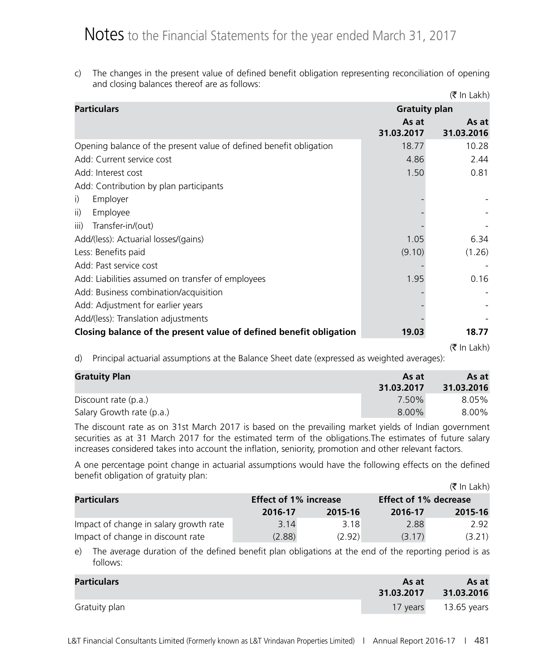c) The changes in the present value of defined benefit obligation representing reconciliation of opening and closing balances thereof are as follows:

|                                                                    |                      | $(\bar{\bar{\mathbf{x}}}$ In Lakh) |
|--------------------------------------------------------------------|----------------------|------------------------------------|
| <b>Particulars</b>                                                 | <b>Gratuity plan</b> |                                    |
|                                                                    | As at<br>31.03.2017  | As at<br>31.03.2016                |
| Opening balance of the present value of defined benefit obligation | 18.77                | 10.28                              |
| Add: Current service cost                                          | 4.86                 | 2.44                               |
| Add: Interest cost                                                 | 1.50                 | 0.81                               |
| Add: Contribution by plan participants                             |                      |                                    |
| Employer<br>$\mathsf{i}$                                           |                      |                                    |
| Employee<br>ii)                                                    |                      |                                    |
| Transfer-in/(out)<br>iii)                                          |                      |                                    |
| Add/(less): Actuarial losses/(gains)                               | 1.05                 | 6.34                               |
| Less: Benefits paid                                                | (9.10)               | (1.26)                             |
| Add: Past service cost                                             |                      |                                    |
| Add: Liabilities assumed on transfer of employees                  | 1.95                 | 0.16                               |
| Add: Business combination/acquisition                              |                      |                                    |
| Add: Adjustment for earlier years                                  |                      |                                    |
| Add/(less): Translation adjustments                                |                      |                                    |
| Closing balance of the present value of defined benefit obligation | 19.03                | 18.77                              |
|                                                                    |                      | $(\bar{\bar{\mathbf{x}}}$ In Lakh) |

d) Principal actuarial assumptions at the Balance Sheet date (expressed as weighted averages):

| <b>Gratuity Plan</b>      | As at<br>31.03.2017 | As at<br>31.03.2016 |
|---------------------------|---------------------|---------------------|
| Discount rate (p.a.)      | 7.50%               | 8.05%               |
| Salary Growth rate (p.a.) | $8.00\%$            | 8.00%               |

The discount rate as on 31st March 2017 is based on the prevailing market yields of Indian government securities as at 31 March 2017 for the estimated term of the obligations.The estimates of future salary increases considered takes into account the inflation, seniority, promotion and other relevant factors.

A one percentage point change in actuarial assumptions would have the following effects on the defined benefit obligation of gratuity plan:  $\sqrt{7}$  In Lakh)

|                                        |                              |         |                              | (K in Lakh) |
|----------------------------------------|------------------------------|---------|------------------------------|-------------|
| <b>Particulars</b>                     | <b>Effect of 1% increase</b> |         | <b>Effect of 1% decrease</b> |             |
|                                        | 2016-17                      | 2015-16 | 2016-17                      | 2015-16     |
| Impact of change in salary growth rate | 3.14                         | 3.18    | 2.88                         | 2.92        |
| Impact of change in discount rate      | (2.88)                       | (2.92)  | (3.17)                       | (3.21)      |

e) The average duration of the defined benefit plan obligations at the end of the reporting period is as follows:

| <b>Particulars</b> | As at<br>31.03.2017 | As at<br>31.03.2016  |
|--------------------|---------------------|----------------------|
| Gratuity plan      |                     | 17 years 13.65 years |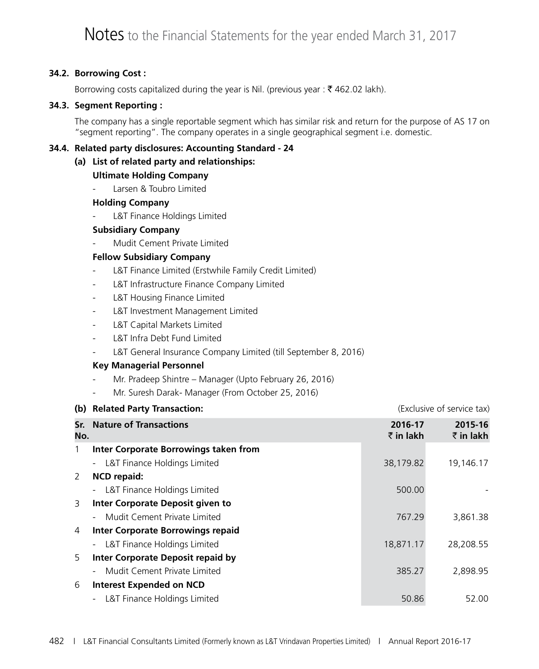#### **34.2. Borrowing Cost :**

Borrowing costs capitalized during the year is Nil. (previous year:  $\bar{\tau}$  462.02 lakh).

#### **34.3. Segment Reporting :**

The company has a single reportable segment which has similar risk and return for the purpose of AS 17 on "segment reporting". The company operates in a single geographical segment i.e. domestic.

#### **34.4. Related party disclosures: Accounting Standard - 24**

#### **(a) List of related party and relationships:**

#### **Ultimate Holding Company**

Larsen & Toubro Limited

#### **Holding Company**

L&T Finance Holdings Limited

#### **Subsidiary Company**

Mudit Cement Private Limited

#### **Fellow Subsidiary Company**

- L&T Finance Limited (Erstwhile Family Credit Limited)
- L&T Infrastructure Finance Company Limited
- L&T Housing Finance Limited
- L&T Investment Management Limited
- L&T Capital Markets Limited
- L&T Infra Debt Fund Limited
- L&T General Insurance Company Limited (till September 8, 2016)

#### **Key Managerial Personnel**

- Mr. Pradeep Shintre Manager (Upto February 26, 2016)
- Mr. Suresh Darak- Manager (From October 25, 2016)

|            | (b) Related Party Transaction:           |                      | (Exclusive of service tax)   |
|------------|------------------------------------------|----------------------|------------------------------|
| Sr.<br>No. | <b>Nature of Transactions</b>            | 2016-17<br>₹ in lakh | 2015-16<br>$\bar{z}$ in lakh |
|            | Inter Corporate Borrowings taken from    |                      |                              |
|            | L&T Finance Holdings Limited             | 38,179.82            | 19,146.17                    |
| 2          | <b>NCD repaid:</b>                       |                      |                              |
|            | L&T Finance Holdings Limited             | 500.00               |                              |
| 3          | Inter Corporate Deposit given to         |                      |                              |
|            | Mudit Cement Private Limited             | 767.29               | 3,861.38                     |
| 4          | <b>Inter Corporate Borrowings repaid</b> |                      |                              |
|            | L&T Finance Holdings Limited             | 18,871.17            | 28,208.55                    |
| 5          | Inter Corporate Deposit repaid by        |                      |                              |
|            | Mudit Cement Private Limited             | 385.27               | 2,898.95                     |
| 6          | <b>Interest Expended on NCD</b>          |                      |                              |
|            | L&T Finance Holdings Limited             | 50.86                | 52.00                        |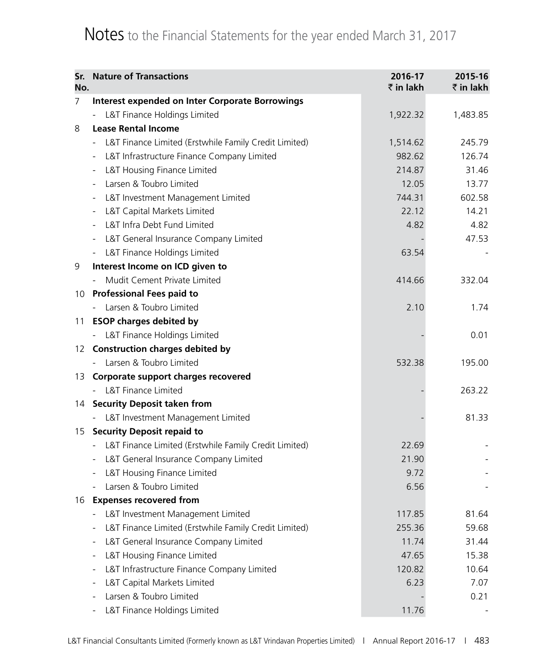| Sr.<br>No. | <b>Nature of Transactions</b>                                                     | 2016-17<br>₹ in lakh | 2015-16<br>₹ in lakh |
|------------|-----------------------------------------------------------------------------------|----------------------|----------------------|
| 7          | <b>Interest expended on Inter Corporate Borrowings</b>                            |                      |                      |
|            | L&T Finance Holdings Limited                                                      | 1,922.32             | 1,483.85             |
| 8          | <b>Lease Rental Income</b>                                                        |                      |                      |
|            | L&T Finance Limited (Erstwhile Family Credit Limited)                             | 1,514.62             | 245.79               |
|            | L&T Infrastructure Finance Company Limited<br>$\qquad \qquad \blacksquare$        | 982.62               | 126.74               |
|            | L&T Housing Finance Limited                                                       | 214.87               | 31.46                |
|            | Larsen & Toubro Limited<br>$\overline{\phantom{a}}$                               | 12.05                | 13.77                |
|            | L&T Investment Management Limited<br>$\overline{\phantom{a}}$                     | 744.31               | 602.58               |
|            | L&T Capital Markets Limited<br>$\qquad \qquad \blacksquare$                       | 22.12                | 14.21                |
|            | L&T Infra Debt Fund Limited                                                       | 4.82                 | 4.82                 |
|            | L&T General Insurance Company Limited<br>$\qquad \qquad \blacksquare$             |                      | 47.53                |
|            | L&T Finance Holdings Limited                                                      | 63.54                |                      |
| 9          | Interest Income on ICD given to                                                   |                      |                      |
|            | Mudit Cement Private Limited                                                      | 414.66               | 332.04               |
| 10         | <b>Professional Fees paid to</b>                                                  |                      |                      |
|            | Larsen & Toubro Limited                                                           | 2.10                 | 1.74                 |
| 11         | <b>ESOP charges debited by</b>                                                    |                      |                      |
|            | L&T Finance Holdings Limited                                                      |                      | 0.01                 |
| 12         | <b>Construction charges debited by</b>                                            |                      |                      |
|            | Larsen & Toubro Limited                                                           | 532.38               | 195.00               |
| 13         | Corporate support charges recovered                                               |                      |                      |
|            | L&T Finance Limited                                                               |                      | 263.22               |
| 14         | <b>Security Deposit taken from</b>                                                |                      |                      |
|            | L&T Investment Management Limited                                                 |                      | 81.33                |
| 15         | <b>Security Deposit repaid to</b>                                                 |                      |                      |
|            | L&T Finance Limited (Erstwhile Family Credit Limited)<br>$\overline{\phantom{a}}$ | 22.69                |                      |
|            | L&T General Insurance Company Limited<br>$\blacksquare$                           | 21.90                |                      |
|            | L&T Housing Finance Limited                                                       | 9.72                 |                      |
|            | Larsen & Toubro Limited                                                           | 6.56                 |                      |
| 16         | <b>Expenses recovered from</b>                                                    |                      |                      |
|            | L&T Investment Management Limited                                                 | 117.85               | 81.64                |
|            | L&T Finance Limited (Erstwhile Family Credit Limited)                             | 255.36               | 59.68                |
|            | L&T General Insurance Company Limited                                             | 11.74                | 31.44                |
|            | L&T Housing Finance Limited                                                       | 47.65                | 15.38                |
|            | L&T Infrastructure Finance Company Limited                                        | 120.82               | 10.64                |
|            | L&T Capital Markets Limited                                                       | 6.23                 | 7.07                 |
|            | Larsen & Toubro Limited                                                           |                      | 0.21                 |
|            | L&T Finance Holdings Limited                                                      | 11.76                |                      |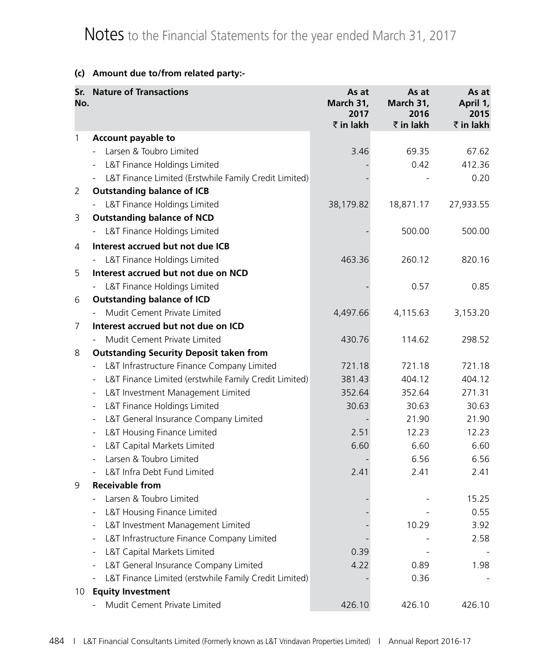#### **(c) Amount due to/from related party:-**

| No. | <b>Sr.</b> Nature of Transactions                                                 | As at<br>March 31,<br>2017<br>₹ in lakh | As at<br>March 31,<br>2016<br>₹ in lakh | As at<br>April 1,<br>2015<br>₹ in lakh |
|-----|-----------------------------------------------------------------------------------|-----------------------------------------|-----------------------------------------|----------------------------------------|
| 1   | <b>Account payable to</b>                                                         |                                         |                                         |                                        |
|     | Larsen & Toubro Limited                                                           | 3.46                                    | 69.35                                   | 67.62                                  |
|     | L&T Finance Holdings Limited                                                      |                                         | 0.42                                    | 412.36                                 |
|     | L&T Finance Limited (Erstwhile Family Credit Limited)<br>$\blacksquare$           |                                         |                                         | 0.20                                   |
| 2   | <b>Outstanding balance of ICB</b>                                                 |                                         |                                         |                                        |
|     | L&T Finance Holdings Limited                                                      | 38,179.82                               | 18,871.17                               | 27,933.55                              |
| 3   | <b>Outstanding balance of NCD</b>                                                 |                                         |                                         |                                        |
|     | - L&T Finance Holdings Limited                                                    |                                         | 500.00                                  | 500.00                                 |
| 4   | Interest accrued but not due ICB                                                  |                                         |                                         |                                        |
|     | L&T Finance Holdings Limited<br>$\blacksquare$                                    | 463.36                                  | 260.12                                  | 820.16                                 |
| 5   | Interest accrued but not due on NCD                                               |                                         |                                         |                                        |
|     | L&T Finance Holdings Limited                                                      |                                         | 0.57                                    | 0.85                                   |
| 6   | <b>Outstanding balance of ICD</b>                                                 |                                         |                                         |                                        |
|     | Mudit Cement Private Limited                                                      | 4,497.66                                | 4,115.63                                | 3,153.20                               |
| 7   | Interest accrued but not due on ICD                                               |                                         |                                         |                                        |
|     | Mudit Cement Private Limited                                                      | 430.76                                  | 114.62                                  | 298.52                                 |
| 8   | <b>Outstanding Security Deposit taken from</b>                                    |                                         |                                         |                                        |
|     | L&T Infrastructure Finance Company Limited<br>$\overline{\phantom{a}}$            | 721.18                                  | 721.18                                  | 721.18                                 |
|     | L&T Finance Limited (erstwhile Family Credit Limited)<br>$\overline{\phantom{a}}$ | 381.43                                  | 404.12                                  | 404.12                                 |
|     | L&T Investment Management Limited<br>$\overline{\phantom{a}}$                     | 352.64                                  | 352.64                                  | 271.31                                 |
|     | L&T Finance Holdings Limited<br>$\overline{\phantom{a}}$                          | 30.63                                   | 30.63                                   | 30.63                                  |
|     | L&T General Insurance Company Limited<br>$\qquad \qquad \blacksquare$             |                                         | 21.90                                   | 21.90                                  |
|     | L&T Housing Finance Limited<br>$\qquad \qquad \blacksquare$                       | 2.51                                    | 12.23                                   | 12.23                                  |
|     | L&T Capital Markets Limited                                                       | 6.60                                    | 6.60                                    | 6.60                                   |
|     | Larsen & Toubro Limited                                                           |                                         | 6.56                                    | 6.56                                   |
|     | L&T Infra Debt Fund Limited                                                       | 2.41                                    | 2.41                                    | 2.41                                   |
| 9   | <b>Receivable from</b>                                                            |                                         |                                         |                                        |
|     | Larsen & Toubro Limited                                                           |                                         |                                         | 15.25                                  |
|     | L&T Housing Finance Limited                                                       |                                         |                                         | 0.55                                   |
|     | L&T Investment Management Limited                                                 |                                         | 10.29                                   | 3.92                                   |
|     | L&T Infrastructure Finance Company Limited                                        |                                         |                                         | 2.58                                   |
|     | L&T Capital Markets Limited                                                       | 0.39                                    |                                         |                                        |
|     | L&T General Insurance Company Limited                                             | 4.22                                    | 0.89                                    | 1.98                                   |
| 10  | L&T Finance Limited (erstwhile Family Credit Limited)<br><b>Equity Investment</b> |                                         | 0.36                                    |                                        |
|     | Mudit Cement Private Limited                                                      | 426.10                                  | 426.10                                  | 426.10                                 |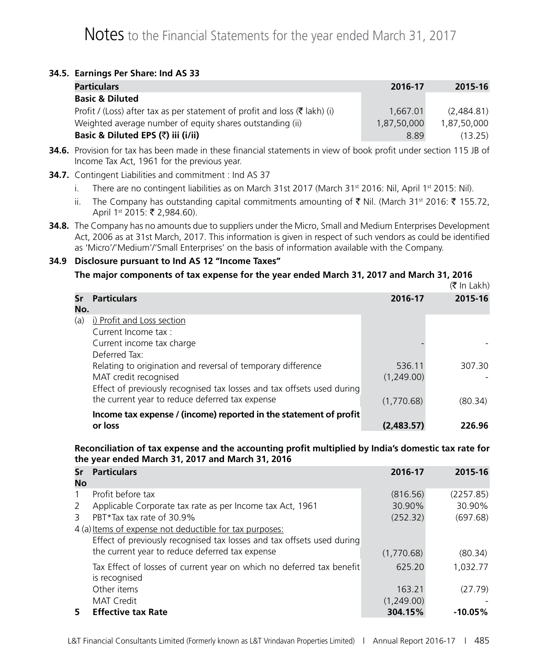#### **34.5. Earnings Per Share: Ind AS 33**

| <b>Particulars</b>                                                                     | 2016-17     | 2015-16     |
|----------------------------------------------------------------------------------------|-------------|-------------|
| <b>Basic &amp; Diluted</b>                                                             |             |             |
| Profit / (Loss) after tax as per statement of profit and loss ( $\bar{\tau}$ lakh) (i) | 1,667.01    | (2.484.81)  |
| Weighted average number of equity shares outstanding (ii)                              | 1,87,50,000 | 1.87.50.000 |
| Basic & Diluted EPS (₹) iii (i/ii)                                                     | 8.89        | (13.25)     |

- **34.6.** Provision for tax has been made in these financial statements in view of book profit under section 115 JB of Income Tax Act, 1961 for the previous year.
- **34.7.** Contingent Liabilities and commitment : Ind AS 37
	- i. There are no contingent liabilities as on March 31st 2017 (March 31st 2016: Nil, April 1st 2015: Nil).
	- ii. The Company has outstanding capital commitments amounting of  $\bar{\tau}$  Nil. (March 31<sup>st</sup> 2016:  $\bar{\tau}$  155.72, April 1<sup>st</sup> 2015: ₹ 2,984.60).
- **34.8.** The Company has no amounts due to suppliers under the Micro, Small and Medium Enterprises Development Act, 2006 as at 31st March, 2017. This information is given in respect of such vendors as could be identified as 'Micro'/'Medium'/'Small Enterprises' on the basis of information available with the Company.

#### **34.9 Disclosure pursuant to Ind AS 12 "Income Taxes"**

#### **The major components of tax expense for the year ended March 31, 2017 and March 31, 2016**

|     |                                                                        |            | (₹ In Lakh) |
|-----|------------------------------------------------------------------------|------------|-------------|
| Sr  | <b>Particulars</b>                                                     | 2016-17    | 2015-16     |
| No. |                                                                        |            |             |
| (a) | i) Profit and Loss section                                             |            |             |
|     | Current Income tax :                                                   |            |             |
|     | Current income tax charge                                              |            |             |
|     | Deferred Tax:                                                          |            |             |
|     | Relating to origination and reversal of temporary difference           | 536.11     | 307.30      |
|     | MAT credit recognised                                                  | (1,249.00) |             |
|     | Effect of previously recognised tax losses and tax offsets used during |            |             |
|     | the current year to reduce deferred tax expense                        | (1,770.68) | (80.34)     |
|     | Income tax expense / (income) reported in the statement of profit      |            |             |
|     | or loss                                                                | (2,483,57) | 226.96      |

#### **Reconciliation of tax expense and the accounting profit multiplied by India's domestic tax rate for the year ended March 31, 2017 and March 31, 2016**

| Sr<br>No     | <b>Particulars</b>                                                     | 2016-17    | 2015-16    |
|--------------|------------------------------------------------------------------------|------------|------------|
| $\mathbf{1}$ | Profit before tax                                                      | (816.56)   | (2257.85)  |
| 2            | Applicable Corporate tax rate as per Income tax Act, 1961              | 30.90%     | 30.90%     |
| 3            | PBT*Tax tax rate of 30.9%                                              | (252.32)   | (697.68)   |
|              | 4 (a) Items of expense not deductible for tax purposes:                |            |            |
|              | Effect of previously recognised tax losses and tax offsets used during |            |            |
|              | the current year to reduce deferred tax expense                        | (1,770.68) | (80.34)    |
|              | Tax Effect of losses of current year on which no deferred tax benefit  | 625.20     | 1,032.77   |
|              | is recognised                                                          |            |            |
|              | Other items                                                            | 163.21     | (27.79)    |
|              | <b>MAT Credit</b>                                                      | (1,249.00) |            |
| 5.           | <b>Effective tax Rate</b>                                              | 304.15%    | $-10.05\%$ |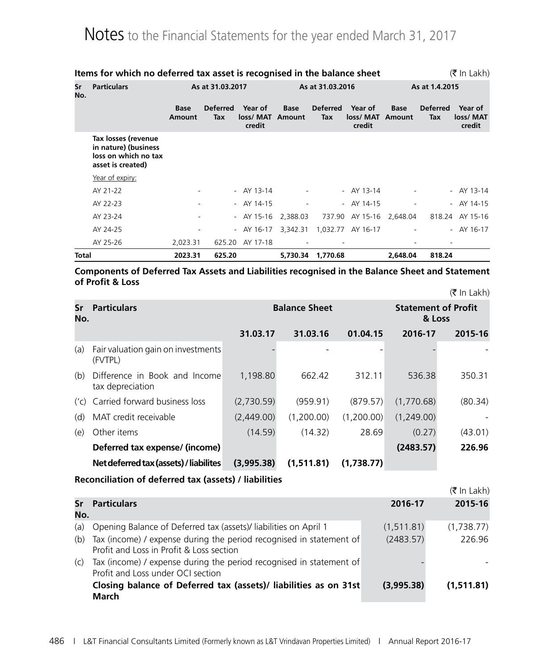|           | Items for which no deferred tax asset is recognised in the balance sheet                 |                  |                        |                               |                       |                        |                               |                       |                        | $(\bar{\bar{\mathbf{x}}}$ In Lakh) |
|-----------|------------------------------------------------------------------------------------------|------------------|------------------------|-------------------------------|-----------------------|------------------------|-------------------------------|-----------------------|------------------------|------------------------------------|
| Sr<br>No. | <b>Particulars</b>                                                                       | As at 31.03.2017 |                        | As at 31.03.2016              |                       |                        | As at 1.4.2015                |                       |                        |                                    |
|           |                                                                                          | Base<br>Amount   | <b>Deferred</b><br>Tax | Year of<br>loss/MAT<br>credit | <b>Base</b><br>Amount | <b>Deferred</b><br>Tax | Year of<br>loss/MAT<br>credit | <b>Base</b><br>Amount | <b>Deferred</b><br>Tax | Year of<br>loss/ MAT<br>credit     |
|           | Tax losses (revenue<br>in nature) (business<br>loss on which no tax<br>asset is created) |                  |                        |                               |                       |                        |                               |                       |                        |                                    |
|           | Year of expiry:                                                                          |                  |                        |                               |                       |                        |                               |                       |                        |                                    |
|           | AY 21-22                                                                                 |                  |                        | - $AY$ 13-14                  |                       |                        | $-$ AY 13-14                  |                       |                        | - $AY$ 13-14                       |
|           | AY 22-23                                                                                 |                  |                        | - $AY$ 14-15                  |                       |                        | - $AY$ 14-15                  |                       |                        | $-$ AY 14-15                       |
|           | AY 23-24                                                                                 |                  |                        | - AY 15-16                    | 2,388.03              |                        | 737.90 AY 15-16               | 2,648.04              |                        | 818.24 AY 15-16                    |
|           | AY 24-25                                                                                 |                  |                        | - AY 16-17                    | 3,342.31              |                        | 1,032.77 AY 16-17             |                       |                        | - AY $16-17$                       |
|           | AY 25-26                                                                                 | 2,023.31         | 625.20                 | AY 17-18                      |                       |                        |                               |                       |                        |                                    |
| Total     |                                                                                          | 2023.31          | 625.20                 |                               | 5,730.34              | 1,770.68               |                               | 2.648.04              | 818.24                 |                                    |

#### **Components of Deferred Tax Assets and Liabilities recognised in the Balance Sheet and Statement of Profit & Loss**  $(\bar{\bar{\tau}}$  In Lakh)

|           |                                                   |                      |            |            |                                      | $\left  \cdot \right $ $\left  \cdot \right $ $\left  \cdot \right $ $\left  \cdot \right $ |  |
|-----------|---------------------------------------------------|----------------------|------------|------------|--------------------------------------|---------------------------------------------------------------------------------------------|--|
| Sr<br>No. | <b>Particulars</b>                                | <b>Balance Sheet</b> |            |            | <b>Statement of Profit</b><br>& Loss |                                                                                             |  |
|           |                                                   | 31.03.17             | 31.03.16   | 01.04.15   | 2016-17                              | 2015-16                                                                                     |  |
| (a)       | Fair valuation gain on investments<br>(FVTPL)     |                      |            |            |                                      |                                                                                             |  |
| (b)       | Difference in Book and Income<br>tax depreciation | 1,198.80             | 662.42     | 312.11     | 536.38                               | 350.31                                                                                      |  |
|           | ('c) Carried forward business loss                | (2,730.59)           | (959.91)   | (879.57)   | (1,770.68)                           | (80.34)                                                                                     |  |
| (d)       | MAT credit receivable                             | (2,449.00)           | (1,200.00) | (1,200.00) | (1,249.00)                           |                                                                                             |  |
| (e)       | Other items                                       | (14.59)              | (14.32)    | 28.69      | (0.27)                               | (43.01)                                                                                     |  |
|           | Deferred tax expense/ (income)                    |                      |            |            | (2483.57)                            | 226.96                                                                                      |  |
|           | Net deferred tax (assets) / liabilites            | (3,995.38)           | (1,511.81) | (1,738.77) |                                      |                                                                                             |  |

#### **Reconciliation of deferred tax (assets) / liabilities**

|     |                                                                                                                 |             | $(5 \text{ In Lakh})$ |
|-----|-----------------------------------------------------------------------------------------------------------------|-------------|-----------------------|
| No. | <b>Sr</b> Particulars                                                                                           | 2016-17     | 2015-16               |
| (a) | Opening Balance of Deferred tax (assets)/ liabilities on April 1                                                | (1, 511.81) | (1,738.77)            |
| (b) | Tax (income) / expense during the period recognised in statement of<br>Profit and Loss in Profit & Loss section | (2483.57)   | 226.96                |
| (C) | Tax (income) / expense during the period recognised in statement of<br>Profit and Loss under OCI section        |             |                       |
|     | Closing balance of Deferred tax (assets)/ liabilities as on 31st<br>March                                       | (3,995.38)  | (1,511.81)            |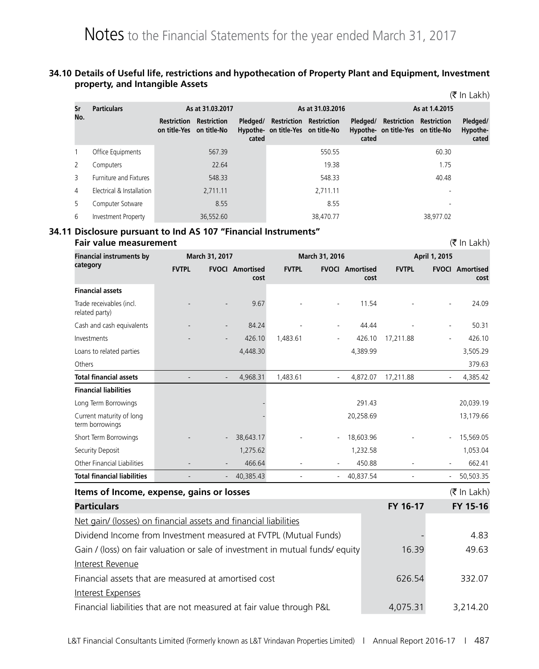#### **34.10 Details of Useful life, restrictions and hypothecation of Property Plant and Equipment, Investment property, and Intangible Assets**

|     |                               |                                         |                    |                   |                                   |                                |                   |                                   |                                | (K in Lakh)                   |
|-----|-------------------------------|-----------------------------------------|--------------------|-------------------|-----------------------------------|--------------------------------|-------------------|-----------------------------------|--------------------------------|-------------------------------|
| Sr  | <b>Particulars</b>            |                                         | As at 31.03.2017   |                   |                                   | As at 31.03.2016               |                   |                                   | As at 1.4.2015                 |                               |
| No. |                               | Restriction<br>on title-Yes on title-No | <b>Restriction</b> | Pledaed/<br>cated | Hypothe- on title-Yes on title-No | <b>Restriction Restriction</b> | Pledaed/<br>cated | Hypothe- on title-Yes on title-No | <b>Restriction Restriction</b> | Pledged/<br>Hypothe-<br>cated |
|     | Office Equipments             |                                         | 567.39             |                   |                                   | 550.55                         |                   |                                   | 60.30                          |                               |
| 2   | Computers                     |                                         | 22.64              |                   |                                   | 19.38                          |                   |                                   | 1.75                           |                               |
| 3   | <b>Furniture and Fixtures</b> |                                         | 548.33             |                   |                                   | 548.33                         |                   |                                   | 40.48                          |                               |
| 4   | Electrical & Installation     |                                         | 2,711.11           |                   |                                   | 2,711.11                       |                   |                                   |                                |                               |
| 5   | Computer Sotware              |                                         | 8.55               |                   |                                   | 8.55                           |                   |                                   | $\overline{\phantom{a}}$       |                               |
| 6   | Investment Property           |                                         | 36,552.60          |                   |                                   | 38,470.77                      |                   |                                   | 38.977.02                      |                               |

 $\sqrt{2}$  In Lakeholds  $\sqrt{2}$ 

#### **34.11 Disclosure pursuant to Ind AS 107 "Financial Instruments"**

**Fair value measurement** (` In Lakh) **Financial instruments by category March 31, 2017 March 31, 2016 April 1, 2015 FVTPL FVOCI Amortised cost FVTPL FVOCI Amortised cost FVTPL FVOCI Amortised cost Financial assets** Trade receivables (incl. related party) - - 9.67 - - 11.54 - - 24.09 Cash and cash equivalents - - - - 84.24 - - - 44.44 - - - - 50.31 Investments 1.1 1.1 1.1 1.1 1.483.61 - 426.10 1.483.61 - 426.10 1.211.88 - 426.10 Loans to related parties 4,448.30 4,389.99 3,505.29 Others 379.63 **Total financial assets** - - - - - 4,968.31 1,483.61 - 4,872.07 17,211.88 - 4,385.42 **Financial liabilities** Long Term Borrowings - 291.43 20,039.19 Current maturity of long term borrowings - 20,258.69 13,179.66 Short Term Borrowings - - - - 38,643.17 - - 18,603.96 - 15,569.05 Security Deposit 1,275.62 1,232.58 1,053.04 Other Financial Liabilities - - 466.64 - - 450.88 - - 662.41 **Total financial liabilities** - - - - - 40,385.43 - - - - - 40,837.54 - - - - - - 50,503.35 **Items of Income, expense, gains or losses** (` In Lakh) **Particulars FY 16-17 FY 15-16** Net gain/ (losses) on financial assets and financial liabilities Dividend Income from Investment measured at FVTPL (Mutual Funds) **1998** - 4.83 Gain / (loss) on fair valuation or sale of investment in mutual funds/ equity 16.39 49.63 Interest Revenue Financial assets that are measured at amortised cost 626.54 626.54 332.07 Interest Expenses Financial liabilities that are not measured at fair value through P&L 4,075.31 3,214.20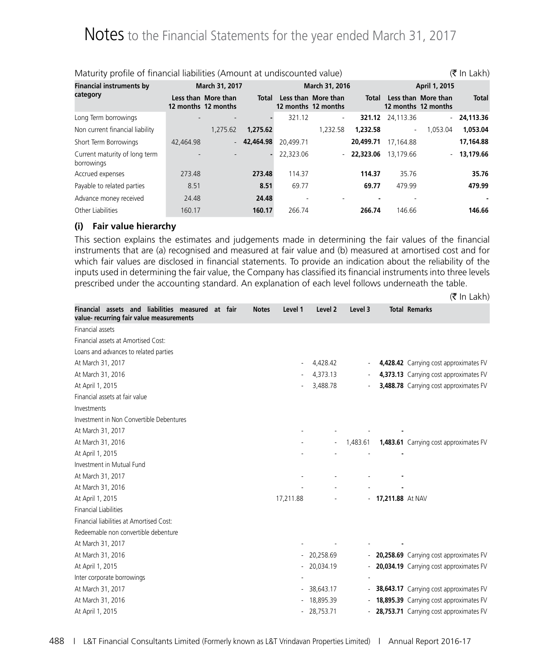| Maturity profile of financial liabilities (Amount at undiscounted value)<br>(₹ In Lakh) |                          |                                            |           |           |                                            |              |                          |                                            |              |
|-----------------------------------------------------------------------------------------|--------------------------|--------------------------------------------|-----------|-----------|--------------------------------------------|--------------|--------------------------|--------------------------------------------|--------------|
| <b>Financial instruments by</b>                                                         |                          | March 31, 2017                             |           |           | March 31, 2016                             |              |                          | April 1, 2015                              |              |
| category                                                                                |                          | Less than More than<br>12 months 12 months | Total     |           | Less than More than<br>12 months 12 months | Total        |                          | Less than More than<br>12 months 12 months | <b>Total</b> |
| Long Term borrowings                                                                    |                          |                                            |           | 321.12    | $\overline{\phantom{a}}$                   |              | 321.12 24,113.36         |                                            | $-24.113.36$ |
| Non current financial liability                                                         |                          | 1.275.62                                   | 1,275.62  |           | 1,232.58                                   | 1.232.58     | $\overline{\phantom{a}}$ | 1.053.04                                   | 1.053.04     |
| Short Term Borrowings                                                                   | 42,464.98                | $\sim$                                     | 42,464.98 | 20,499.71 |                                            | 20,499.71    | 17,164.88                |                                            | 17,164.88    |
| Current maturity of long term<br>borrowings                                             | $\overline{\phantom{a}}$ |                                            | ٠         | 22,323.06 |                                            | $-22.323.06$ | 13.179.66                | $\sim$                                     | 13,179.66    |
| Accrued expenses                                                                        | 273.48                   |                                            | 273.48    | 114.37    |                                            | 114.37       | 35.76                    |                                            | 35.76        |
| Payable to related parties                                                              | 8.51                     |                                            | 8.51      | 69.77     |                                            | 69.77        | 479.99                   |                                            | 479.99       |
| Advance money received                                                                  | 24.48                    |                                            | 24.48     |           |                                            |              |                          |                                            |              |
| Other Liabilities                                                                       | 160.17                   |                                            | 160.17    | 266.74    |                                            | 266.74       | 146.66                   |                                            | 146.66       |

#### **(i) Fair value hierarchy**

This section explains the estimates and judgements made in determining the fair values of the financial instruments that are (a) recognised and measured at fair value and (b) measured at amortised cost and for which fair values are disclosed in financial statements. To provide an indication about the reliability of the inputs used in determining the fair value, the Company has classified its financial instruments into three levels prescribed under the accounting standard. An explanation of each level follows underneath the table.

|                                                                                               |              |           |              |          |                    | $(5 \text{ In Lakh})$                     |
|-----------------------------------------------------------------------------------------------|--------------|-----------|--------------|----------|--------------------|-------------------------------------------|
| Financial assets and liabilities measured at fair<br>value- recurring fair value measurements | <b>Notes</b> | Level 1   | Level 2      | Level 3  |                    | <b>Total Remarks</b>                      |
| <b>Financial assets</b>                                                                       |              |           |              |          |                    |                                           |
| Financial assets at Amortised Cost:                                                           |              |           |              |          |                    |                                           |
| Loans and advances to related parties                                                         |              |           |              |          |                    |                                           |
| At March 31, 2017                                                                             |              |           | 4,428.42     |          |                    | 4,428.42 Carrying cost approximates FV    |
| At March 31, 2016                                                                             |              |           | 4,373.13     |          |                    | 4,373.13 Carrying cost approximates FV    |
| At April 1, 2015                                                                              |              |           | 3,488.78     |          |                    | 3,488.78 Carrying cost approximates FV    |
| Financial assets at fair value                                                                |              |           |              |          |                    |                                           |
| Investments                                                                                   |              |           |              |          |                    |                                           |
| Investment in Non Convertible Debentures                                                      |              |           |              |          |                    |                                           |
| At March 31, 2017                                                                             |              |           |              |          |                    |                                           |
| At March 31, 2016                                                                             |              |           |              | 1,483.61 |                    | 1,483.61 Carrying cost approximates FV    |
| At April 1, 2015                                                                              |              |           |              |          |                    |                                           |
| Investment in Mutual Fund                                                                     |              |           |              |          |                    |                                           |
| At March 31, 2017                                                                             |              |           |              |          |                    |                                           |
| At March 31, 2016                                                                             |              |           |              |          |                    |                                           |
| At April 1, 2015                                                                              |              | 17,211.88 |              |          | - 17,211.88 At NAV |                                           |
| <b>Financial Liabilities</b>                                                                  |              |           |              |          |                    |                                           |
| Financial liabilities at Amortised Cost:                                                      |              |           |              |          |                    |                                           |
| Redeemable non convertible debenture                                                          |              |           |              |          |                    |                                           |
| At March 31, 2017                                                                             |              |           |              |          |                    |                                           |
| At March 31, 2016                                                                             |              |           | $-20,258.69$ |          |                    | - 20,258.69 Carrying cost approximates FV |
| At April 1, 2015                                                                              |              |           | $-20,034.19$ | ÷.       |                    | 20,034.19 Carrying cost approximates FV   |
| Inter corporate borrowings                                                                    |              |           |              |          |                    |                                           |
| At March 31, 2017                                                                             |              |           | $-38,643.17$ | $\sim$   |                    | 38,643.17 Carrying cost approximates FV   |
| At March 31, 2016                                                                             |              |           | 18,895.39    |          |                    | 18,895.39 Carrying cost approximates FV   |
| At April 1, 2015                                                                              |              |           | $-28,753.71$ | ÷.       |                    | 28,753.71 Carrying cost approximates FV   |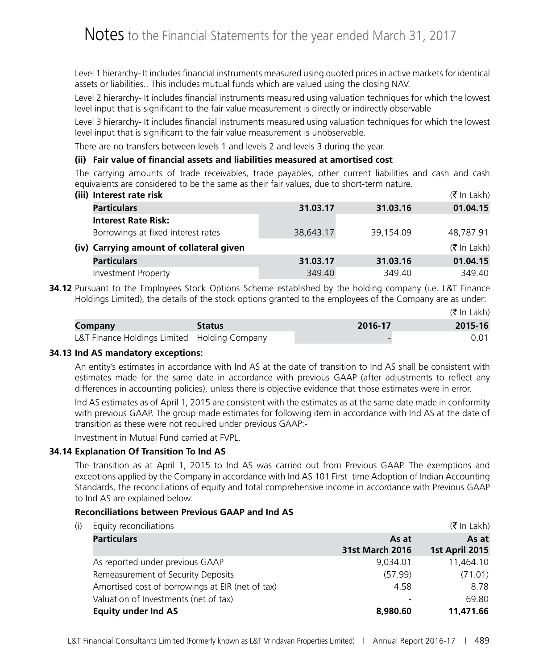Level 1 hierarchy- It includes financial instruments measured using quoted prices in active markets for identical assets or liabilities.. This includes mutual funds which are valued using the closing NAV.

Level 2 hierarchy- It includes financial instruments measured using valuation techniques for which the lowest level input that is significant to the fair value measurement is directly or indirectly observable

Level 3 hierarchy- It includes financial instruments measured using valuation techniques for which the lowest level input that is significant to the fair value measurement is unobservable.

There are no transfers between levels 1 and levels 2 and levels 3 during the year.

#### **(ii) Fair value of financial assets and liabilities measured at amortised cost**

The carrying amounts of trade receivables, trade payables, other current liabilities and cash and cash equivalents are considered to be the same as their fair values, due to short-term nature.

|  | (iii) Interest rate risk<br>$(5 \text{ In } \text{Lakh})$ |           |           |                       |  |  |  |  |  |
|--|-----------------------------------------------------------|-----------|-----------|-----------------------|--|--|--|--|--|
|  | <b>Particulars</b>                                        | 31.03.17  | 31.03.16  | 01.04.15              |  |  |  |  |  |
|  | <b>Interest Rate Risk:</b>                                |           |           |                       |  |  |  |  |  |
|  | Borrowings at fixed interest rates                        | 38,643.17 | 39,154.09 | 48,787.91             |  |  |  |  |  |
|  | (iv) Carrying amount of collateral given                  |           |           | $(5 \text{ In Lakh})$ |  |  |  |  |  |
|  | <b>Particulars</b>                                        | 31.03.17  | 31.03.16  | 01.04.15              |  |  |  |  |  |
|  | <b>Investment Property</b>                                | 349.40    | 349.40    | 349.40                |  |  |  |  |  |

**34.12** Pursuant to the Employees Stock Options Scheme established by the holding company (i.e. L&T Finance Holdings Limited), the details of the stock options granted to the employees of the Company are as under:

|                                              |               |         | $(5 \text{ In Lakh})$ |
|----------------------------------------------|---------------|---------|-----------------------|
| Company                                      | <b>Status</b> | 2016-17 | 2015-16               |
| L&T Finance Holdings Limited Holding Company |               | -       | 0.01                  |

#### **34.13 Ind AS mandatory exceptions:**

An entity's estimates in accordance with Ind AS at the date of transition to Ind AS shall be consistent with estimates made for the same date in accordance with previous GAAP (after adjustments to reflect any differences in accounting policies), unless there is objective evidence that those estimates were in error.

Ind AS estimates as of April 1, 2015 are consistent with the estimates as at the same date made in conformity with previous GAAP. The group made estimates for following item in accordance with Ind AS at the date of transition as these were not required under previous GAAP:-

Investment in Mutual Fund carried at FVPL.

#### **34.14 Explanation Of Transition To Ind AS**

The transition as at April 1, 2015 to Ind AS was carried out from Previous GAAP. The exemptions and exceptions applied by the Company in accordance with Ind AS 101 First–time Adoption of Indian Accounting Standards, the reconciliations of equity and total comprehensive income in accordance with Previous GAAP to Ind AS are explained below:

#### **Reconciliations between Previous GAAP and Ind AS**

(i) Faulty reconciliations  $(\bar{\tau})$  is a set of  $(\bar{\tau})$  in Lakh)

| Lydity ittoritmations                            |                                 | $\mathbf{v}$ in Land $\mathbf{v}$ |
|--------------------------------------------------|---------------------------------|-----------------------------------|
| <b>Particulars</b>                               | As at<br><b>31st March 2016</b> | As at<br>1st April 2015           |
| As reported under previous GAAP                  | 9.034.01                        | 11,464.10                         |
| Remeasurement of Security Deposits               | (57.99)                         | (71.01)                           |
| Amortised cost of borrowings at EIR (net of tax) | 4.58                            | 8.78                              |
| Valuation of Investments (net of tax)            |                                 | 69.80                             |
| <b>Equity under Ind AS</b>                       | 8,980.60                        | 11,471.66                         |